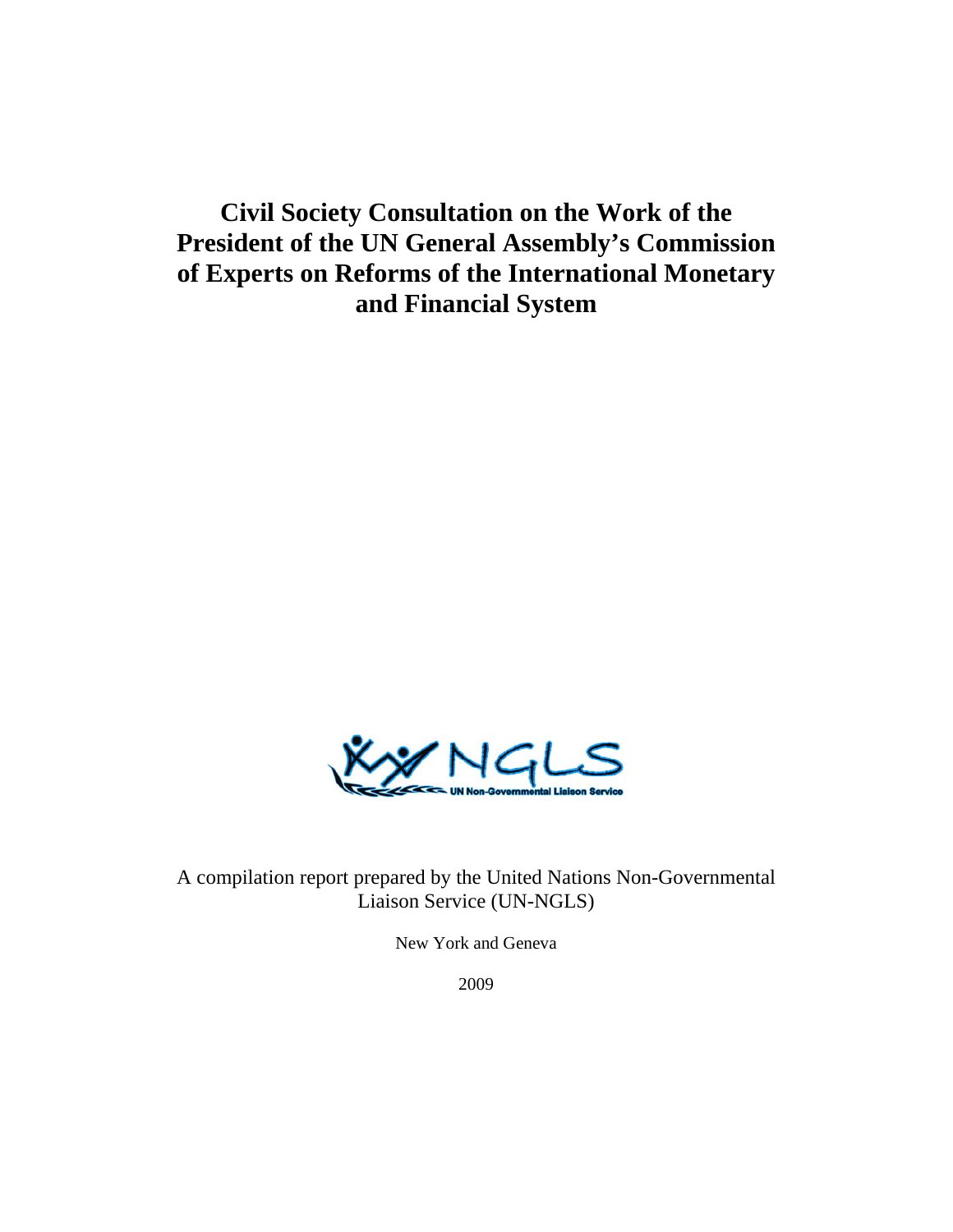# **Civil Society Consultation on the Work of the President of the UN General Assembly's Commission of Experts on Reforms of the International Monetary and Financial System**



A compilation report prepared by the United Nations Non-Governmental Liaison Service (UN-NGLS)

New York and Geneva

2009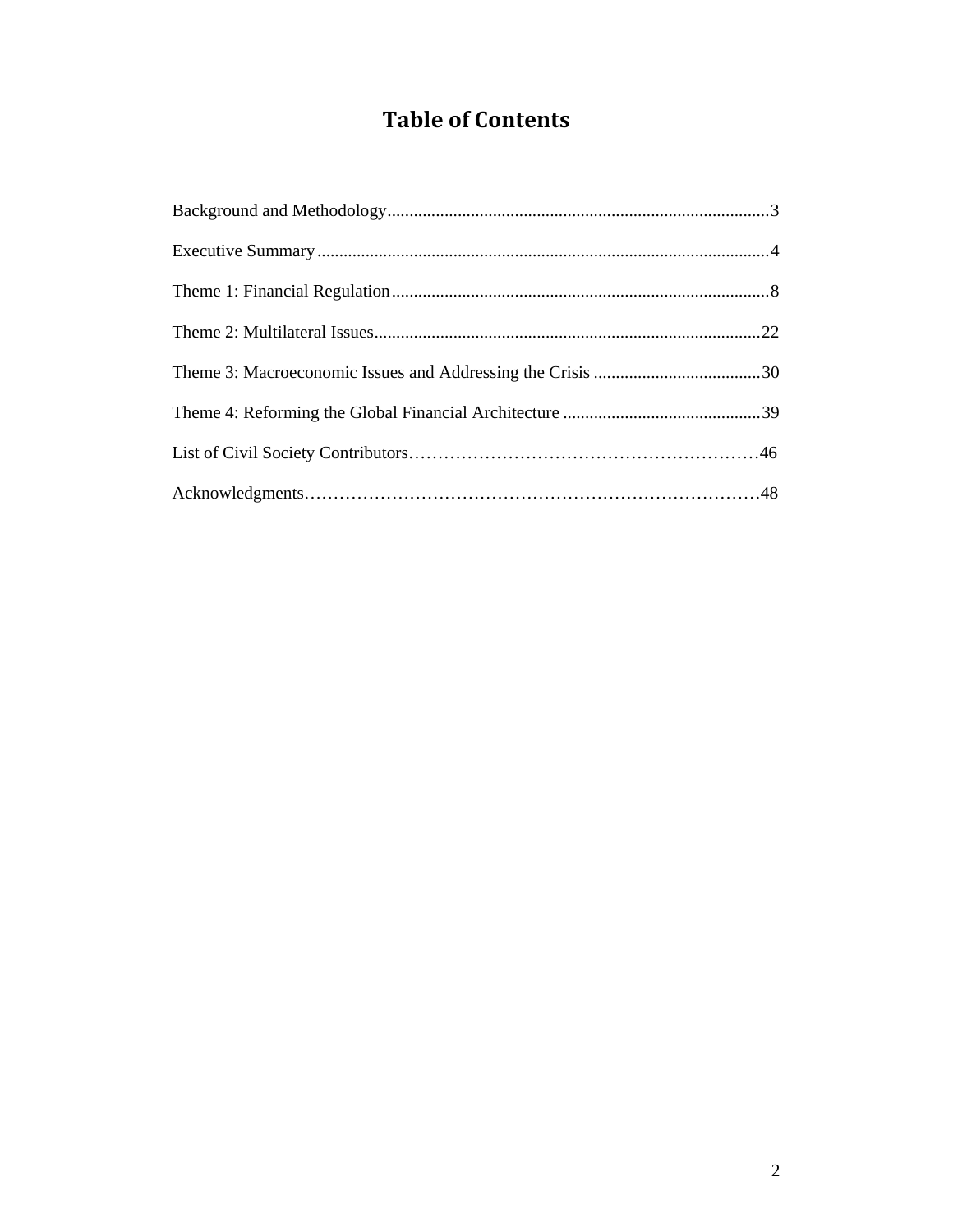# **Table of Contents**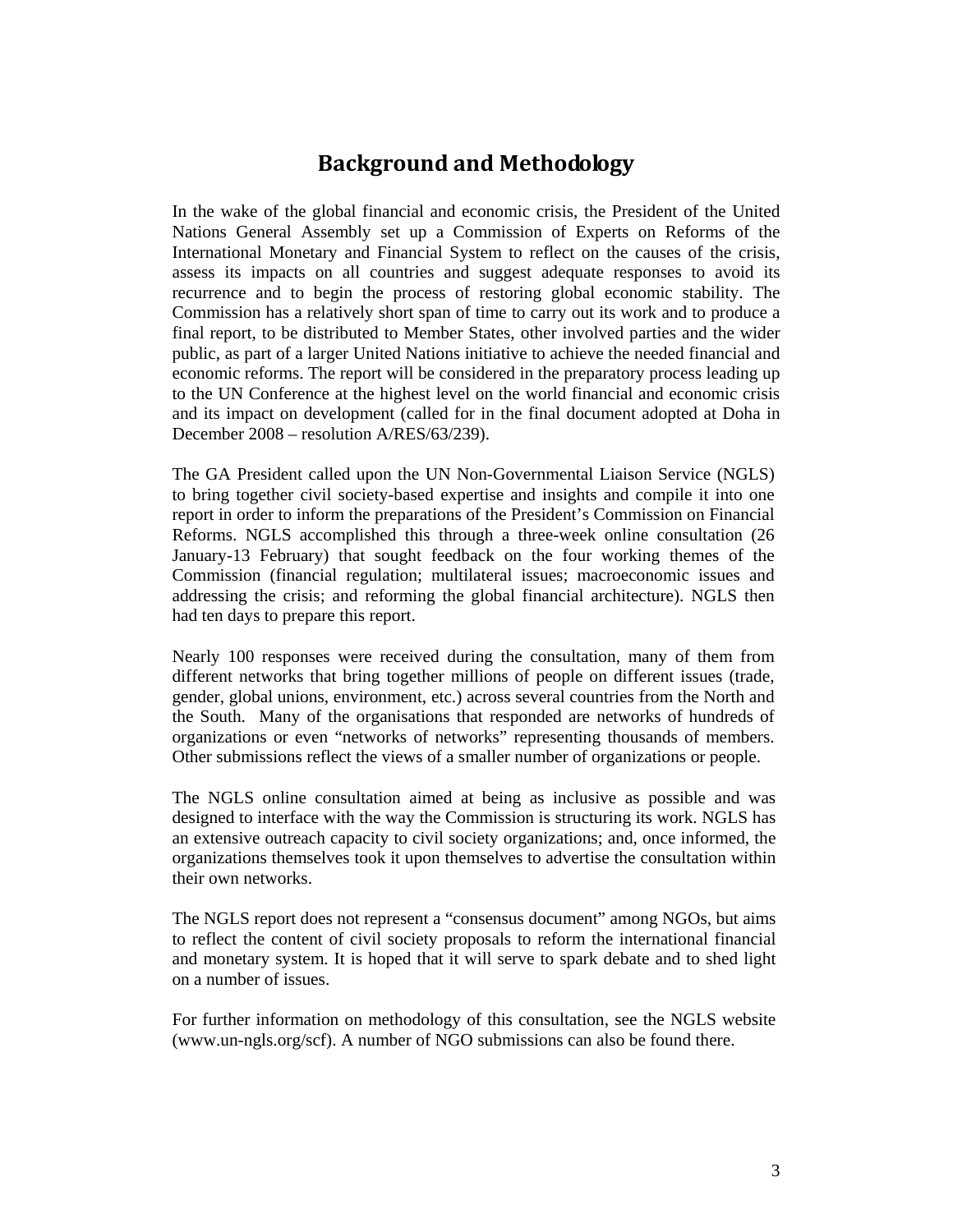## **Background and Methodology**

In the wake of the global financial and economic crisis, the President of the United Nations General Assembly set up a Commission of Experts on Reforms of the International Monetary and Financial System to reflect on the causes of the crisis, assess its impacts on all countries and suggest adequate responses to avoid its recurrence and to begin the process of restoring global economic stability. The Commission has a relatively short span of time to carry out its work and to produce a final report, to be distributed to Member States, other involved parties and the wider public, as part of a larger United Nations initiative to achieve the needed financial and economic reforms. The report will be considered in the preparatory process leading up to the UN Conference at the highest level on the world financial and economic crisis and its impact on development (called for in the final document adopted at Doha in December 2008 – resolution A/RES/63/239).

The GA President called upon the UN Non-Governmental Liaison Service (NGLS) to bring together civil society-based expertise and insights and compile it into one report in order to inform the preparations of the President's Commission on Financial Reforms. NGLS accomplished this through a three-week online consultation (26 January-13 February) that sought feedback on the four working themes of the Commission (financial regulation; multilateral issues; macroeconomic issues and addressing the crisis; and reforming the global financial architecture). NGLS then had ten days to prepare this report.

Nearly 100 responses were received during the consultation, many of them from different networks that bring together millions of people on different issues (trade, gender, global unions, environment, etc.) across several countries from the North and the South. Many of the organisations that responded are networks of hundreds of organizations or even "networks of networks" representing thousands of members. Other submissions reflect the views of a smaller number of organizations or people.

The NGLS online consultation aimed at being as inclusive as possible and was designed to interface with the way the Commission is structuring its work. NGLS has an extensive outreach capacity to civil society organizations; and, once informed, the organizations themselves took it upon themselves to advertise the consultation within their own networks.

The NGLS report does not represent a "consensus document" among NGOs, but aims to reflect the content of civil society proposals to reform the international financial and monetary system. It is hoped that it will serve to spark debate and to shed light on a number of issues.

For further information on methodology of this consultation, see the NGLS website (www.un-ngls.org/scf). A number of NGO submissions can also be found there.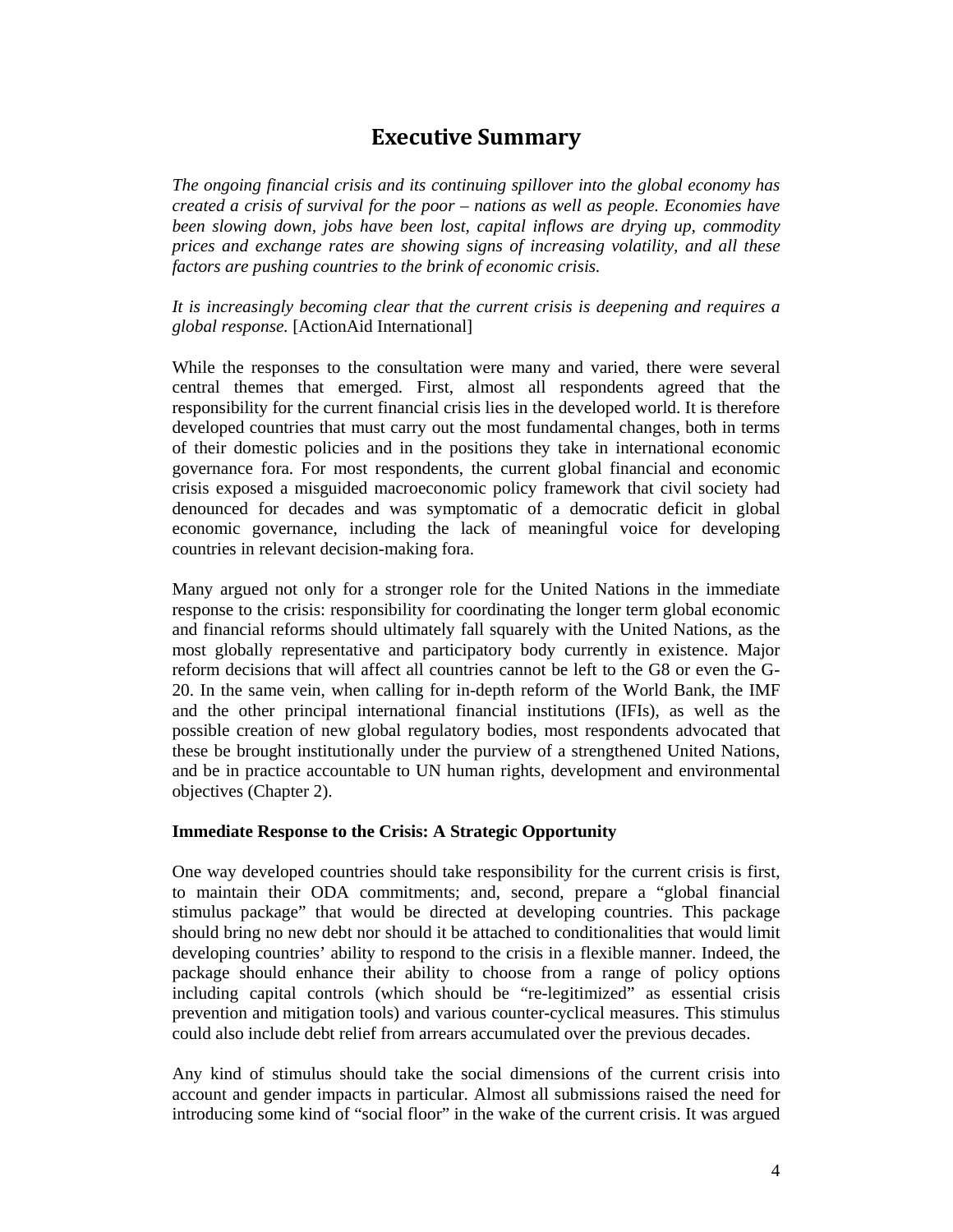## **Executive Summary**

*The ongoing financial crisis and its continuing spillover into the global economy has created a crisis of survival for the poor – nations as well as people. Economies have been slowing down, jobs have been lost, capital inflows are drying up, commodity prices and exchange rates are showing signs of increasing volatility, and all these factors are pushing countries to the brink of economic crisis.* 

*It is increasingly becoming clear that the current crisis is deepening and requires a global response.* [ActionAid International]

While the responses to the consultation were many and varied, there were several central themes that emerged. First, almost all respondents agreed that the responsibility for the current financial crisis lies in the developed world. It is therefore developed countries that must carry out the most fundamental changes, both in terms of their domestic policies and in the positions they take in international economic governance fora. For most respondents, the current global financial and economic crisis exposed a misguided macroeconomic policy framework that civil society had denounced for decades and was symptomatic of a democratic deficit in global economic governance, including the lack of meaningful voice for developing countries in relevant decision-making fora.

Many argued not only for a stronger role for the United Nations in the immediate response to the crisis: responsibility for coordinating the longer term global economic and financial reforms should ultimately fall squarely with the United Nations, as the most globally representative and participatory body currently in existence. Major reform decisions that will affect all countries cannot be left to the G8 or even the G-20. In the same vein, when calling for in-depth reform of the World Bank, the IMF and the other principal international financial institutions (IFIs), as well as the possible creation of new global regulatory bodies, most respondents advocated that these be brought institutionally under the purview of a strengthened United Nations, and be in practice accountable to UN human rights, development and environmental objectives (Chapter 2).

#### **Immediate Response to the Crisis: A Strategic Opportunity**

One way developed countries should take responsibility for the current crisis is first, to maintain their ODA commitments; and, second, prepare a "global financial stimulus package" that would be directed at developing countries. This package should bring no new debt nor should it be attached to conditionalities that would limit developing countries' ability to respond to the crisis in a flexible manner. Indeed, the package should enhance their ability to choose from a range of policy options including capital controls (which should be "re-legitimized" as essential crisis prevention and mitigation tools) and various counter-cyclical measures. This stimulus could also include debt relief from arrears accumulated over the previous decades.

Any kind of stimulus should take the social dimensions of the current crisis into account and gender impacts in particular. Almost all submissions raised the need for introducing some kind of "social floor" in the wake of the current crisis. It was argued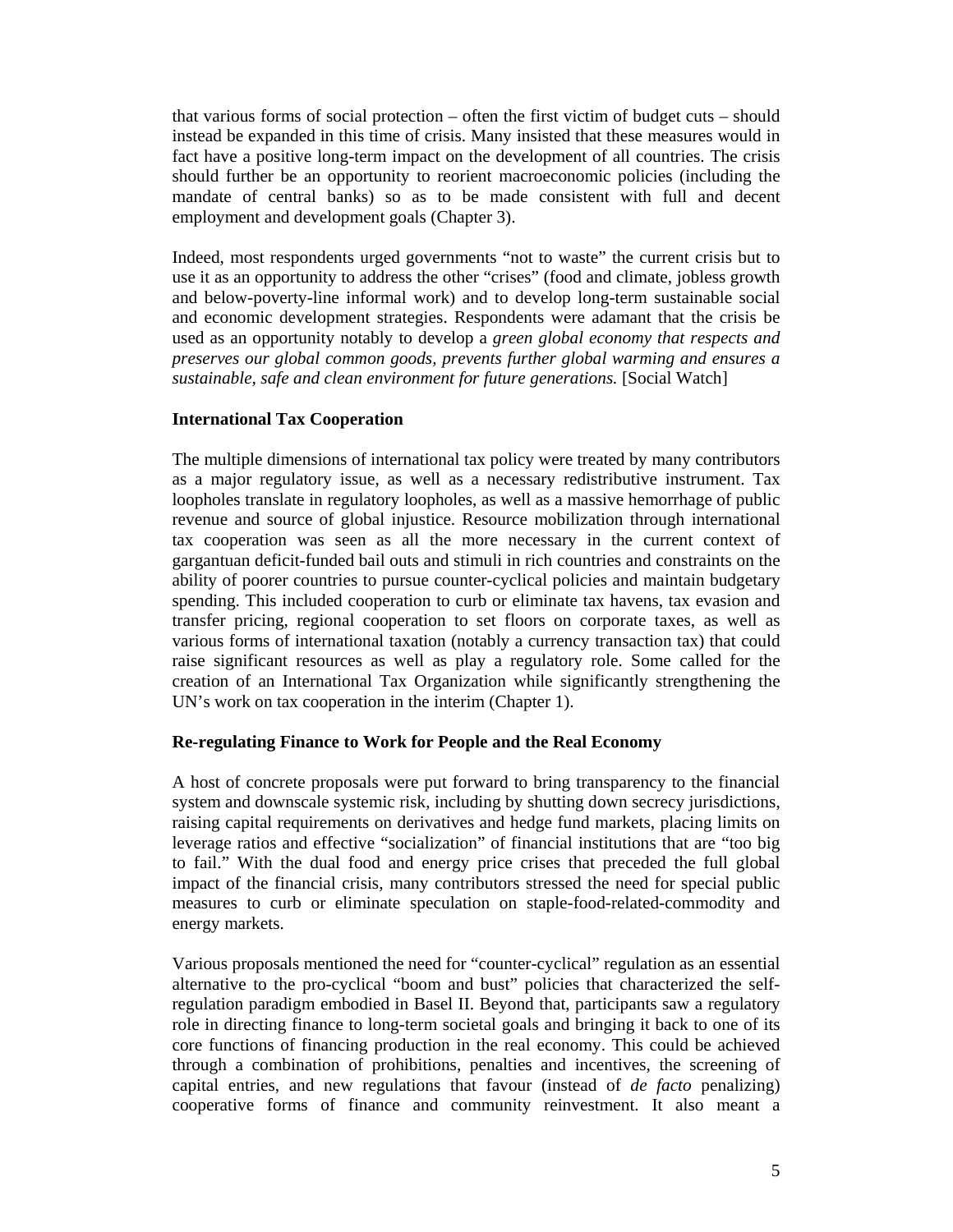that various forms of social protection – often the first victim of budget cuts – should instead be expanded in this time of crisis. Many insisted that these measures would in fact have a positive long-term impact on the development of all countries. The crisis should further be an opportunity to reorient macroeconomic policies (including the mandate of central banks) so as to be made consistent with full and decent employment and development goals (Chapter 3).

Indeed, most respondents urged governments "not to waste" the current crisis but to use it as an opportunity to address the other "crises" (food and climate, jobless growth and below-poverty-line informal work) and to develop long-term sustainable social and economic development strategies. Respondents were adamant that the crisis be used as an opportunity notably to develop a *green global economy that respects and preserves our global common goods, prevents further global warming and ensures a sustainable, safe and clean environment for future generations.* [Social Watch]

#### **International Tax Cooperation**

The multiple dimensions of international tax policy were treated by many contributors as a major regulatory issue, as well as a necessary redistributive instrument. Tax loopholes translate in regulatory loopholes, as well as a massive hemorrhage of public revenue and source of global injustice. Resource mobilization through international tax cooperation was seen as all the more necessary in the current context of gargantuan deficit-funded bail outs and stimuli in rich countries and constraints on the ability of poorer countries to pursue counter-cyclical policies and maintain budgetary spending. This included cooperation to curb or eliminate tax havens, tax evasion and transfer pricing, regional cooperation to set floors on corporate taxes, as well as various forms of international taxation (notably a currency transaction tax) that could raise significant resources as well as play a regulatory role. Some called for the creation of an International Tax Organization while significantly strengthening the UN's work on tax cooperation in the interim (Chapter 1).

#### **Re-regulating Finance to Work for People and the Real Economy**

A host of concrete proposals were put forward to bring transparency to the financial system and downscale systemic risk, including by shutting down secrecy jurisdictions, raising capital requirements on derivatives and hedge fund markets, placing limits on leverage ratios and effective "socialization" of financial institutions that are "too big to fail." With the dual food and energy price crises that preceded the full global impact of the financial crisis, many contributors stressed the need for special public measures to curb or eliminate speculation on staple-food-related-commodity and energy markets.

Various proposals mentioned the need for "counter-cyclical" regulation as an essential alternative to the pro-cyclical "boom and bust" policies that characterized the selfregulation paradigm embodied in Basel II. Beyond that, participants saw a regulatory role in directing finance to long-term societal goals and bringing it back to one of its core functions of financing production in the real economy. This could be achieved through a combination of prohibitions, penalties and incentives, the screening of capital entries, and new regulations that favour (instead of *de facto* penalizing) cooperative forms of finance and community reinvestment. It also meant a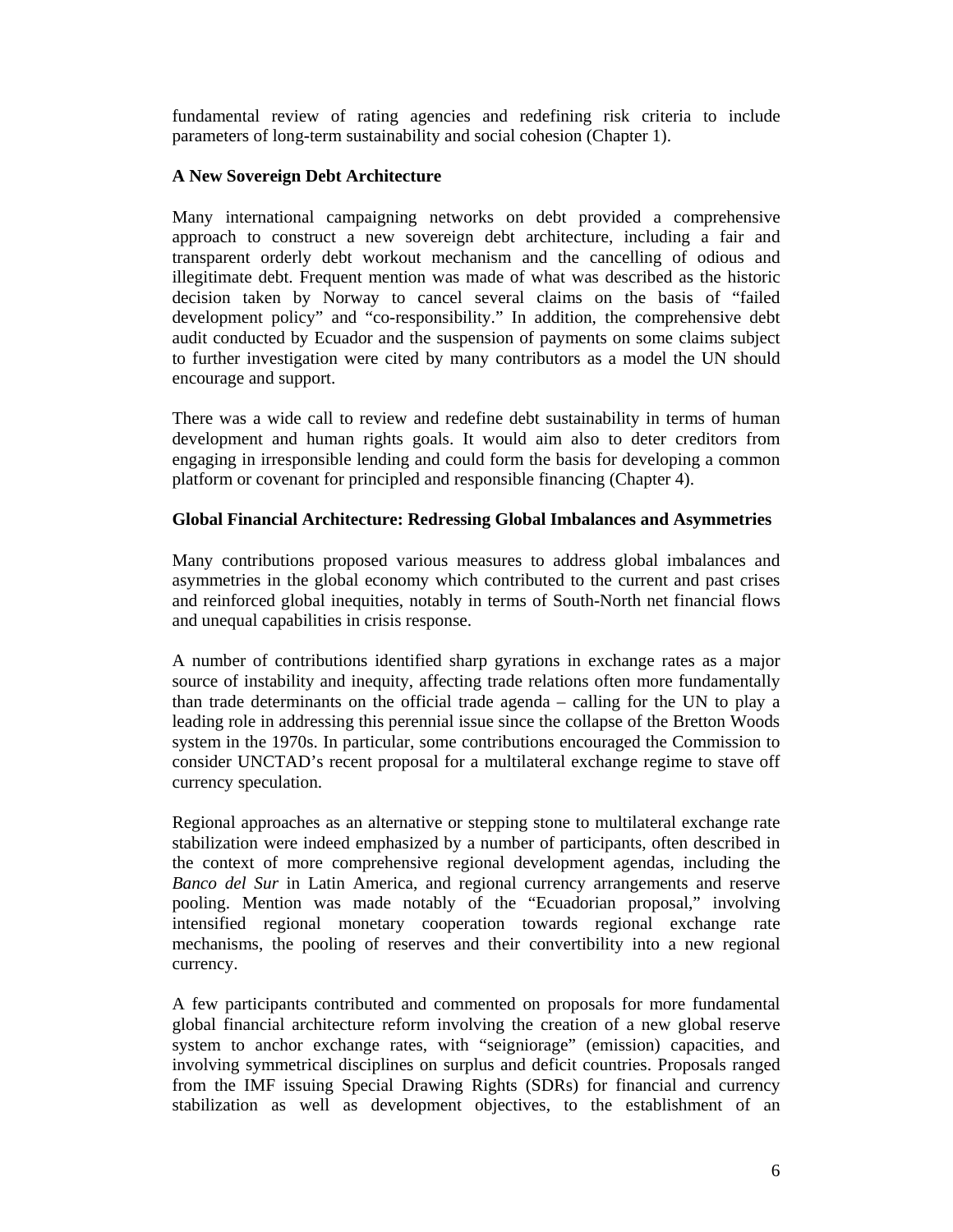fundamental review of rating agencies and redefining risk criteria to include parameters of long-term sustainability and social cohesion (Chapter 1).

### **A New Sovereign Debt Architecture**

Many international campaigning networks on debt provided a comprehensive approach to construct a new sovereign debt architecture, including a fair and transparent orderly debt workout mechanism and the cancelling of odious and illegitimate debt. Frequent mention was made of what was described as the historic decision taken by Norway to cancel several claims on the basis of "failed development policy" and "co-responsibility." In addition, the comprehensive debt audit conducted by Ecuador and the suspension of payments on some claims subject to further investigation were cited by many contributors as a model the UN should encourage and support.

There was a wide call to review and redefine debt sustainability in terms of human development and human rights goals. It would aim also to deter creditors from engaging in irresponsible lending and could form the basis for developing a common platform or covenant for principled and responsible financing (Chapter 4).

### **Global Financial Architecture: Redressing Global Imbalances and Asymmetries**

Many contributions proposed various measures to address global imbalances and asymmetries in the global economy which contributed to the current and past crises and reinforced global inequities, notably in terms of South-North net financial flows and unequal capabilities in crisis response.

A number of contributions identified sharp gyrations in exchange rates as a major source of instability and inequity, affecting trade relations often more fundamentally than trade determinants on the official trade agenda – calling for the UN to play a leading role in addressing this perennial issue since the collapse of the Bretton Woods system in the 1970s. In particular, some contributions encouraged the Commission to consider UNCTAD's recent proposal for a multilateral exchange regime to stave off currency speculation.

Regional approaches as an alternative or stepping stone to multilateral exchange rate stabilization were indeed emphasized by a number of participants, often described in the context of more comprehensive regional development agendas, including the *Banco del Sur* in Latin America, and regional currency arrangements and reserve pooling. Mention was made notably of the "Ecuadorian proposal," involving intensified regional monetary cooperation towards regional exchange rate mechanisms, the pooling of reserves and their convertibility into a new regional currency.

A few participants contributed and commented on proposals for more fundamental global financial architecture reform involving the creation of a new global reserve system to anchor exchange rates, with "seigniorage" (emission) capacities, and involving symmetrical disciplines on surplus and deficit countries. Proposals ranged from the IMF issuing Special Drawing Rights (SDRs) for financial and currency stabilization as well as development objectives, to the establishment of an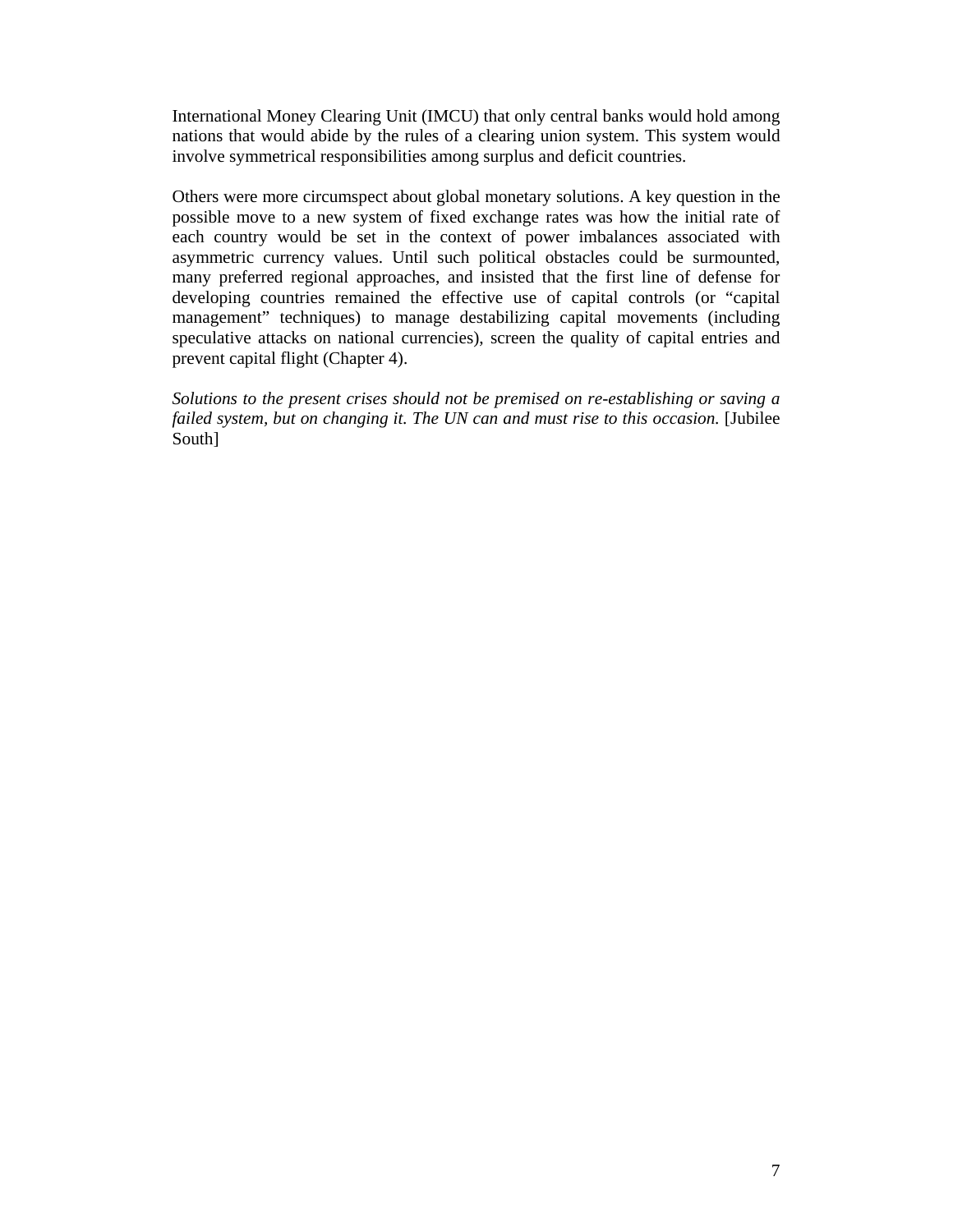International Money Clearing Unit (IMCU) that only central banks would hold among nations that would abide by the rules of a clearing union system. This system would involve symmetrical responsibilities among surplus and deficit countries.

Others were more circumspect about global monetary solutions. A key question in the possible move to a new system of fixed exchange rates was how the initial rate of each country would be set in the context of power imbalances associated with asymmetric currency values. Until such political obstacles could be surmounted, many preferred regional approaches, and insisted that the first line of defense for developing countries remained the effective use of capital controls (or "capital management" techniques) to manage destabilizing capital movements (including speculative attacks on national currencies), screen the quality of capital entries and prevent capital flight (Chapter 4).

*Solutions to the present crises should not be premised on re-establishing or saving a failed system, but on changing it. The UN can and must rise to this occasion.* [Jubilee South]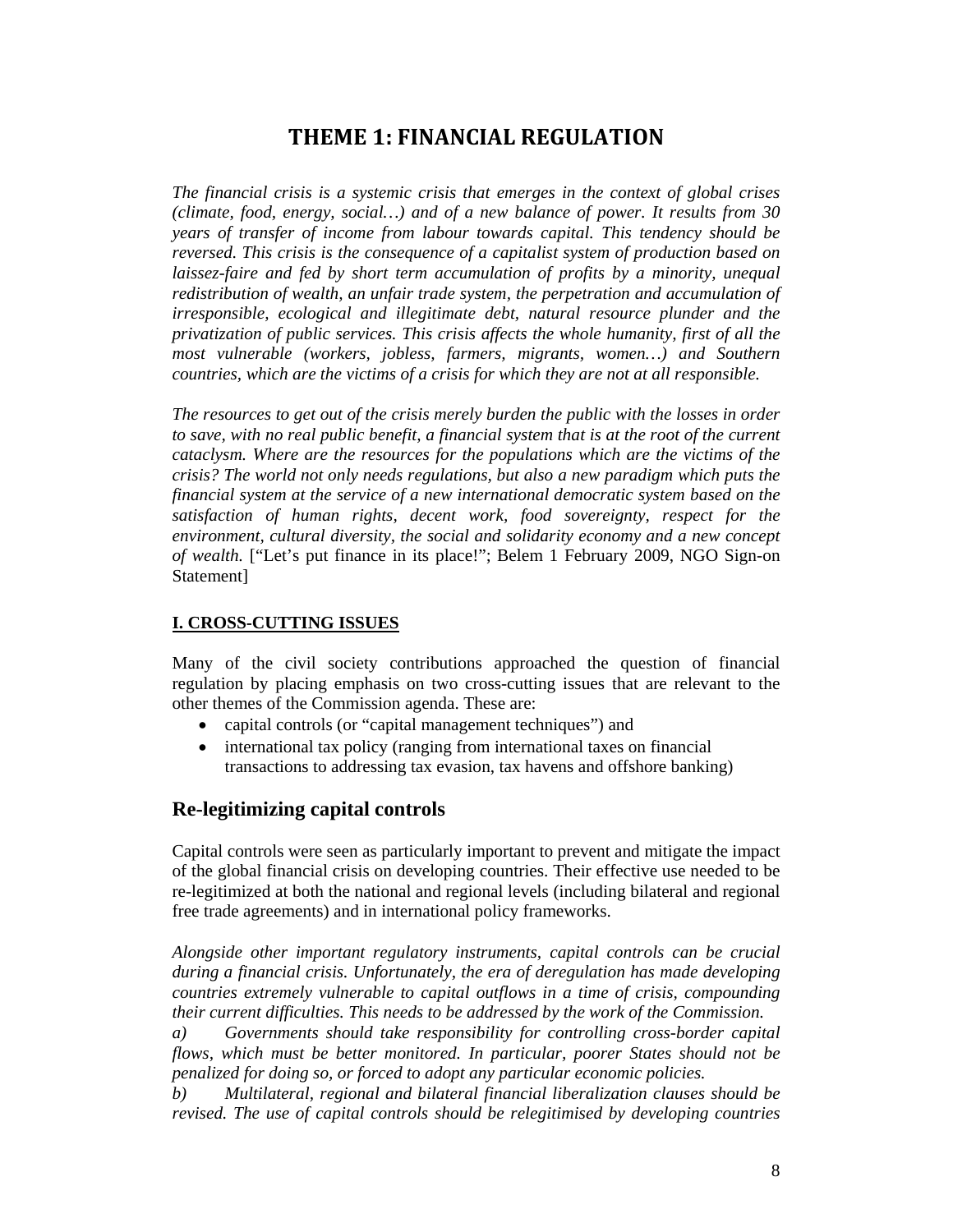## **THEME 1: FINANCIAL REGULATION**

*The financial crisis is a systemic crisis that emerges in the context of global crises (climate, food, energy, social…) and of a new balance of power. It results from 30 years of transfer of income from labour towards capital. This tendency should be reversed. This crisis is the consequence of a capitalist system of production based on laissez-faire and fed by short term accumulation of profits by a minority, unequal redistribution of wealth, an unfair trade system, the perpetration and accumulation of irresponsible, ecological and illegitimate debt, natural resource plunder and the privatization of public services. This crisis affects the whole humanity, first of all the most vulnerable (workers, jobless, farmers, migrants, women…) and Southern countries, which are the victims of a crisis for which they are not at all responsible.* 

*The resources to get out of the crisis merely burden the public with the losses in order to save, with no real public benefit, a financial system that is at the root of the current cataclysm. Where are the resources for the populations which are the victims of the crisis? The world not only needs regulations, but also a new paradigm which puts the financial system at the service of a new international democratic system based on the satisfaction of human rights, decent work, food sovereignty, respect for the environment, cultural diversity, the social and solidarity economy and a new concept of wealth.* ["Let's put finance in its place!"; Belem 1 February 2009, NGO Sign-on Statement]

## **I. CROSS-CUTTING ISSUES**

Many of the civil society contributions approached the question of financial regulation by placing emphasis on two cross-cutting issues that are relevant to the other themes of the Commission agenda. These are:

- capital controls (or "capital management techniques") and
- international tax policy (ranging from international taxes on financial transactions to addressing tax evasion, tax havens and offshore banking)

## **Re-legitimizing capital controls**

Capital controls were seen as particularly important to prevent and mitigate the impact of the global financial crisis on developing countries. Their effective use needed to be re-legitimized at both the national and regional levels (including bilateral and regional free trade agreements) and in international policy frameworks.

*Alongside other important regulatory instruments, capital controls can be crucial during a financial crisis. Unfortunately, the era of deregulation has made developing countries extremely vulnerable to capital outflows in a time of crisis, compounding their current difficulties. This needs to be addressed by the work of the Commission.* 

*a) Governments should take responsibility for controlling cross-border capital flows, which must be better monitored. In particular, poorer States should not be penalized for doing so, or forced to adopt any particular economic policies.* 

*b) Multilateral, regional and bilateral financial liberalization clauses should be revised. The use of capital controls should be relegitimised by developing countries*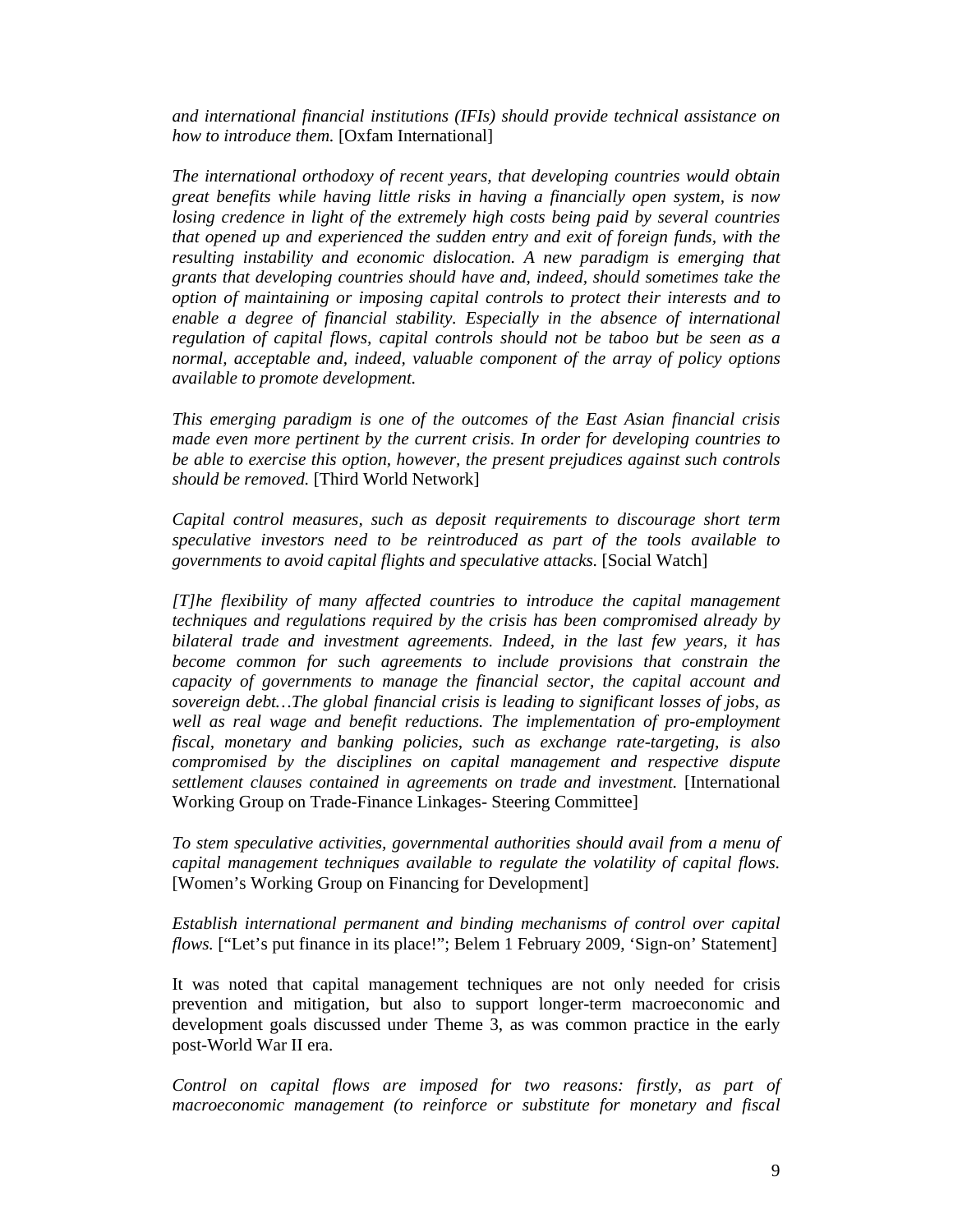*and international financial institutions (IFIs) should provide technical assistance on how to introduce them.* [Oxfam International]

*The international orthodoxy of recent years, that developing countries would obtain great benefits while having little risks in having a financially open system, is now losing credence in light of the extremely high costs being paid by several countries that opened up and experienced the sudden entry and exit of foreign funds, with the resulting instability and economic dislocation. A new paradigm is emerging that grants that developing countries should have and, indeed, should sometimes take the option of maintaining or imposing capital controls to protect their interests and to enable a degree of financial stability. Especially in the absence of international regulation of capital flows, capital controls should not be taboo but be seen as a normal, acceptable and, indeed, valuable component of the array of policy options available to promote development.* 

*This emerging paradigm is one of the outcomes of the East Asian financial crisis made even more pertinent by the current crisis. In order for developing countries to be able to exercise this option, however, the present prejudices against such controls should be removed.* [Third World Network]

*Capital control measures, such as deposit requirements to discourage short term speculative investors need to be reintroduced as part of the tools available to governments to avoid capital flights and speculative attacks.* [Social Watch]

*[T]he flexibility of many affected countries to introduce the capital management techniques and regulations required by the crisis has been compromised already by bilateral trade and investment agreements. Indeed, in the last few years, it has become common for such agreements to include provisions that constrain the capacity of governments to manage the financial sector, the capital account and sovereign debt…The global financial crisis is leading to significant losses of jobs, as*  well as real wage and benefit reductions. The implementation of pro-employment *fiscal, monetary and banking policies, such as exchange rate-targeting, is also compromised by the disciplines on capital management and respective dispute settlement clauses contained in agreements on trade and investment.* [International Working Group on Trade-Finance Linkages- Steering Committee]

*To stem speculative activities, governmental authorities should avail from a menu of capital management techniques available to regulate the volatility of capital flows.*  [Women's Working Group on Financing for Development]

*Establish international permanent and binding mechanisms of control over capital flows.* ["Let's put finance in its place!"; Belem 1 February 2009, 'Sign-on' Statement]

It was noted that capital management techniques are not only needed for crisis prevention and mitigation, but also to support longer-term macroeconomic and development goals discussed under Theme 3, as was common practice in the early post-World War II era.

*Control on capital flows are imposed for two reasons: firstly, as part of macroeconomic management (to reinforce or substitute for monetary and fiscal*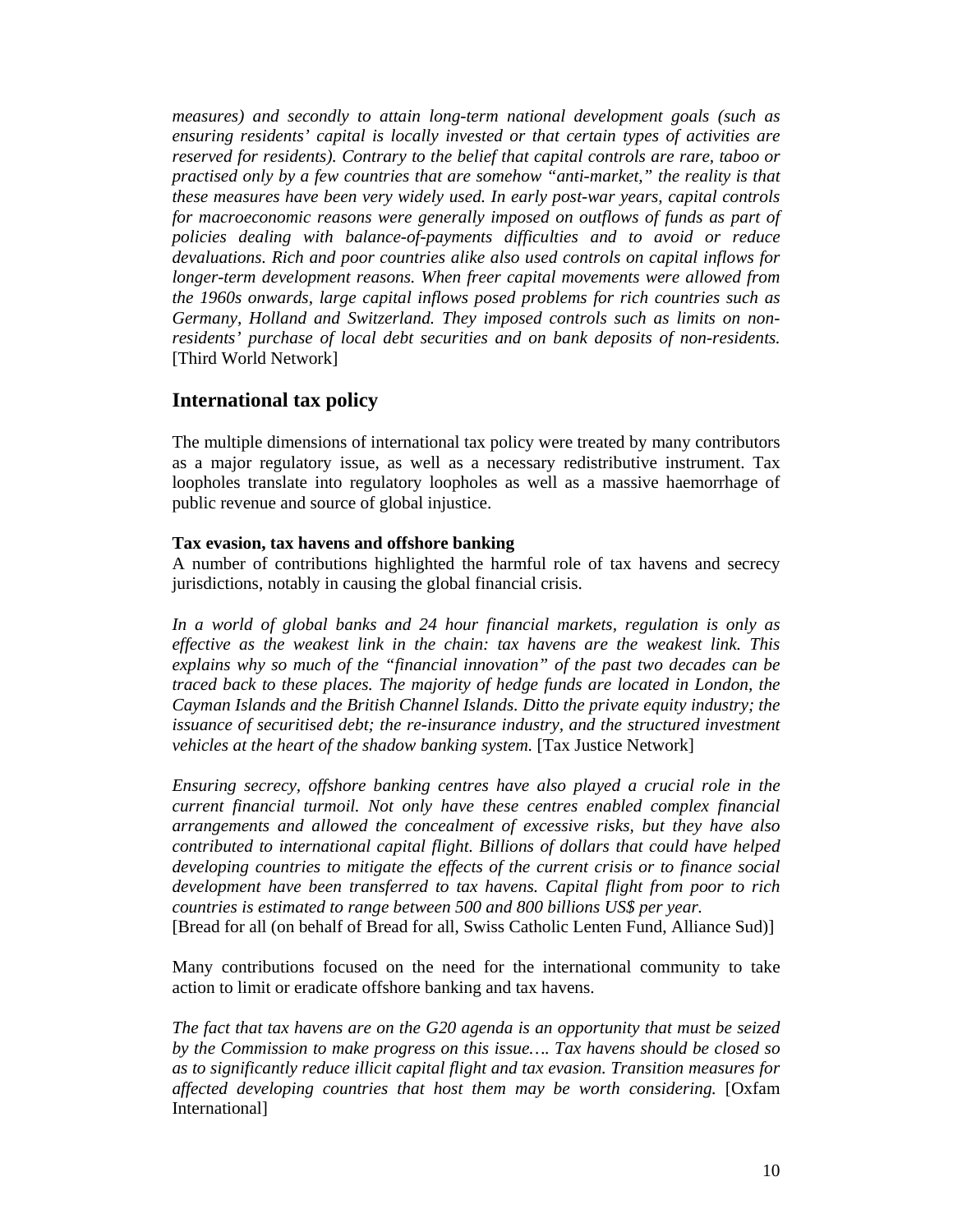*measures) and secondly to attain long-term national development goals (such as ensuring residents' capital is locally invested or that certain types of activities are reserved for residents). Contrary to the belief that capital controls are rare, taboo or practised only by a few countries that are somehow "anti-market," the reality is that these measures have been very widely used. In early post-war years, capital controls*  for macroeconomic reasons were generally imposed on outflows of funds as part of *policies dealing with balance-of-payments difficulties and to avoid or reduce devaluations. Rich and poor countries alike also used controls on capital inflows for longer-term development reasons. When freer capital movements were allowed from the 1960s onwards, large capital inflows posed problems for rich countries such as Germany, Holland and Switzerland. They imposed controls such as limits on nonresidents' purchase of local debt securities and on bank deposits of non-residents.*  [Third World Network]

## **International tax policy**

The multiple dimensions of international tax policy were treated by many contributors as a major regulatory issue, as well as a necessary redistributive instrument. Tax loopholes translate into regulatory loopholes as well as a massive haemorrhage of public revenue and source of global injustice.

#### **Tax evasion, tax havens and offshore banking**

A number of contributions highlighted the harmful role of tax havens and secrecy jurisdictions, notably in causing the global financial crisis.

*In a world of global banks and 24 hour financial markets, regulation is only as effective as the weakest link in the chain: tax havens are the weakest link. This explains why so much of the "financial innovation" of the past two decades can be traced back to these places. The majority of hedge funds are located in London, the Cayman Islands and the British Channel Islands. Ditto the private equity industry; the issuance of securitised debt; the re-insurance industry, and the structured investment vehicles at the heart of the shadow banking system.* [Tax Justice Network]

*Ensuring secrecy, offshore banking centres have also played a crucial role in the current financial turmoil. Not only have these centres enabled complex financial arrangements and allowed the concealment of excessive risks, but they have also contributed to international capital flight. Billions of dollars that could have helped developing countries to mitigate the effects of the current crisis or to finance social development have been transferred to tax havens. Capital flight from poor to rich countries is estimated to range between 500 and 800 billions US\$ per year.* 

[Bread for all (on behalf of Bread for all, Swiss Catholic Lenten Fund, Alliance Sud)]

Many contributions focused on the need for the international community to take action to limit or eradicate offshore banking and tax havens.

*The fact that tax havens are on the G20 agenda is an opportunity that must be seized by the Commission to make progress on this issue…. Tax havens should be closed so as to significantly reduce illicit capital flight and tax evasion. Transition measures for affected developing countries that host them may be worth considering.* [Oxfam International]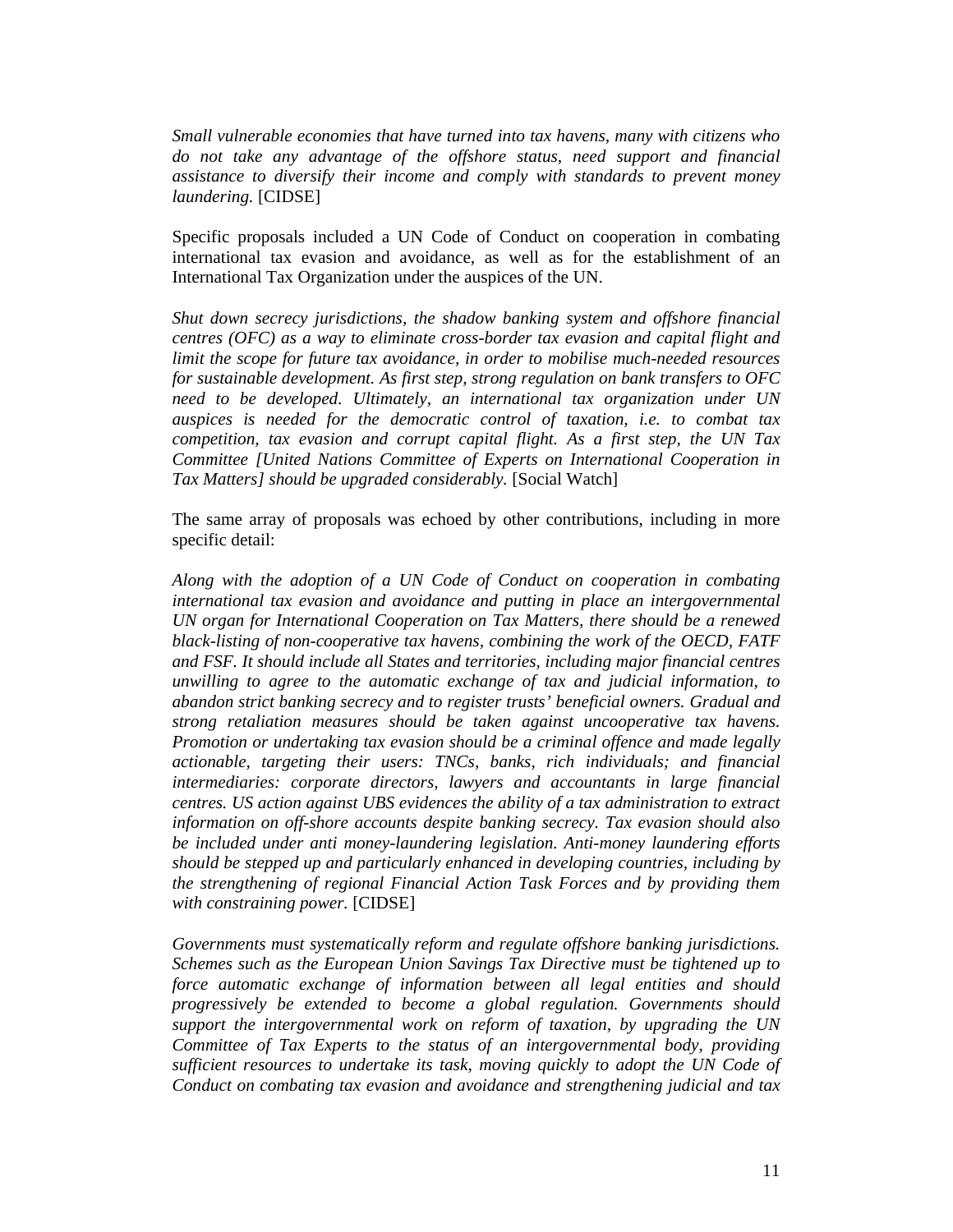*Small vulnerable economies that have turned into tax havens, many with citizens who do not take any advantage of the offshore status, need support and financial assistance to diversify their income and comply with standards to prevent money laundering.* [CIDSE]

Specific proposals included a UN Code of Conduct on cooperation in combating international tax evasion and avoidance, as well as for the establishment of an International Tax Organization under the auspices of the UN.

*Shut down secrecy jurisdictions, the shadow banking system and offshore financial centres (OFC) as a way to eliminate cross-border tax evasion and capital flight and limit the scope for future tax avoidance, in order to mobilise much-needed resources for sustainable development. As first step, strong regulation on bank transfers to OFC need to be developed. Ultimately, an international tax organization under UN auspices is needed for the democratic control of taxation, i.e. to combat tax competition, tax evasion and corrupt capital flight. As a first step, the UN Tax Committee [United Nations Committee of Experts on International Cooperation in*  Tax Matters] should be upgraded considerably. [Social Watch]

The same array of proposals was echoed by other contributions, including in more specific detail:

*Along with the adoption of a UN Code of Conduct on cooperation in combating international tax evasion and avoidance and putting in place an intergovernmental UN organ for International Cooperation on Tax Matters, there should be a renewed black-listing of non-cooperative tax havens, combining the work of the OECD, FATF and FSF. It should include all States and territories, including major financial centres unwilling to agree to the automatic exchange of tax and judicial information, to abandon strict banking secrecy and to register trusts' beneficial owners. Gradual and strong retaliation measures should be taken against uncooperative tax havens. Promotion or undertaking tax evasion should be a criminal offence and made legally actionable, targeting their users: TNCs, banks, rich individuals; and financial intermediaries: corporate directors, lawyers and accountants in large financial centres. US action against UBS evidences the ability of a tax administration to extract information on off-shore accounts despite banking secrecy. Tax evasion should also be included under anti money-laundering legislation. Anti-money laundering efforts should be stepped up and particularly enhanced in developing countries, including by the strengthening of regional Financial Action Task Forces and by providing them with constraining power.* [CIDSE]

*Governments must systematically reform and regulate offshore banking jurisdictions. Schemes such as the European Union Savings Tax Directive must be tightened up to force automatic exchange of information between all legal entities and should progressively be extended to become a global regulation. Governments should support the intergovernmental work on reform of taxation, by upgrading the UN Committee of Tax Experts to the status of an intergovernmental body, providing sufficient resources to undertake its task, moving quickly to adopt the UN Code of Conduct on combating tax evasion and avoidance and strengthening judicial and tax*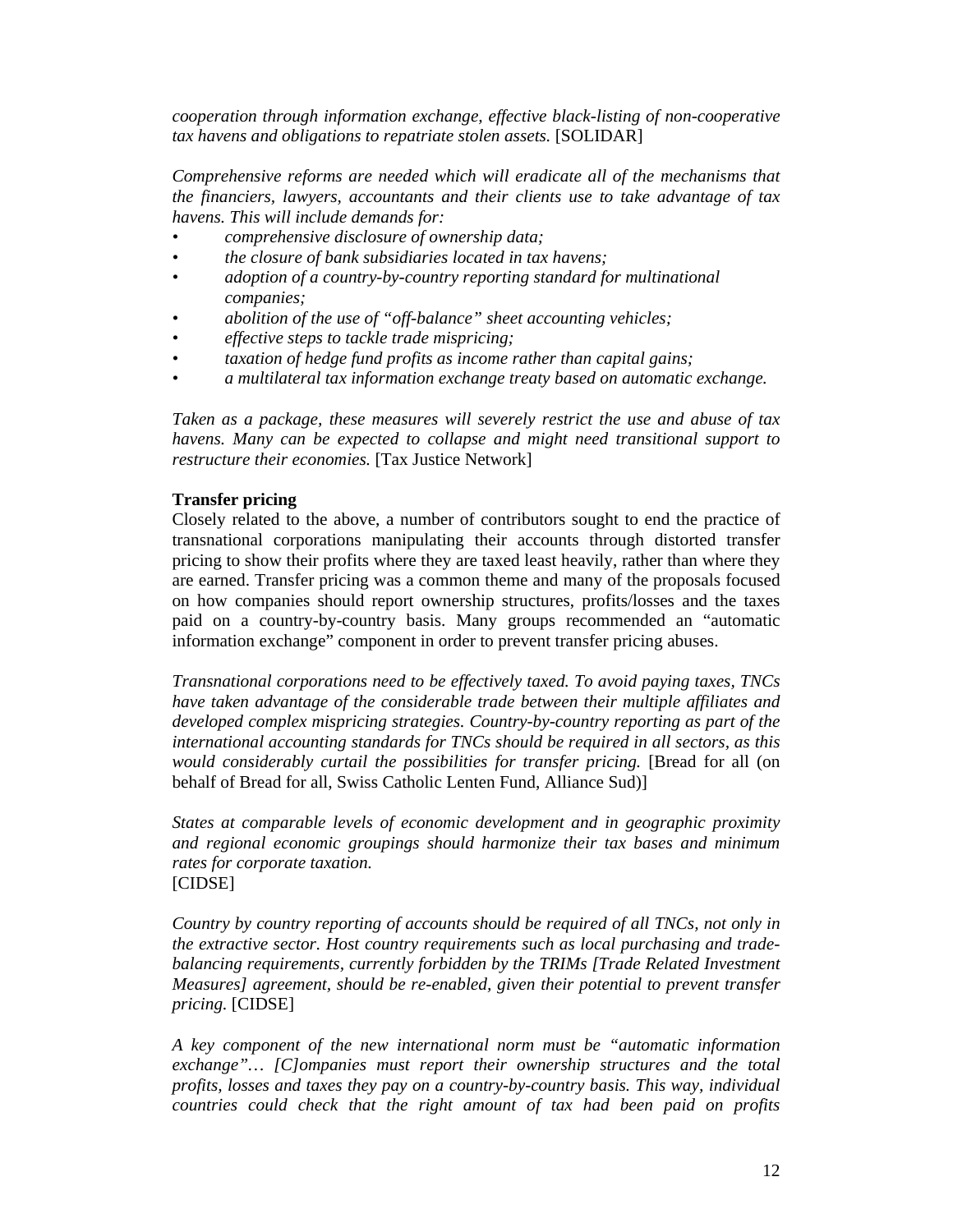*cooperation through information exchange, effective black-listing of non-cooperative tax havens and obligations to repatriate stolen assets.* [SOLIDAR]

*Comprehensive reforms are needed which will eradicate all of the mechanisms that the financiers, lawyers, accountants and their clients use to take advantage of tax havens. This will include demands for:* 

- *comprehensive disclosure of ownership data;*
- *the closure of bank subsidiaries located in tax havens;*
- *adoption of a country-by-country reporting standard for multinational companies;*
- *abolition of the use of "off-balance" sheet accounting vehicles;*
- *effective steps to tackle trade mispricing;*
- *taxation of hedge fund profits as income rather than capital gains;*
- *a multilateral tax information exchange treaty based on automatic exchange.*

*Taken as a package, these measures will severely restrict the use and abuse of tax havens. Many can be expected to collapse and might need transitional support to restructure their economies.* [Tax Justice Network]

#### **Transfer pricing**

Closely related to the above, a number of contributors sought to end the practice of transnational corporations manipulating their accounts through distorted transfer pricing to show their profits where they are taxed least heavily, rather than where they are earned. Transfer pricing was a common theme and many of the proposals focused on how companies should report ownership structures, profits/losses and the taxes paid on a country-by-country basis. Many groups recommended an "automatic information exchange" component in order to prevent transfer pricing abuses.

*Transnational corporations need to be effectively taxed. To avoid paying taxes, TNCs have taken advantage of the considerable trade between their multiple affiliates and developed complex mispricing strategies. Country-by-country reporting as part of the international accounting standards for TNCs should be required in all sectors, as this would considerably curtail the possibilities for transfer pricing.* [Bread for all (on behalf of Bread for all, Swiss Catholic Lenten Fund, Alliance Sud)]

*States at comparable levels of economic development and in geographic proximity and regional economic groupings should harmonize their tax bases and minimum rates for corporate taxation.* [CIDSE]

*Country by country reporting of accounts should be required of all TNCs, not only in the extractive sector. Host country requirements such as local purchasing and tradebalancing requirements, currently forbidden by the TRIMs [Trade Related Investment Measures] agreement, should be re-enabled, given their potential to prevent transfer pricing.* [CIDSE]

*A key component of the new international norm must be "automatic information exchange"… [C]ompanies must report their ownership structures and the total profits, losses and taxes they pay on a country-by-country basis. This way, individual countries could check that the right amount of tax had been paid on profits*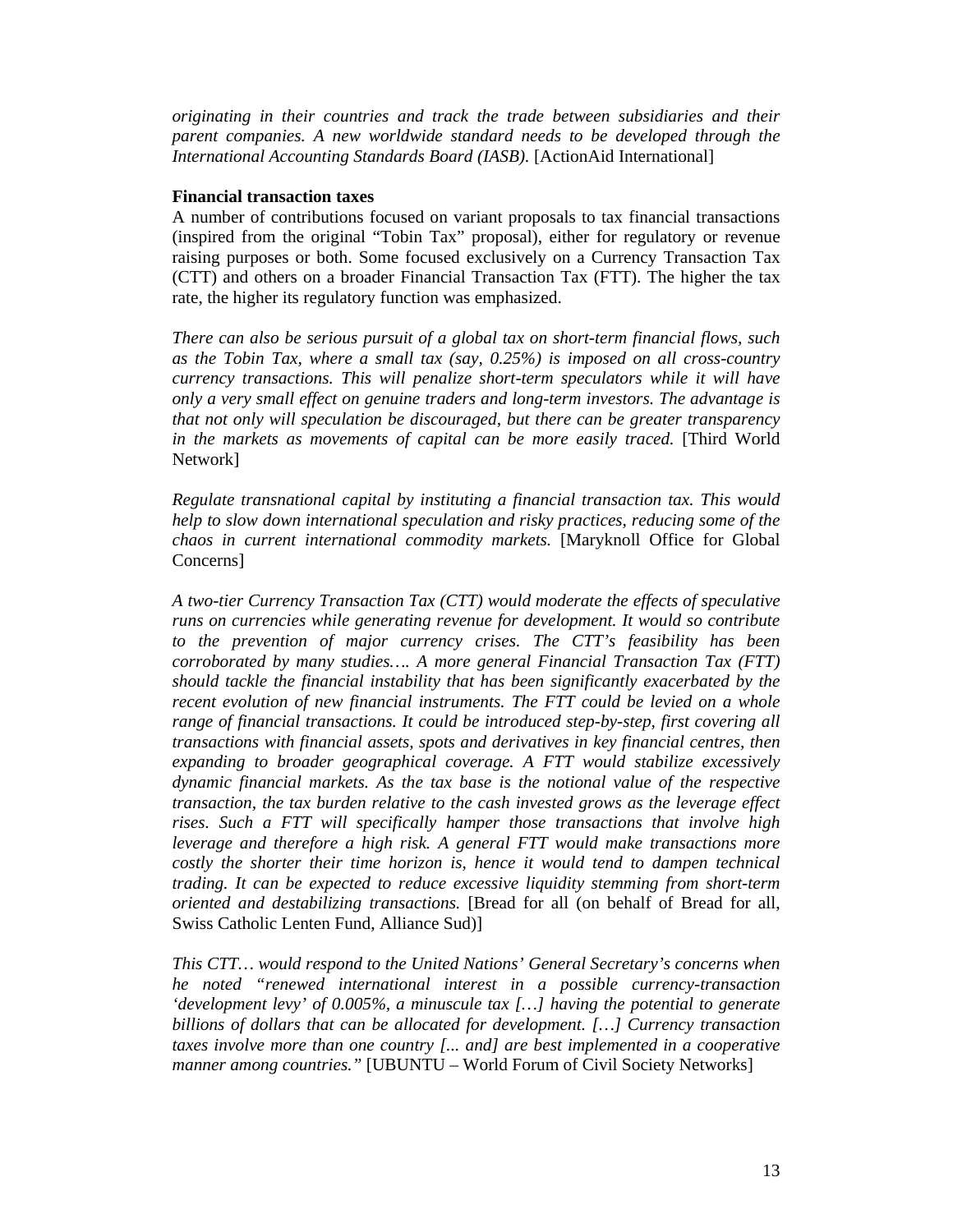*originating in their countries and track the trade between subsidiaries and their parent companies. A new worldwide standard needs to be developed through the International Accounting Standards Board (IASB).* [ActionAid International]

#### **Financial transaction taxes**

A number of contributions focused on variant proposals to tax financial transactions (inspired from the original "Tobin Tax" proposal), either for regulatory or revenue raising purposes or both. Some focused exclusively on a Currency Transaction Tax (CTT) and others on a broader Financial Transaction Tax (FTT). The higher the tax rate, the higher its regulatory function was emphasized.

*There can also be serious pursuit of a global tax on short-term financial flows, such as the Tobin Tax, where a small tax (say, 0.25%) is imposed on all cross-country currency transactions. This will penalize short-term speculators while it will have only a very small effect on genuine traders and long-term investors. The advantage is that not only will speculation be discouraged, but there can be greater transparency in the markets as movements of capital can be more easily traced.* [Third World Network]

*Regulate transnational capital by instituting a financial transaction tax. This would help to slow down international speculation and risky practices, reducing some of the chaos in current international commodity markets.* [Maryknoll Office for Global Concerns]

*A two-tier Currency Transaction Tax (CTT) would moderate the effects of speculative runs on currencies while generating revenue for development. It would so contribute to the prevention of major currency crises. The CTT's feasibility has been corroborated by many studies…. A more general Financial Transaction Tax (FTT) should tackle the financial instability that has been significantly exacerbated by the recent evolution of new financial instruments. The FTT could be levied on a whole range of financial transactions. It could be introduced step-by-step, first covering all transactions with financial assets, spots and derivatives in key financial centres, then expanding to broader geographical coverage. A FTT would stabilize excessively dynamic financial markets. As the tax base is the notional value of the respective transaction, the tax burden relative to the cash invested grows as the leverage effect rises. Such a FTT will specifically hamper those transactions that involve high leverage and therefore a high risk. A general FTT would make transactions more costly the shorter their time horizon is, hence it would tend to dampen technical trading. It can be expected to reduce excessive liquidity stemming from short-term oriented and destabilizing transactions.* [Bread for all (on behalf of Bread for all, Swiss Catholic Lenten Fund, Alliance Sud)]

*This CTT… would respond to the United Nations' General Secretary's concerns when he noted "renewed international interest in a possible currency-transaction 'development levy' of 0.005%, a minuscule tax […] having the potential to generate billions of dollars that can be allocated for development. […] Currency transaction taxes involve more than one country [... and] are best implemented in a cooperative manner among countries."* [UBUNTU – World Forum of Civil Society Networks]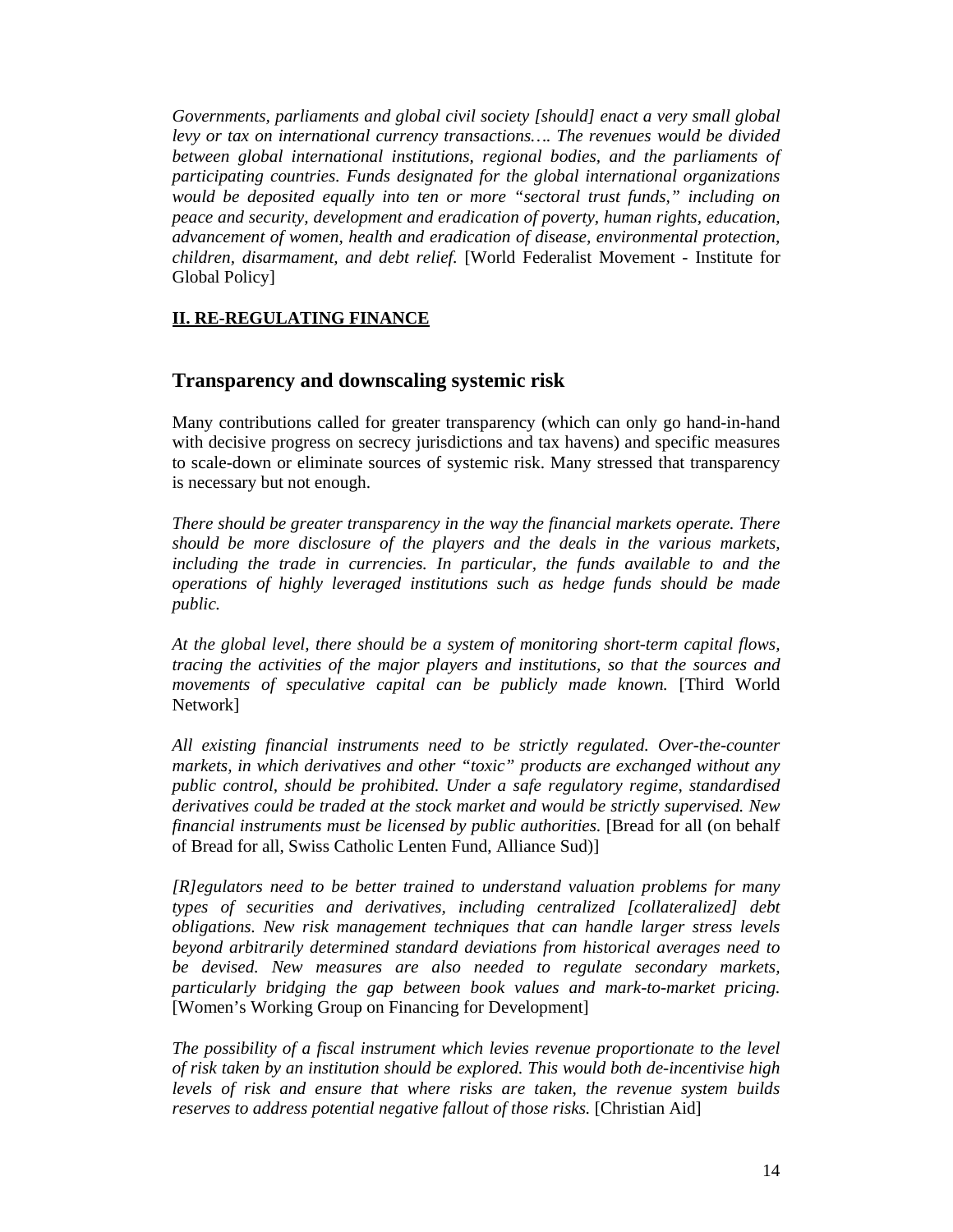*Governments, parliaments and global civil society [should] enact a very small global levy or tax on international currency transactions…. The revenues would be divided between global international institutions, regional bodies, and the parliaments of participating countries. Funds designated for the global international organizations would be deposited equally into ten or more "sectoral trust funds," including on peace and security, development and eradication of poverty, human rights, education, advancement of women, health and eradication of disease, environmental protection, children, disarmament, and debt relief.* [World Federalist Movement - Institute for Global Policy]

### **II. RE-REGULATING FINANCE**

## **Transparency and downscaling systemic risk**

Many contributions called for greater transparency (which can only go hand-in-hand with decisive progress on secrecy jurisdictions and tax havens) and specific measures to scale-down or eliminate sources of systemic risk. Many stressed that transparency is necessary but not enough.

*There should be greater transparency in the way the financial markets operate. There should be more disclosure of the players and the deals in the various markets,*  including the trade in currencies. In particular, the funds available to and the *operations of highly leveraged institutions such as hedge funds should be made public.* 

*At the global level, there should be a system of monitoring short-term capital flows, tracing the activities of the major players and institutions, so that the sources and movements of speculative capital can be publicly made known.* [Third World Network]

*All existing financial instruments need to be strictly regulated. Over-the-counter markets, in which derivatives and other "toxic" products are exchanged without any public control, should be prohibited. Under a safe regulatory regime, standardised derivatives could be traded at the stock market and would be strictly supervised. New financial instruments must be licensed by public authorities.* [Bread for all (on behalf of Bread for all, Swiss Catholic Lenten Fund, Alliance Sud)]

*[R]egulators need to be better trained to understand valuation problems for many types of securities and derivatives, including centralized [collateralized] debt obligations. New risk management techniques that can handle larger stress levels beyond arbitrarily determined standard deviations from historical averages need to be devised. New measures are also needed to regulate secondary markets, particularly bridging the gap between book values and mark-to-market pricing.*  [Women's Working Group on Financing for Development]

*The possibility of a fiscal instrument which levies revenue proportionate to the level of risk taken by an institution should be explored. This would both de-incentivise high levels of risk and ensure that where risks are taken, the revenue system builds reserves to address potential negative fallout of those risks.* [Christian Aid]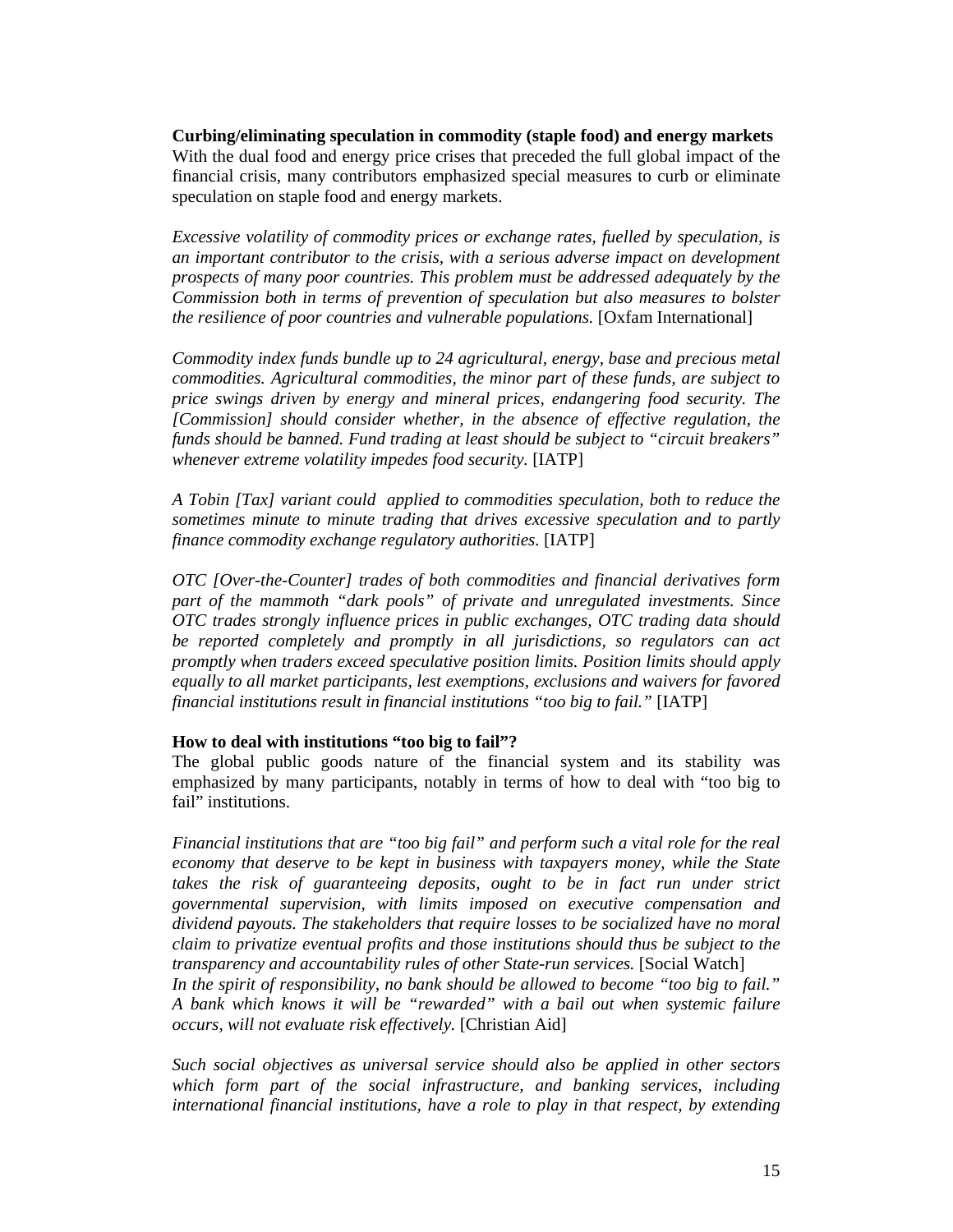**Curbing/eliminating speculation in commodity (staple food) and energy markets**  With the dual food and energy price crises that preceded the full global impact of the financial crisis, many contributors emphasized special measures to curb or eliminate speculation on staple food and energy markets.

*Excessive volatility of commodity prices or exchange rates, fuelled by speculation, is an important contributor to the crisis, with a serious adverse impact on development prospects of many poor countries. This problem must be addressed adequately by the Commission both in terms of prevention of speculation but also measures to bolster the resilience of poor countries and vulnerable populations.* [Oxfam International]

*Commodity index funds bundle up to 24 agricultural, energy, base and precious metal commodities. Agricultural commodities, the minor part of these funds, are subject to price swings driven by energy and mineral prices, endangering food security. The [Commission] should consider whether, in the absence of effective regulation, the funds should be banned. Fund trading at least should be subject to "circuit breakers" whenever extreme volatility impedes food security.* [IATP]

*A Tobin [Tax] variant could applied to commodities speculation, both to reduce the sometimes minute to minute trading that drives excessive speculation and to partly finance commodity exchange regulatory authorities.* [IATP]

*OTC [Over-the-Counter] trades of both commodities and financial derivatives form part of the mammoth "dark pools" of private and unregulated investments. Since OTC trades strongly influence prices in public exchanges, OTC trading data should be reported completely and promptly in all jurisdictions, so regulators can act promptly when traders exceed speculative position limits. Position limits should apply equally to all market participants, lest exemptions, exclusions and waivers for favored financial institutions result in financial institutions "too big to fail."* [IATP]

#### **How to deal with institutions "too big to fail"?**

The global public goods nature of the financial system and its stability was emphasized by many participants, notably in terms of how to deal with "too big to fail" institutions.

*Financial institutions that are "too big fail" and perform such a vital role for the real economy that deserve to be kept in business with taxpayers money, while the State takes the risk of guaranteeing deposits, ought to be in fact run under strict governmental supervision, with limits imposed on executive compensation and dividend payouts. The stakeholders that require losses to be socialized have no moral claim to privatize eventual profits and those institutions should thus be subject to the transparency and accountability rules of other State-run services.* [Social Watch] *In the spirit of responsibility, no bank should be allowed to become "too big to fail." A bank which knows it will be "rewarded" with a bail out when systemic failure occurs, will not evaluate risk effectively.* [Christian Aid]

*Such social objectives as universal service should also be applied in other sectors which form part of the social infrastructure, and banking services, including international financial institutions, have a role to play in that respect, by extending*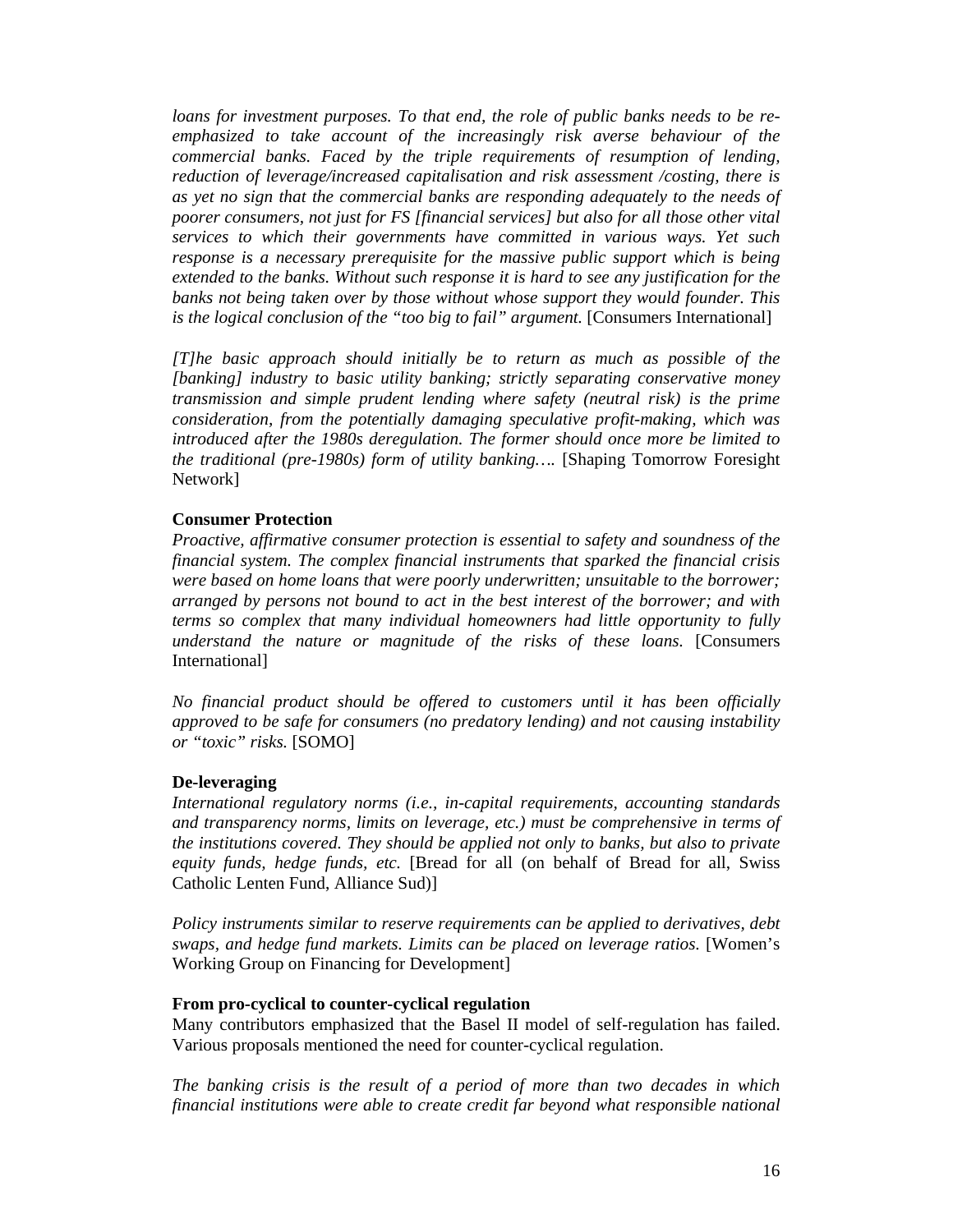*loans for investment purposes. To that end, the role of public banks needs to be reemphasized to take account of the increasingly risk averse behaviour of the commercial banks. Faced by the triple requirements of resumption of lending, reduction of leverage/increased capitalisation and risk assessment /costing, there is as yet no sign that the commercial banks are responding adequately to the needs of poorer consumers, not just for FS [financial services] but also for all those other vital services to which their governments have committed in various ways. Yet such response is a necessary prerequisite for the massive public support which is being extended to the banks. Without such response it is hard to see any justification for the banks not being taken over by those without whose support they would founder. This is the logical conclusion of the "too big to fail" argument.* [Consumers International]

*[T]he basic approach should initially be to return as much as possible of the [banking] industry to basic utility banking; strictly separating conservative money transmission and simple prudent lending where safety (neutral risk) is the prime consideration, from the potentially damaging speculative profit-making, which was introduced after the 1980s deregulation. The former should once more be limited to the traditional (pre-1980s) form of utility banking….* [Shaping Tomorrow Foresight Network]

#### **Consumer Protection**

*Proactive, affirmative consumer protection is essential to safety and soundness of the financial system. The complex financial instruments that sparked the financial crisis were based on home loans that were poorly underwritten; unsuitable to the borrower; arranged by persons not bound to act in the best interest of the borrower; and with terms so complex that many individual homeowners had little opportunity to fully understand the nature or magnitude of the risks of these loans.* [Consumers International]

*No financial product should be offered to customers until it has been officially approved to be safe for consumers (no predatory lending) and not causing instability or "toxic" risks.* [SOMO]

#### **De-leveraging**

*International regulatory norms (i.e., in-capital requirements, accounting standards and transparency norms, limits on leverage, etc.) must be comprehensive in terms of the institutions covered. They should be applied not only to banks, but also to private equity funds, hedge funds, etc.* [Bread for all (on behalf of Bread for all, Swiss Catholic Lenten Fund, Alliance Sud)]

*Policy instruments similar to reserve requirements can be applied to derivatives, debt swaps, and hedge fund markets. Limits can be placed on leverage ratios.* [Women's Working Group on Financing for Development]

#### **From pro-cyclical to counter-cyclical regulation**

Many contributors emphasized that the Basel II model of self-regulation has failed. Various proposals mentioned the need for counter-cyclical regulation.

*The banking crisis is the result of a period of more than two decades in which financial institutions were able to create credit far beyond what responsible national*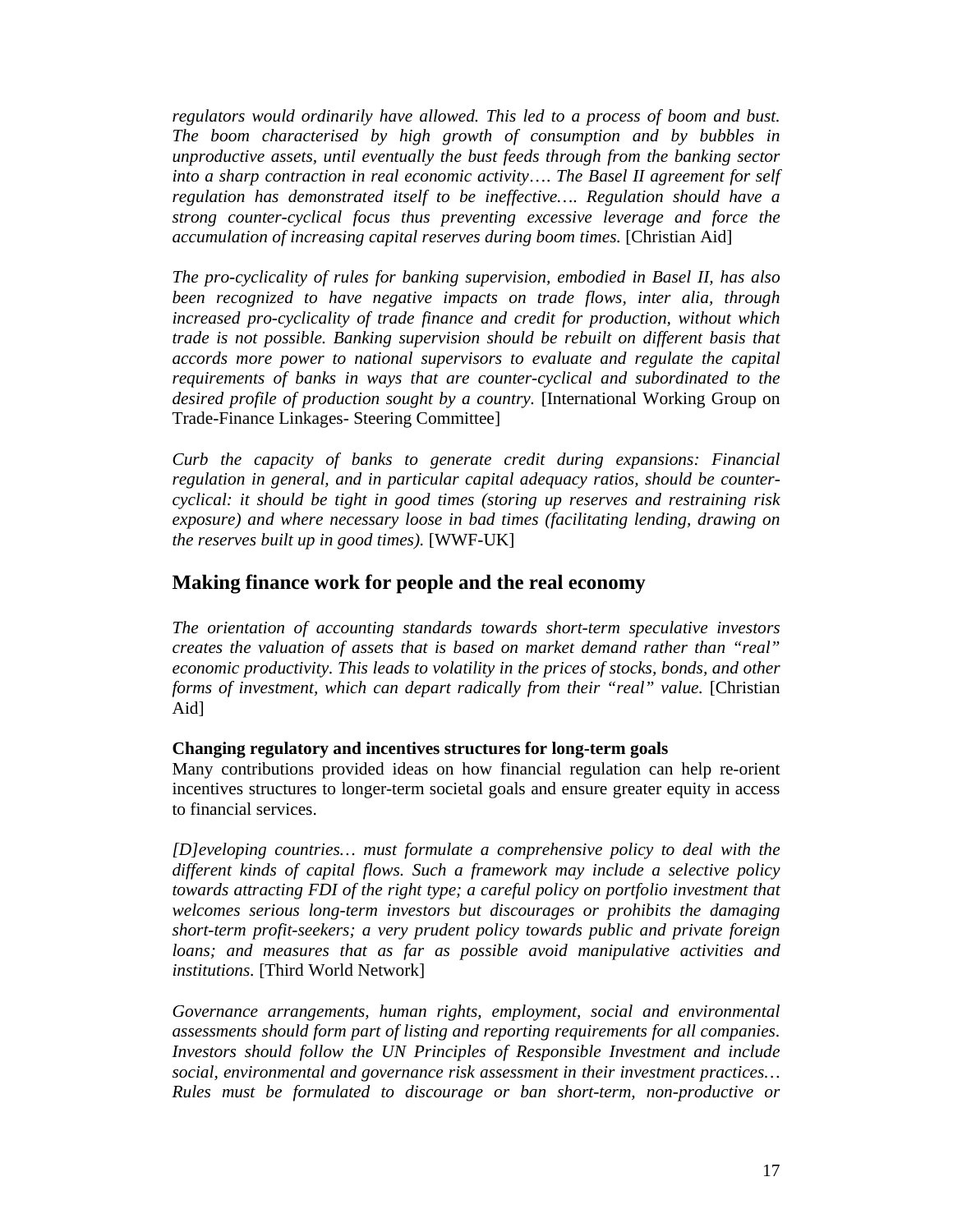*regulators would ordinarily have allowed. This led to a process of boom and bust. The boom characterised by high growth of consumption and by bubbles in unproductive assets, until eventually the bust feeds through from the banking sector into a sharp contraction in real economic activity*…. *The Basel II agreement for self regulation has demonstrated itself to be ineffective…*. *Regulation should have a strong counter-cyclical focus thus preventing excessive leverage and force the accumulation of increasing capital reserves during boom times.* [Christian Aid]

*The pro-cyclicality of rules for banking supervision, embodied in Basel II, has also been recognized to have negative impacts on trade flows, inter alia, through increased pro-cyclicality of trade finance and credit for production, without which trade is not possible. Banking supervision should be rebuilt on different basis that accords more power to national supervisors to evaluate and regulate the capital requirements of banks in ways that are counter-cyclical and subordinated to the desired profile of production sought by a country.* [International Working Group on Trade-Finance Linkages- Steering Committee]

*Curb the capacity of banks to generate credit during expansions: Financial regulation in general, and in particular capital adequacy ratios, should be countercyclical: it should be tight in good times (storing up reserves and restraining risk exposure) and where necessary loose in bad times (facilitating lending, drawing on the reserves built up in good times).* [WWF-UK]

## **Making finance work for people and the real economy**

*The orientation of accounting standards towards short-term speculative investors creates the valuation of assets that is based on market demand rather than "real" economic productivity. This leads to volatility in the prices of stocks, bonds, and other forms of investment, which can depart radically from their "real" value.* [Christian] Aid]

#### **Changing regulatory and incentives structures for long-term goals**

Many contributions provided ideas on how financial regulation can help re-orient incentives structures to longer-term societal goals and ensure greater equity in access to financial services.

*[D]eveloping countries… must formulate a comprehensive policy to deal with the different kinds of capital flows. Such a framework may include a selective policy towards attracting FDI of the right type; a careful policy on portfolio investment that welcomes serious long-term investors but discourages or prohibits the damaging short-term profit-seekers; a very prudent policy towards public and private foreign loans; and measures that as far as possible avoid manipulative activities and institutions.* [Third World Network]

*Governance arrangements, human rights, employment, social and environmental assessments should form part of listing and reporting requirements for all companies. Investors should follow the UN Principles of Responsible Investment and include social, environmental and governance risk assessment in their investment practices… Rules must be formulated to discourage or ban short-term, non-productive or*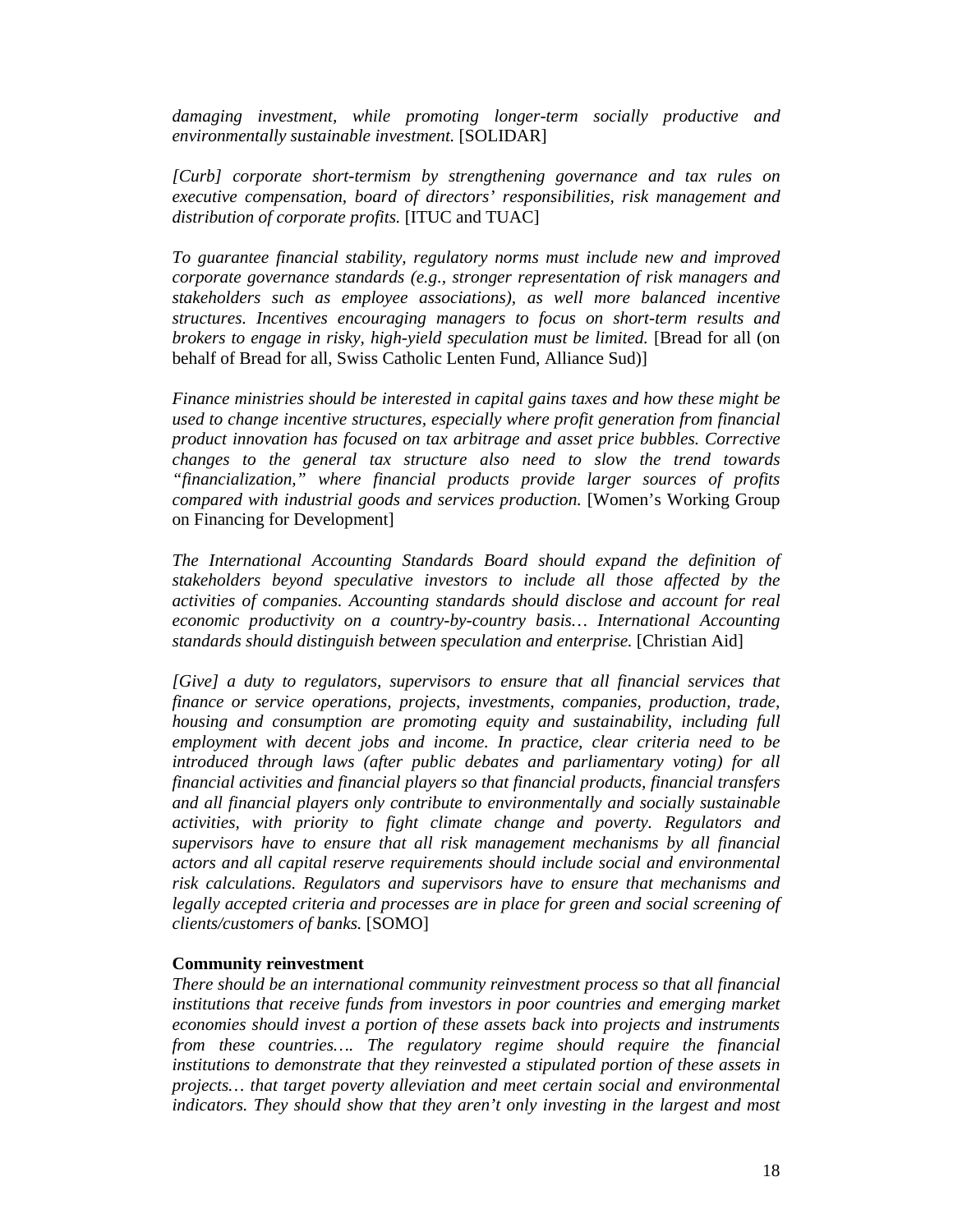*damaging investment, while promoting longer-term socially productive and environmentally sustainable investment.* [SOLIDAR]

*[Curb] corporate short-termism by strengthening governance and tax rules on executive compensation, board of directors' responsibilities, risk management and distribution of corporate profits.* [ITUC and TUAC]

*To guarantee financial stability, regulatory norms must include new and improved corporate governance standards (e.g., stronger representation of risk managers and stakeholders such as employee associations), as well more balanced incentive structures. Incentives encouraging managers to focus on short-term results and brokers to engage in risky, high-yield speculation must be limited.* [Bread for all (on behalf of Bread for all, Swiss Catholic Lenten Fund, Alliance Sud)]

*Finance ministries should be interested in capital gains taxes and how these might be used to change incentive structures, especially where profit generation from financial product innovation has focused on tax arbitrage and asset price bubbles. Corrective changes to the general tax structure also need to slow the trend towards "financialization," where financial products provide larger sources of profits compared with industrial goods and services production.* [Women's Working Group on Financing for Development]

*The International Accounting Standards Board should expand the definition of stakeholders beyond speculative investors to include all those affected by the activities of companies. Accounting standards should disclose and account for real economic productivity on a country-by-country basis… International Accounting standards should distinguish between speculation and enterprise.* [Christian Aid]

*[Give] a duty to regulators, supervisors to ensure that all financial services that finance or service operations, projects, investments, companies, production, trade, housing and consumption are promoting equity and sustainability, including full employment with decent jobs and income. In practice, clear criteria need to be introduced through laws (after public debates and parliamentary voting) for all financial activities and financial players so that financial products, financial transfers and all financial players only contribute to environmentally and socially sustainable activities, with priority to fight climate change and poverty. Regulators and supervisors have to ensure that all risk management mechanisms by all financial actors and all capital reserve requirements should include social and environmental risk calculations. Regulators and supervisors have to ensure that mechanisms and legally accepted criteria and processes are in place for green and social screening of clients/customers of banks.* [SOMO]

#### **Community reinvestment**

*There should be an international community reinvestment process so that all financial institutions that receive funds from investors in poor countries and emerging market economies should invest a portion of these assets back into projects and instruments from these countries…. The regulatory regime should require the financial institutions to demonstrate that they reinvested a stipulated portion of these assets in projects… that target poverty alleviation and meet certain social and environmental indicators. They should show that they aren't only investing in the largest and most*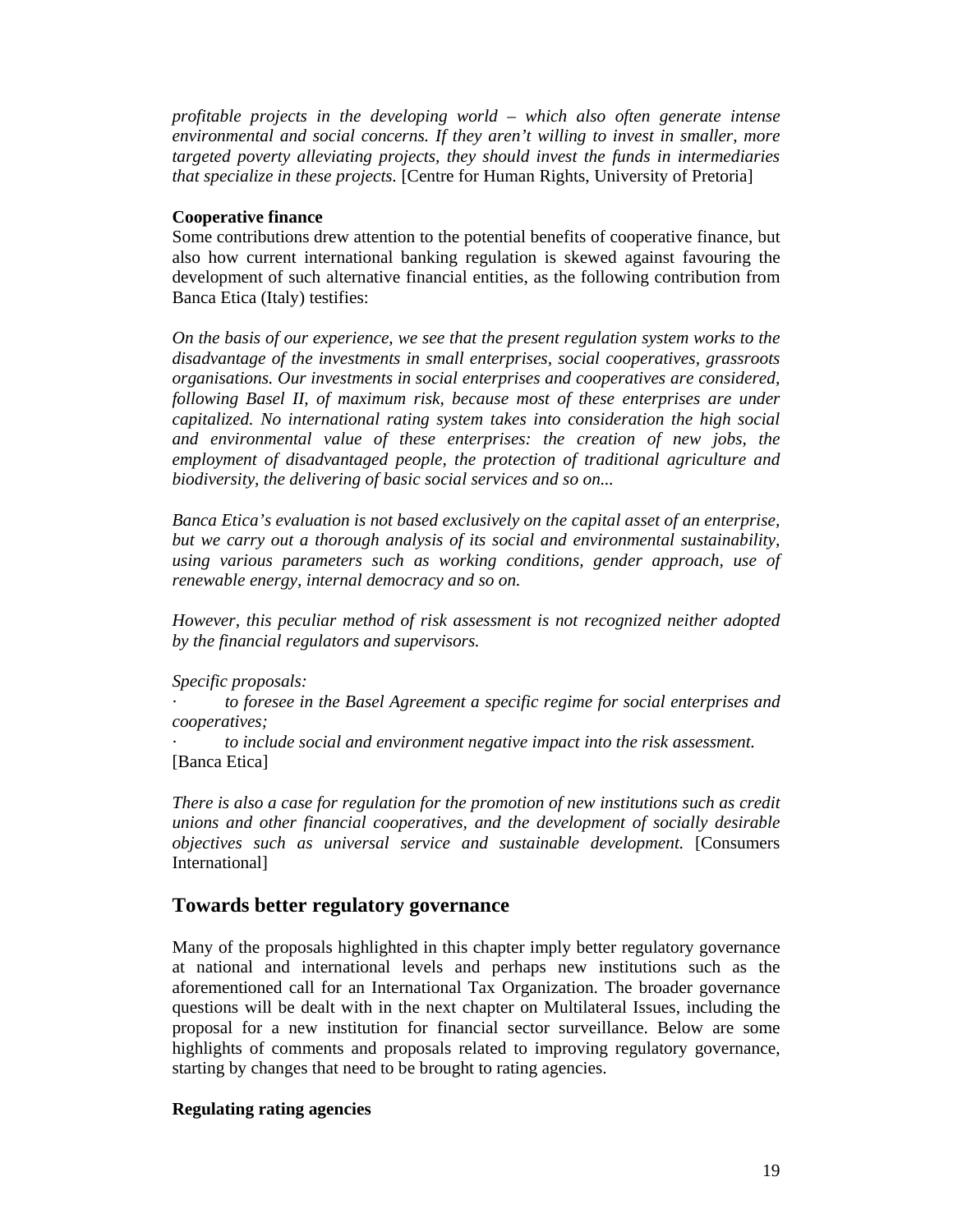*profitable projects in the developing world – which also often generate intense environmental and social concerns. If they aren't willing to invest in smaller, more targeted poverty alleviating projects, they should invest the funds in intermediaries that specialize in these projects.* [Centre for Human Rights, University of Pretoria]

#### **Cooperative finance**

Some contributions drew attention to the potential benefits of cooperative finance, but also how current international banking regulation is skewed against favouring the development of such alternative financial entities, as the following contribution from Banca Etica (Italy) testifies:

*On the basis of our experience, we see that the present regulation system works to the disadvantage of the investments in small enterprises, social cooperatives, grassroots organisations. Our investments in social enterprises and cooperatives are considered, following Basel II, of maximum risk, because most of these enterprises are under capitalized. No international rating system takes into consideration the high social and environmental value of these enterprises: the creation of new jobs, the employment of disadvantaged people, the protection of traditional agriculture and biodiversity, the delivering of basic social services and so on...* 

*Banca Etica's evaluation is not based exclusively on the capital asset of an enterprise, but we carry out a thorough analysis of its social and environmental sustainability, using various parameters such as working conditions, gender approach, use of renewable energy, internal democracy and so on.* 

*However, this peculiar method of risk assessment is not recognized neither adopted by the financial regulators and supervisors.* 

*Specific proposals:* 

*· to foresee in the Basel Agreement a specific regime for social enterprises and cooperatives;* 

*· to include social and environment negative impact into the risk assessment.*  [Banca Etica]

*There is also a case for regulation for the promotion of new institutions such as credit unions and other financial cooperatives, and the development of socially desirable objectives such as universal service and sustainable development.* [Consumers International]

## **Towards better regulatory governance**

Many of the proposals highlighted in this chapter imply better regulatory governance at national and international levels and perhaps new institutions such as the aforementioned call for an International Tax Organization. The broader governance questions will be dealt with in the next chapter on Multilateral Issues, including the proposal for a new institution for financial sector surveillance. Below are some highlights of comments and proposals related to improving regulatory governance, starting by changes that need to be brought to rating agencies.

#### **Regulating rating agencies**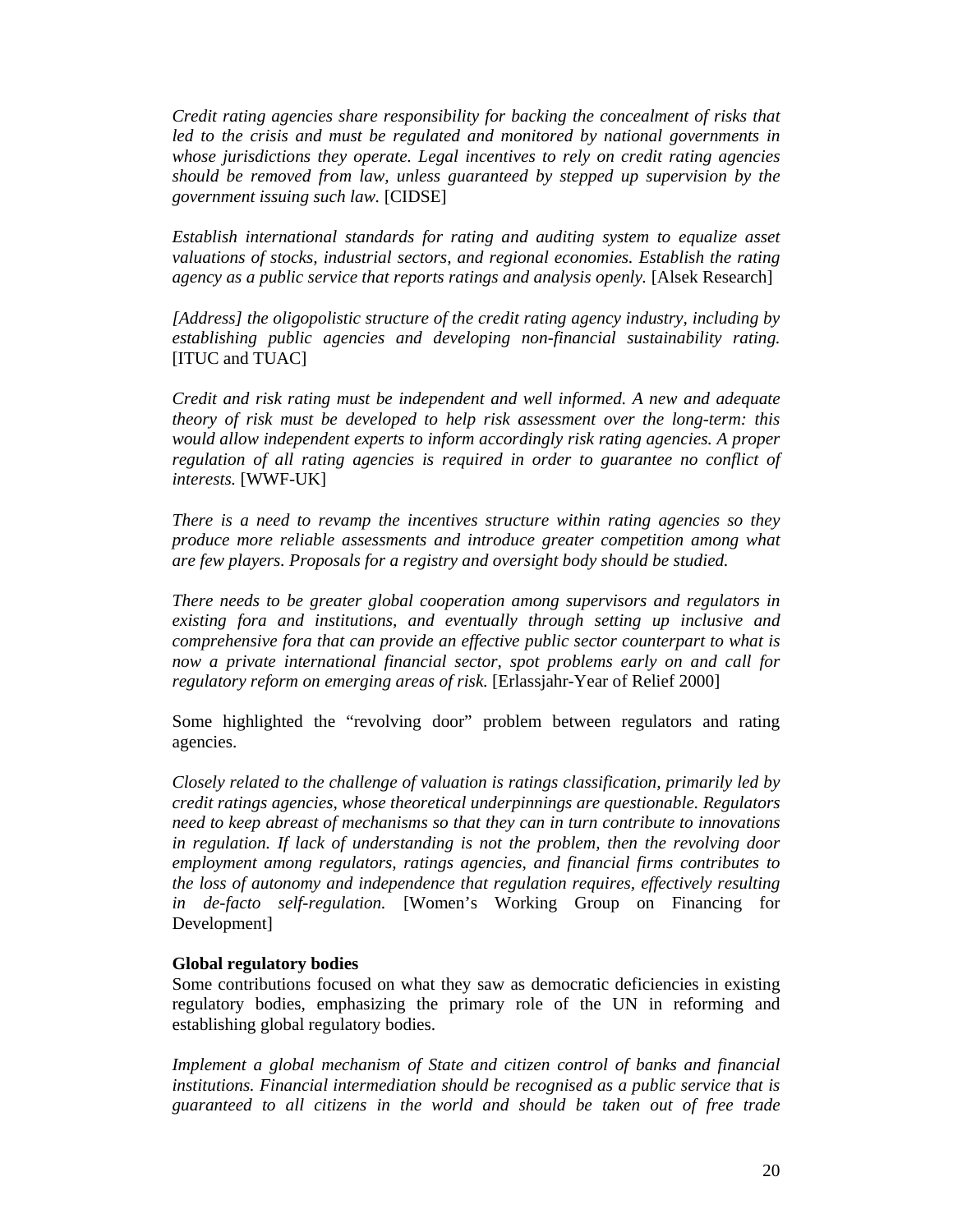*Credit rating agencies share responsibility for backing the concealment of risks that*  led to the crisis and must be regulated and monitored by national governments in *whose jurisdictions they operate. Legal incentives to rely on credit rating agencies should be removed from law, unless guaranteed by stepped up supervision by the government issuing such law.* [CIDSE]

*Establish international standards for rating and auditing system to equalize asset valuations of stocks, industrial sectors, and regional economies. Establish the rating agency as a public service that reports ratings and analysis openly.* [Alsek Research]

*[Address] the oligopolistic structure of the credit rating agency industry, including by establishing public agencies and developing non-financial sustainability rating.*  [ITUC and TUAC]

*Credit and risk rating must be independent and well informed. A new and adequate theory of risk must be developed to help risk assessment over the long-term: this would allow independent experts to inform accordingly risk rating agencies. A proper regulation of all rating agencies is required in order to guarantee no conflict of interests.* [WWF-UK]

*There is a need to revamp the incentives structure within rating agencies so they produce more reliable assessments and introduce greater competition among what are few players. Proposals for a registry and oversight body should be studied.* 

*There needs to be greater global cooperation among supervisors and regulators in existing fora and institutions, and eventually through setting up inclusive and comprehensive fora that can provide an effective public sector counterpart to what is now a private international financial sector, spot problems early on and call for regulatory reform on emerging areas of risk.* [Erlassjahr-Year of Relief 2000]

Some highlighted the "revolving door" problem between regulators and rating agencies.

*Closely related to the challenge of valuation is ratings classification, primarily led by credit ratings agencies, whose theoretical underpinnings are questionable. Regulators need to keep abreast of mechanisms so that they can in turn contribute to innovations in regulation. If lack of understanding is not the problem, then the revolving door employment among regulators, ratings agencies, and financial firms contributes to the loss of autonomy and independence that regulation requires, effectively resulting in de-facto self-regulation.* [Women's Working Group on Financing for Development]

#### **Global regulatory bodies**

Some contributions focused on what they saw as democratic deficiencies in existing regulatory bodies, emphasizing the primary role of the UN in reforming and establishing global regulatory bodies.

*Implement a global mechanism of State and citizen control of banks and financial institutions. Financial intermediation should be recognised as a public service that is guaranteed to all citizens in the world and should be taken out of free trade*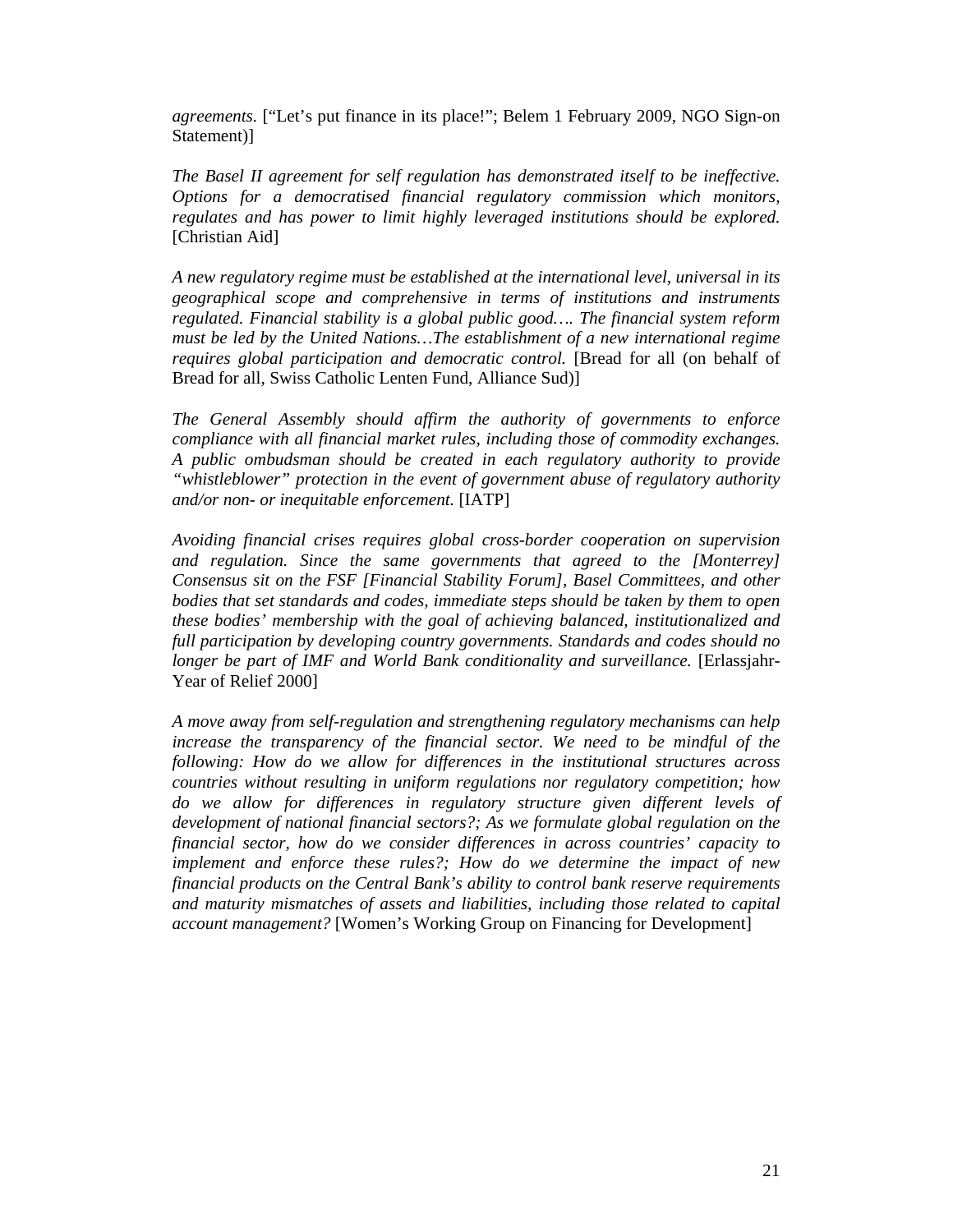*agreements.* ["Let's put finance in its place!"; Belem 1 February 2009, NGO Sign-on Statement)]

*The Basel II agreement for self regulation has demonstrated itself to be ineffective. Options for a democratised financial regulatory commission which monitors, regulates and has power to limit highly leveraged institutions should be explored.*  [Christian Aid]

*A new regulatory regime must be established at the international level, universal in its geographical scope and comprehensive in terms of institutions and instruments regulated. Financial stability is a global public good…. The financial system reform must be led by the United Nations…The establishment of a new international regime requires global participation and democratic control.* [Bread for all (on behalf of Bread for all, Swiss Catholic Lenten Fund, Alliance Sud)]

*The General Assembly should affirm the authority of governments to enforce compliance with all financial market rules, including those of commodity exchanges. A public ombudsman should be created in each regulatory authority to provide "whistleblower" protection in the event of government abuse of regulatory authority and/or non- or inequitable enforcement.* [IATP]

*Avoiding financial crises requires global cross-border cooperation on supervision and regulation. Since the same governments that agreed to the [Monterrey] Consensus sit on the FSF [Financial Stability Forum], Basel Committees, and other bodies that set standards and codes, immediate steps should be taken by them to open these bodies' membership with the goal of achieving balanced, institutionalized and full participation by developing country governments. Standards and codes should no longer be part of IMF and World Bank conditionality and surveillance.* [Erlassjahr-Year of Relief 2000]

*A move away from self-regulation and strengthening regulatory mechanisms can help increase the transparency of the financial sector. We need to be mindful of the following: How do we allow for differences in the institutional structures across countries without resulting in uniform regulations nor regulatory competition; how do we allow for differences in regulatory structure given different levels of development of national financial sectors?; As we formulate global regulation on the financial sector, how do we consider differences in across countries' capacity to implement and enforce these rules?; How do we determine the impact of new financial products on the Central Bank's ability to control bank reserve requirements and maturity mismatches of assets and liabilities, including those related to capital account management?* [Women's Working Group on Financing for Development]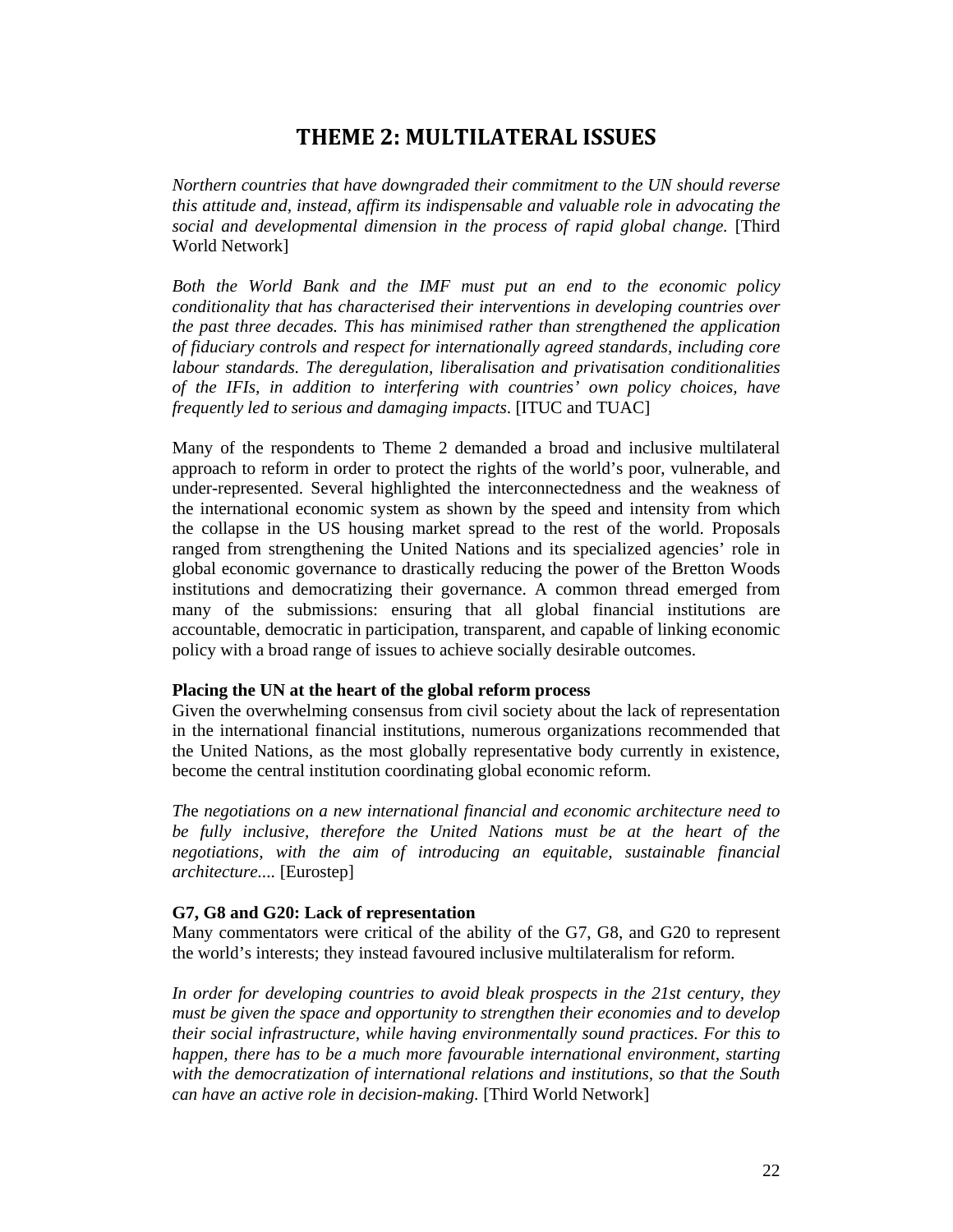## **THEME 2: MULTILATERAL ISSUES**

*Northern countries that have downgraded their commitment to the UN should reverse this attitude and, instead, affirm its indispensable and valuable role in advocating the social and developmental dimension in the process of rapid global change.* [Third World Network]

*Both the World Bank and the IMF must put an end to the economic policy conditionality that has characterised their interventions in developing countries over the past three decades. This has minimised rather than strengthened the application of fiduciary controls and respect for internationally agreed standards, including core labour standards. The deregulation, liberalisation and privatisation conditionalities of the IFIs, in addition to interfering with countries' own policy choices, have frequently led to serious and damaging impacts*. [ITUC and TUAC]

Many of the respondents to Theme 2 demanded a broad and inclusive multilateral approach to reform in order to protect the rights of the world's poor, vulnerable, and under-represented. Several highlighted the interconnectedness and the weakness of the international economic system as shown by the speed and intensity from which the collapse in the US housing market spread to the rest of the world. Proposals ranged from strengthening the United Nations and its specialized agencies' role in global economic governance to drastically reducing the power of the Bretton Woods institutions and democratizing their governance. A common thread emerged from many of the submissions: ensuring that all global financial institutions are accountable, democratic in participation, transparent, and capable of linking economic policy with a broad range of issues to achieve socially desirable outcomes.

#### **Placing the UN at the heart of the global reform process**

Given the overwhelming consensus from civil society about the lack of representation in the international financial institutions, numerous organizations recommended that the United Nations, as the most globally representative body currently in existence, become the central institution coordinating global economic reform.

*Th*e *negotiations on a new international financial and economic architecture need to be fully inclusive, therefore the United Nations must be at the heart of the negotiations, with the aim of introducing an equitable, sustainable financial architecture....* [Eurostep]

#### **G7, G8 and G20: Lack of representation**

Many commentators were critical of the ability of the G7, G8, and G20 to represent the world's interests; they instead favoured inclusive multilateralism for reform.

*In order for developing countries to avoid bleak prospects in the 21st century, they must be given the space and opportunity to strengthen their economies and to develop their social infrastructure, while having environmentally sound practices. For this to happen, there has to be a much more favourable international environment, starting with the democratization of international relations and institutions, so that the South can have an active role in decision-making.* [Third World Network]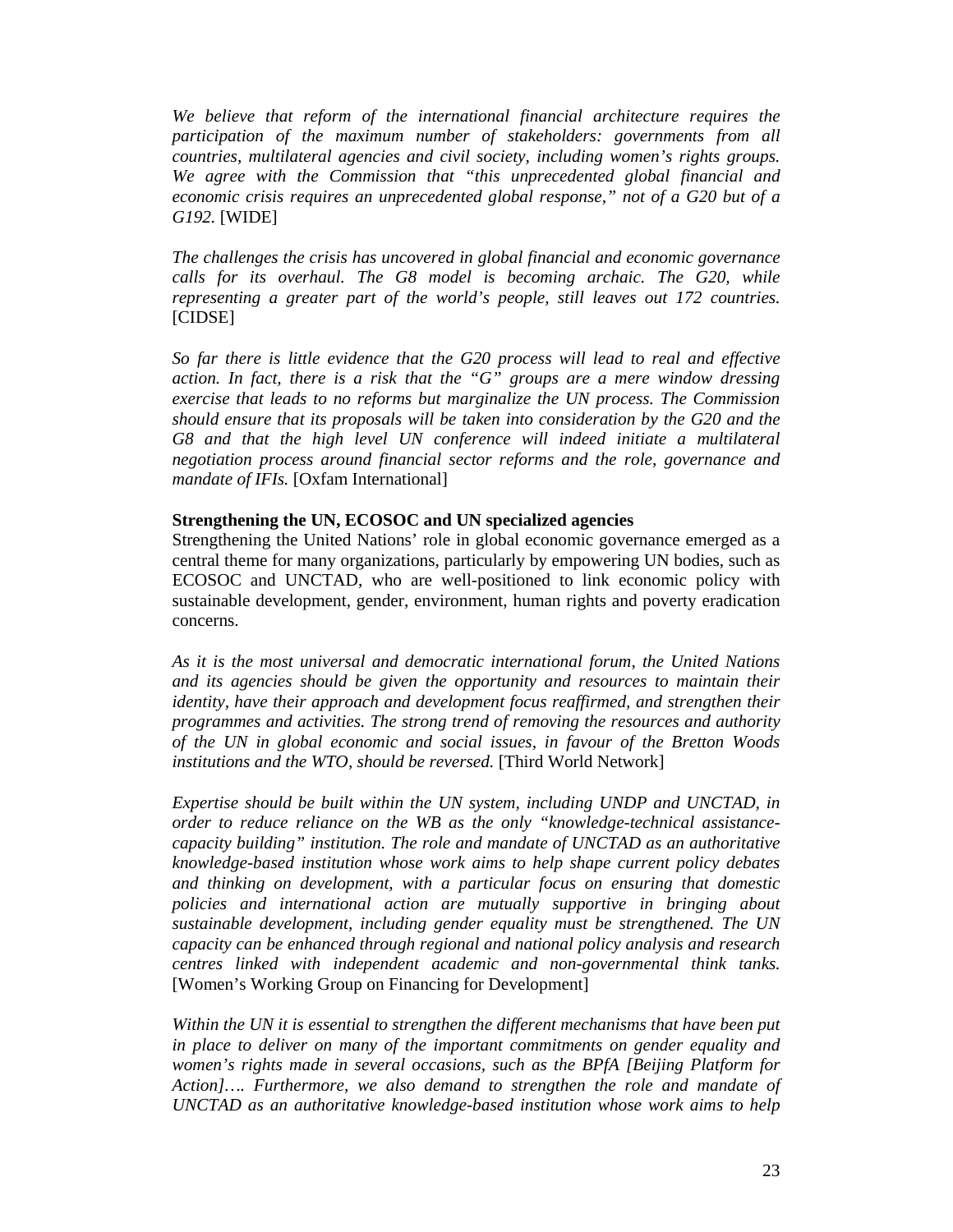*We believe that reform of the international financial architecture requires the participation of the maximum number of stakeholders: governments from all countries, multilateral agencies and civil society, including women's rights groups. We agree with the Commission that "this unprecedented global financial and economic crisis requires an unprecedented global response," not of a G20 but of a G192.* [WIDE]

*The challenges the crisis has uncovered in global financial and economic governance calls for its overhaul. The G8 model is becoming archaic. The G20, while representing a greater part of the world's people, still leaves out 172 countries.* [CIDSE]

*So far there is little evidence that the G20 process will lead to real and effective action. In fact, there is a risk that the "G" groups are a mere window dressing exercise that leads to no reforms but marginalize the UN process. The Commission should ensure that its proposals will be taken into consideration by the G20 and the*  G8 and that the high level UN conference will indeed initiate a multilateral *negotiation process around financial sector reforms and the role, governance and mandate of IFIs.* [Oxfam International]

#### **Strengthening the UN, ECOSOC and UN specialized agencies**

Strengthening the United Nations' role in global economic governance emerged as a central theme for many organizations, particularly by empowering UN bodies, such as ECOSOC and UNCTAD, who are well-positioned to link economic policy with sustainable development, gender, environment, human rights and poverty eradication concerns.

*As it is the most universal and democratic international forum, the United Nations and its agencies should be given the opportunity and resources to maintain their identity, have their approach and development focus reaffirmed, and strengthen their programmes and activities. The strong trend of removing the resources and authority of the UN in global economic and social issues, in favour of the Bretton Woods institutions and the WTO, should be reversed.* [Third World Network]

*Expertise should be built within the UN system, including UNDP and UNCTAD, in order to reduce reliance on the WB as the only "knowledge-technical assistancecapacity building" institution. The role and mandate of UNCTAD as an authoritative knowledge-based institution whose work aims to help shape current policy debates and thinking on development, with a particular focus on ensuring that domestic policies and international action are mutually supportive in bringing about sustainable development, including gender equality must be strengthened. The UN capacity can be enhanced through regional and national policy analysis and research centres linked with independent academic and non-governmental think tanks.*  [Women's Working Group on Financing for Development]

*Within the UN it is essential to strengthen the different mechanisms that have been put in place to deliver on many of the important commitments on gender equality and women's rights made in several occasions, such as the BPfA [Beijing Platform for Action]…. Furthermore, we also demand to strengthen the role and mandate of UNCTAD as an authoritative knowledge-based institution whose work aims to help*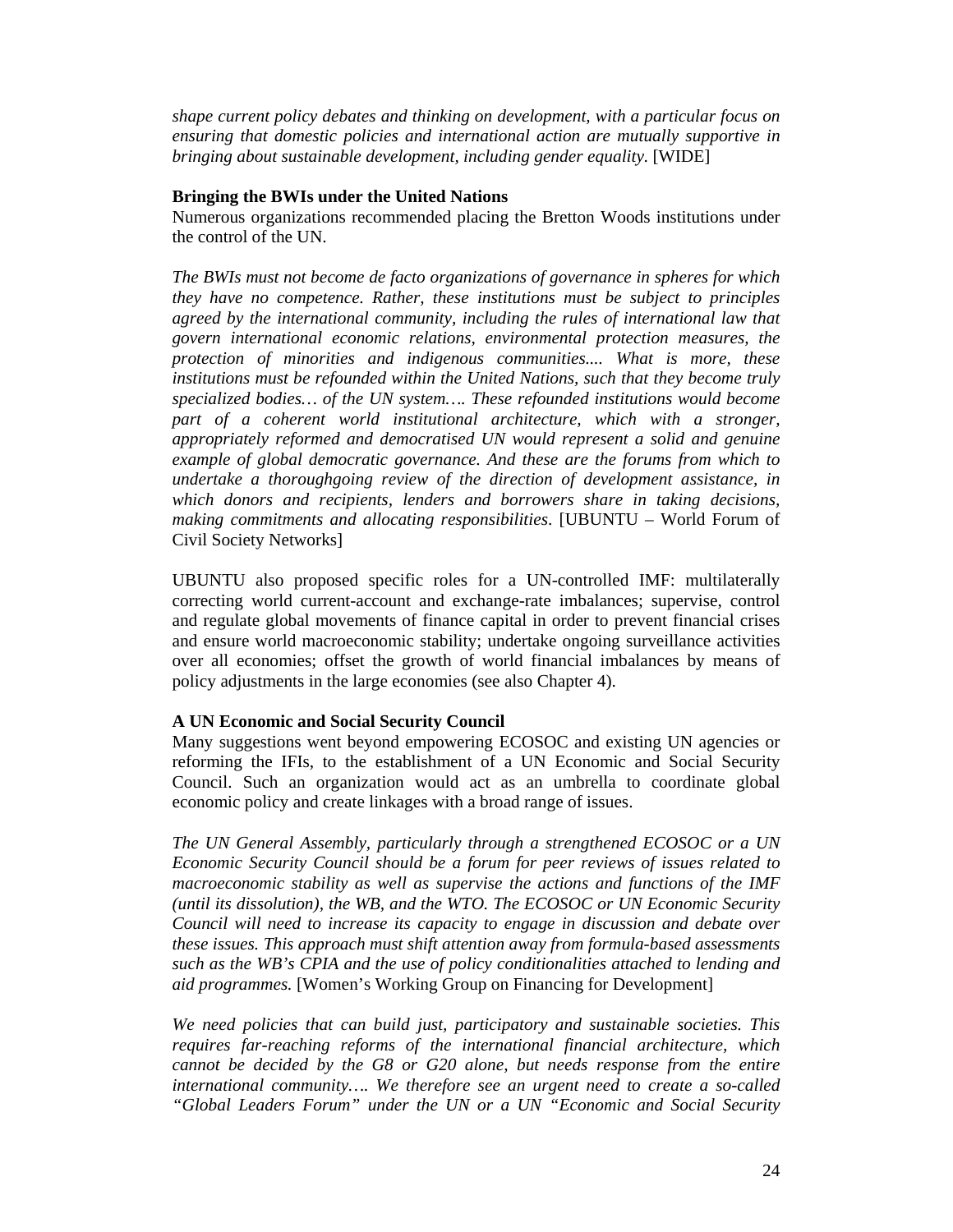*shape current policy debates and thinking on development, with a particular focus on ensuring that domestic policies and international action are mutually supportive in bringing about sustainable development, including gender equality*. [WIDE]

#### **Bringing the BWIs under the United Nations**

Numerous organizations recommended placing the Bretton Woods institutions under the control of the UN.

*The BWIs must not become de facto organizations of governance in spheres for which they have no competence. Rather, these institutions must be subject to principles agreed by the international community, including the rules of international law that govern international economic relations, environmental protection measures, the protection of minorities and indigenous communities.... What is more, these institutions must be refounded within the United Nations, such that they become truly specialized bodies… of the UN system…. These refounded institutions would become part of a coherent world institutional architecture, which with a stronger, appropriately reformed and democratised UN would represent a solid and genuine example of global democratic governance. And these are the forums from which to undertake a thoroughgoing review of the direction of development assistance, in which donors and recipients, lenders and borrowers share in taking decisions, making commitments and allocating responsibilities*. [UBUNTU – World Forum of Civil Society Networks]

UBUNTU also proposed specific roles for a UN-controlled IMF: multilaterally correcting world current-account and exchange-rate imbalances; supervise, control and regulate global movements of finance capital in order to prevent financial crises and ensure world macroeconomic stability; undertake ongoing surveillance activities over all economies; offset the growth of world financial imbalances by means of policy adjustments in the large economies (see also Chapter 4).

#### **A UN Economic and Social Security Council**

Many suggestions went beyond empowering ECOSOC and existing UN agencies or reforming the IFIs, to the establishment of a UN Economic and Social Security Council. Such an organization would act as an umbrella to coordinate global economic policy and create linkages with a broad range of issues.

*The UN General Assembly, particularly through a strengthened ECOSOC or a UN Economic Security Council should be a forum for peer reviews of issues related to macroeconomic stability as well as supervise the actions and functions of the IMF (until its dissolution), the WB, and the WTO. The ECOSOC or UN Economic Security Council will need to increase its capacity to engage in discussion and debate over these issues. This approach must shift attention away from formula-based assessments such as the WB's CPIA and the use of policy conditionalities attached to lending and aid programmes.* [Women's Working Group on Financing for Development]

*We need policies that can build just, participatory and sustainable societies. This requires far-reaching reforms of the international financial architecture, which cannot be decided by the G8 or G20 alone, but needs response from the entire international community…. We therefore see an urgent need to create a so-called "Global Leaders Forum" under the UN or a UN "Economic and Social Security*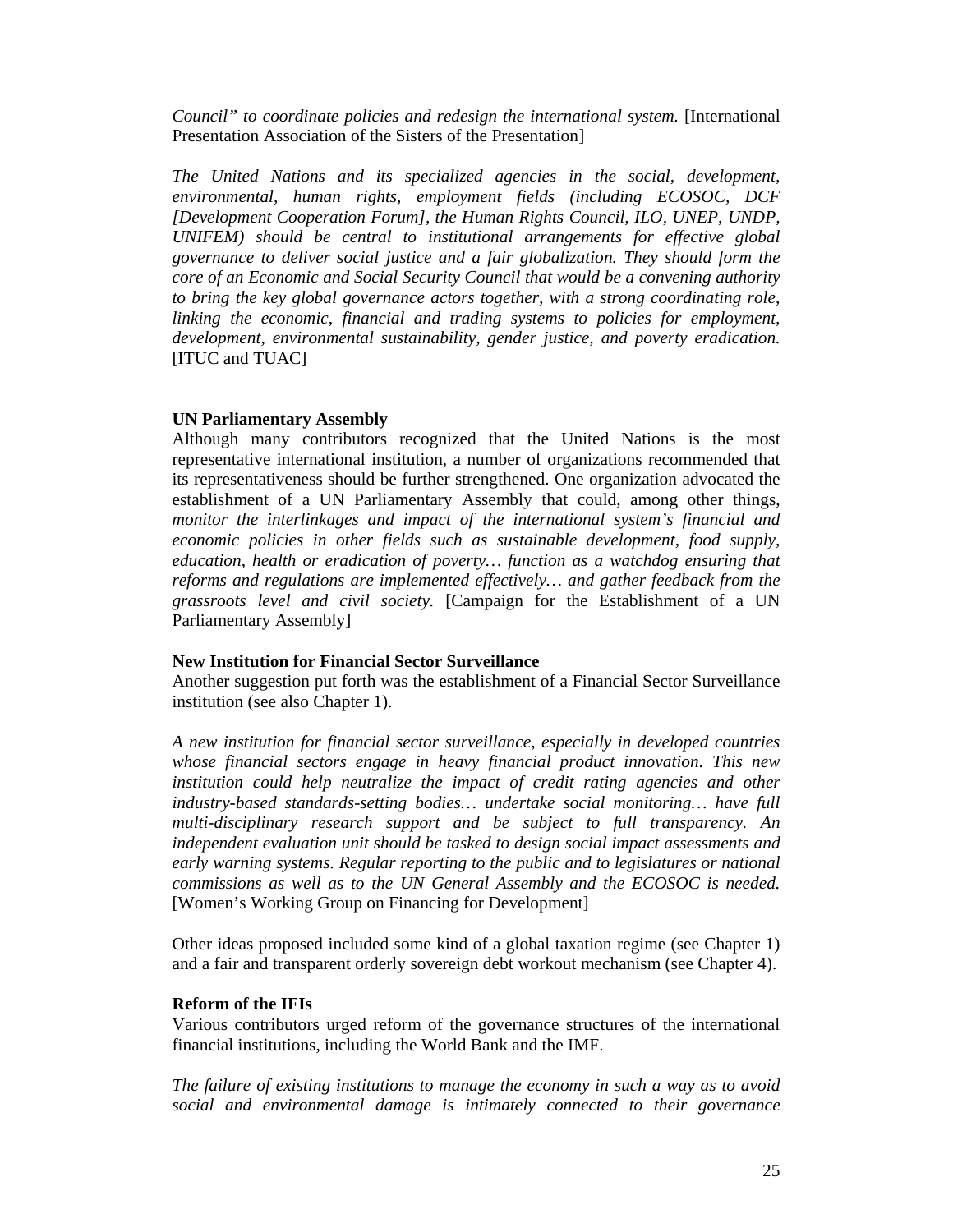*Council" to coordinate policies and redesign the international system.* [International Presentation Association of the Sisters of the Presentation]

*The United Nations and its specialized agencies in the social, development, environmental, human rights, employment fields (including ECOSOC, DCF [Development Cooperation Forum], the Human Rights Council, ILO, UNEP, UNDP, UNIFEM) should be central to institutional arrangements for effective global governance to deliver social justice and a fair globalization. They should form the core of an Economic and Social Security Council that would be a convening authority to bring the key global governance actors together, with a strong coordinating role, linking the economic, financial and trading systems to policies for employment, development, environmental sustainability, gender justice, and poverty eradication.* [ITUC and TUAC]

#### **UN Parliamentary Assembly**

Although many contributors recognized that the United Nations is the most representative international institution, a number of organizations recommended that its representativeness should be further strengthened. One organization advocated the establishment of a UN Parliamentary Assembly that could, among other things, *monitor the interlinkages and impact of the international system's financial and economic policies in other fields such as sustainable development, food supply, education, health or eradication of poverty… function as a watchdog ensuring that reforms and regulations are implemented effectively… and gather feedback from the grassroots level and civil society.* [Campaign for the Establishment of a UN Parliamentary Assembly]

#### **New Institution for Financial Sector Surveillance**

Another suggestion put forth was the establishment of a Financial Sector Surveillance institution (see also Chapter 1).

*A new institution for financial sector surveillance, especially in developed countries whose financial sectors engage in heavy financial product innovation*. *This new institution could help neutralize the impact of credit rating agencies and other industry-based standards-setting bodies… undertake social monitoring… have full multi-disciplinary research support and be subject to full transparency. An independent evaluation unit should be tasked to design social impact assessments and early warning systems. Regular reporting to the public and to legislatures or national commissions as well as to the UN General Assembly and the ECOSOC is needed.* [Women's Working Group on Financing for Development]

Other ideas proposed included some kind of a global taxation regime (see Chapter 1) and a fair and transparent orderly sovereign debt workout mechanism (see Chapter 4).

#### **Reform of the IFIs**

Various contributors urged reform of the governance structures of the international financial institutions, including the World Bank and the IMF.

*The failure of existing institutions to manage the economy in such a way as to avoid social and environmental damage is intimately connected to their governance*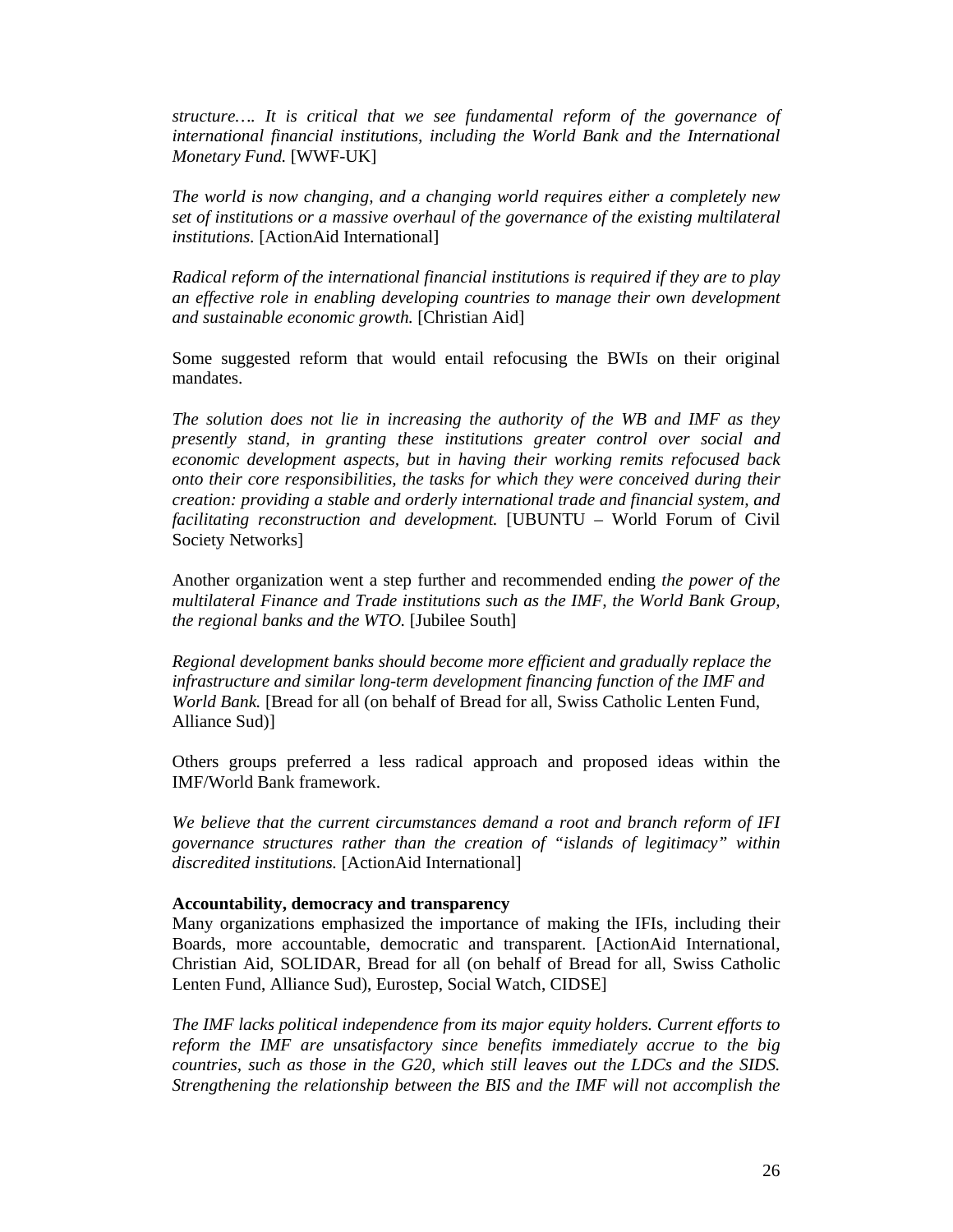*structure…. It is critical that we see fundamental reform of the governance of international financial institutions, including the World Bank and the International Monetary Fund.* [WWF-UK]

*The world is now changing, and a changing world requires either a completely new set of institutions or a massive overhaul of the governance of the existing multilateral institutions.* [ActionAid International]

*Radical reform of the international financial institutions is required if they are to play an effective role in enabling developing countries to manage their own development and sustainable economic growth.* [Christian Aid]

Some suggested reform that would entail refocusing the BWIs on their original mandates.

*The solution does not lie in increasing the authority of the WB and IMF as they presently stand, in granting these institutions greater control over social and economic development aspects, but in having their working remits refocused back onto their core responsibilities, the tasks for which they were conceived during their creation: providing a stable and orderly international trade and financial system, and facilitating reconstruction and development.* [UBUNTU – World Forum of Civil Society Networks]

Another organization went a step further and recommended ending *the power of the multilateral Finance and Trade institutions such as the IMF, the World Bank Group, the regional banks and the WTO.* [Jubilee South]

*Regional development banks should become more efficient and gradually replace the infrastructure and similar long-term development financing function of the IMF and World Bank.* [Bread for all (on behalf of Bread for all, Swiss Catholic Lenten Fund, Alliance Sud)]

Others groups preferred a less radical approach and proposed ideas within the IMF/World Bank framework.

*We believe that the current circumstances demand a root and branch reform of IFI governance structures rather than the creation of "islands of legitimacy" within discredited institutions.* [ActionAid International]

#### **Accountability, democracy and transparency**

Many organizations emphasized the importance of making the IFIs, including their Boards, more accountable, democratic and transparent. [ActionAid International, Christian Aid, SOLIDAR, Bread for all (on behalf of Bread for all, Swiss Catholic Lenten Fund, Alliance Sud), Eurostep, Social Watch, CIDSE]

*The IMF lacks political independence from its major equity holders. Current efforts to reform the IMF are unsatisfactory since benefits immediately accrue to the big countries, such as those in the G20, which still leaves out the LDCs and the SIDS. Strengthening the relationship between the BIS and the IMF will not accomplish the*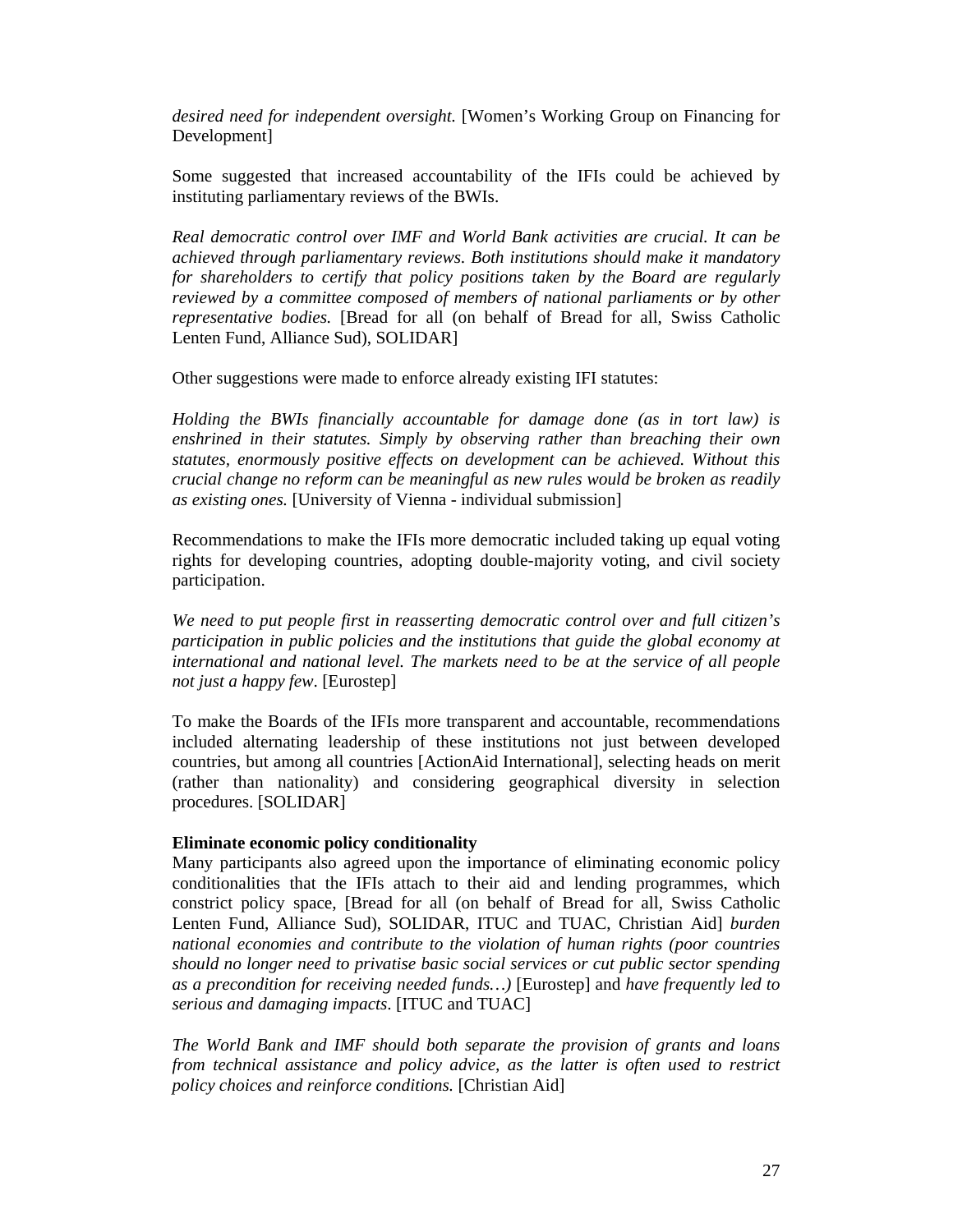*desired need for independent oversight.* [Women's Working Group on Financing for Development]

Some suggested that increased accountability of the IFIs could be achieved by instituting parliamentary reviews of the BWIs.

*Real democratic control over IMF and World Bank activities are crucial. It can be achieved through parliamentary reviews. Both institutions should make it mandatory for shareholders to certify that policy positions taken by the Board are regularly reviewed by a committee composed of members of national parliaments or by other representative bodies.* [Bread for all (on behalf of Bread for all, Swiss Catholic Lenten Fund, Alliance Sud), SOLIDAR]

Other suggestions were made to enforce already existing IFI statutes:

*Holding the BWIs financially accountable for damage done (as in tort law) is enshrined in their statutes. Simply by observing rather than breaching their own statutes, enormously positive effects on development can be achieved. Without this crucial change no reform can be meaningful as new rules would be broken as readily as existing ones.* [University of Vienna - individual submission]

Recommendations to make the IFIs more democratic included taking up equal voting rights for developing countries, adopting double-majority voting, and civil society participation.

*We need to put people first in reasserting democratic control over and full citizen's participation in public policies and the institutions that guide the global economy at international and national level. The markets need to be at the service of all people not just a happy few*. [Eurostep]

To make the Boards of the IFIs more transparent and accountable, recommendations included alternating leadership of these institutions not just between developed countries, but among all countries [ActionAid International], selecting heads on merit (rather than nationality) and considering geographical diversity in selection procedures. [SOLIDAR]

#### **Eliminate economic policy conditionality**

Many participants also agreed upon the importance of eliminating economic policy conditionalities that the IFIs attach to their aid and lending programmes, which constrict policy space, [Bread for all (on behalf of Bread for all, Swiss Catholic Lenten Fund, Alliance Sud), SOLIDAR, ITUC and TUAC, Christian Aid] *burden national economies and contribute to the violation of human rights (poor countries should no longer need to privatise basic social services or cut public sector spending as a precondition for receiving needed funds…)* [Eurostep] and *have frequently led to serious and damaging impacts*. [ITUC and TUAC]

*The World Bank and IMF should both separate the provision of grants and loans from technical assistance and policy advice, as the latter is often used to restrict policy choices and reinforce conditions.* [Christian Aid]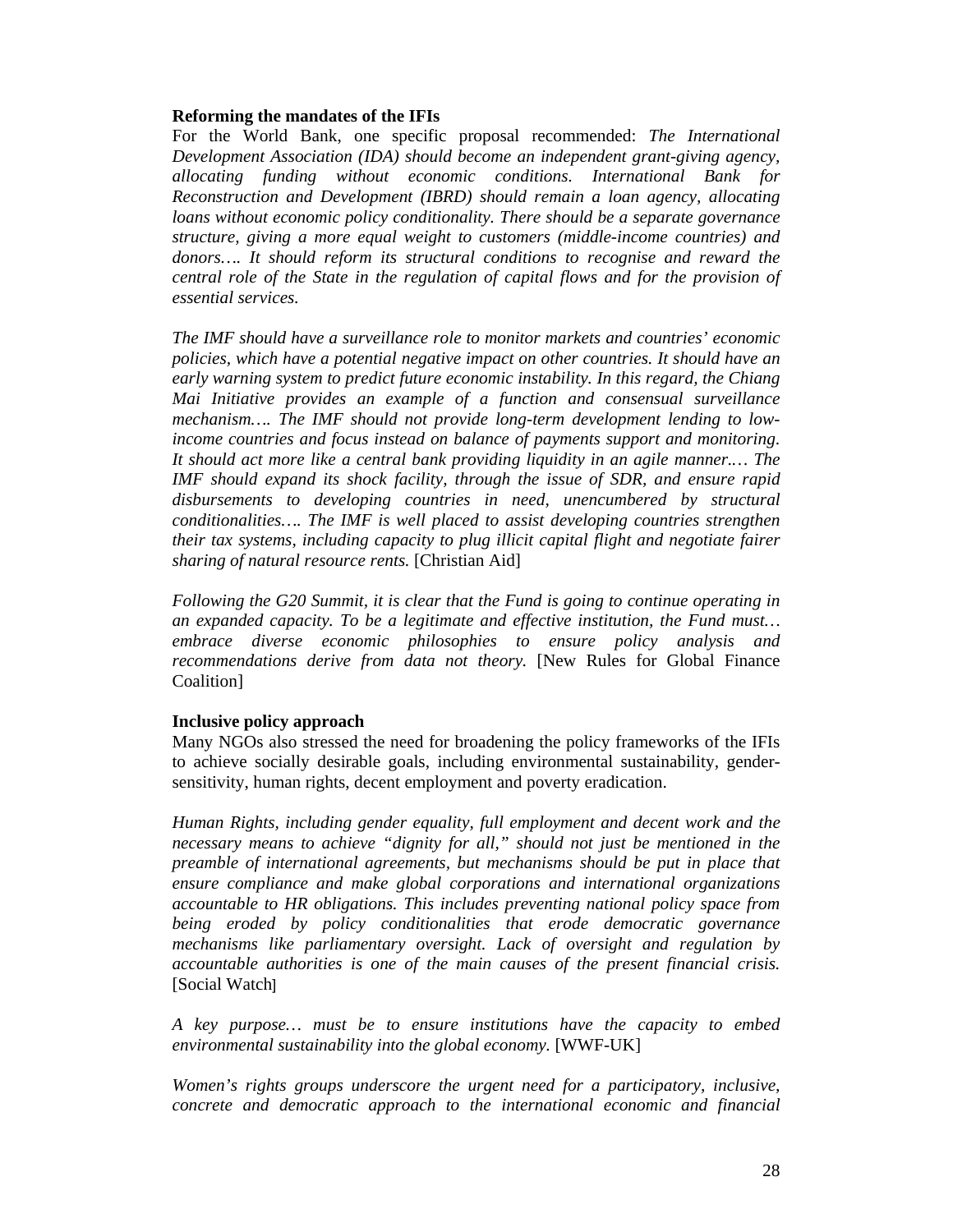#### **Reforming the mandates of the IFIs**

For the World Bank, one specific proposal recommended: *The International Development Association (IDA) should become an independent grant-giving agency, allocating funding without economic conditions. International Bank for Reconstruction and Development (IBRD) should remain a loan agency, allocating loans without economic policy conditionality. There should be a separate governance structure, giving a more equal weight to customers (middle-income countries) and donors…. It should reform its structural conditions to recognise and reward the central role of the State in the regulation of capital flows and for the provision of essential services.* 

*The IMF should have a surveillance role to monitor markets and countries' economic policies, which have a potential negative impact on other countries. It should have an early warning system to predict future economic instability. In this regard, the Chiang Mai Initiative provides an example of a function and consensual surveillance mechanism…. The IMF should not provide long-term development lending to lowincome countries and focus instead on balance of payments support and monitoring. It should act more like a central bank providing liquidity in an agile manner.… The IMF should expand its shock facility, through the issue of SDR, and ensure rapid disbursements to developing countries in need, unencumbered by structural conditionalities…. The IMF is well placed to assist developing countries strengthen their tax systems, including capacity to plug illicit capital flight and negotiate fairer sharing of natural resource rents.* [Christian Aid]

*Following the G20 Summit, it is clear that the Fund is going to continue operating in an expanded capacity. To be a legitimate and effective institution, the Fund must… embrace diverse economic philosophies to ensure policy analysis and recommendations derive from data not theory.* [New Rules for Global Finance Coalition]

#### **Inclusive policy approach**

Many NGOs also stressed the need for broadening the policy frameworks of the IFIs to achieve socially desirable goals, including environmental sustainability, gendersensitivity, human rights, decent employment and poverty eradication.

*Human Rights, including gender equality, full employment and decent work and the necessary means to achieve "dignity for all," should not just be mentioned in the preamble of international agreements, but mechanisms should be put in place that ensure compliance and make global corporations and international organizations accountable to HR obligations. This includes preventing national policy space from being eroded by policy conditionalities that erode democratic governance mechanisms like parliamentary oversight. Lack of oversight and regulation by accountable authorities is one of the main causes of the present financial crisis.*  [Social Watch]

*A key purpose… must be to ensure institutions have the capacity to embed environmental sustainability into the global economy.* [WWF-UK]

*Women's rights groups underscore the urgent need for a participatory, inclusive, concrete and democratic approach to the international economic and financial*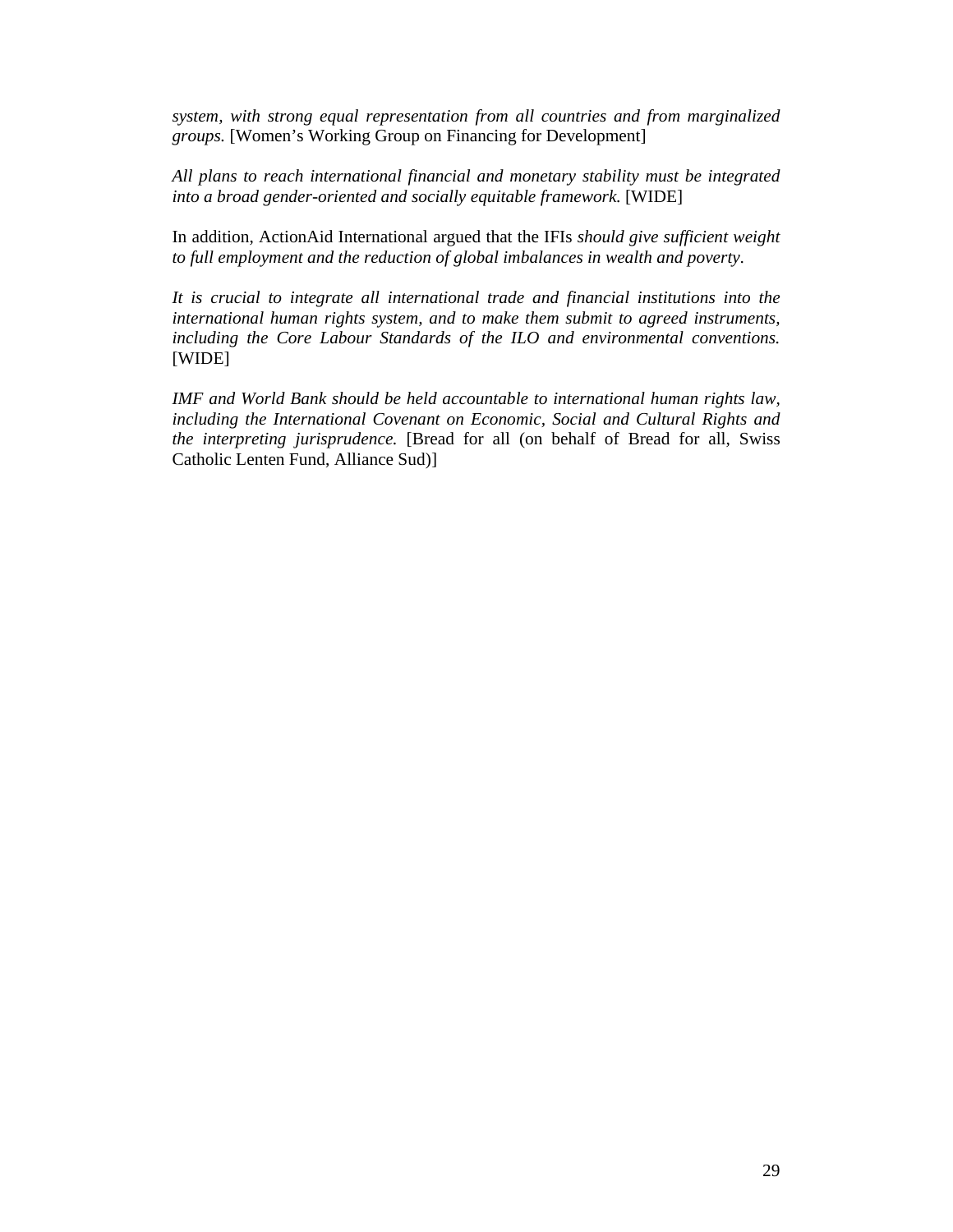*system, with strong equal representation from all countries and from marginalized groups.* [Women's Working Group on Financing for Development]

*All plans to reach international financial and monetary stability must be integrated into a broad gender-oriented and socially equitable framework.* [WIDE]

In addition, ActionAid International argued that the IFIs *should give sufficient weight to full employment and the reduction of global imbalances in wealth and poverty*.

*It is crucial to integrate all international trade and financial institutions into the international human rights system, and to make them submit to agreed instruments, including the Core Labour Standards of the ILO and environmental conventions.* [WIDE]

*IMF and World Bank should be held accountable to international human rights law, including the International Covenant on Economic, Social and Cultural Rights and the interpreting jurisprudence.* [Bread for all (on behalf of Bread for all, Swiss Catholic Lenten Fund, Alliance Sud)]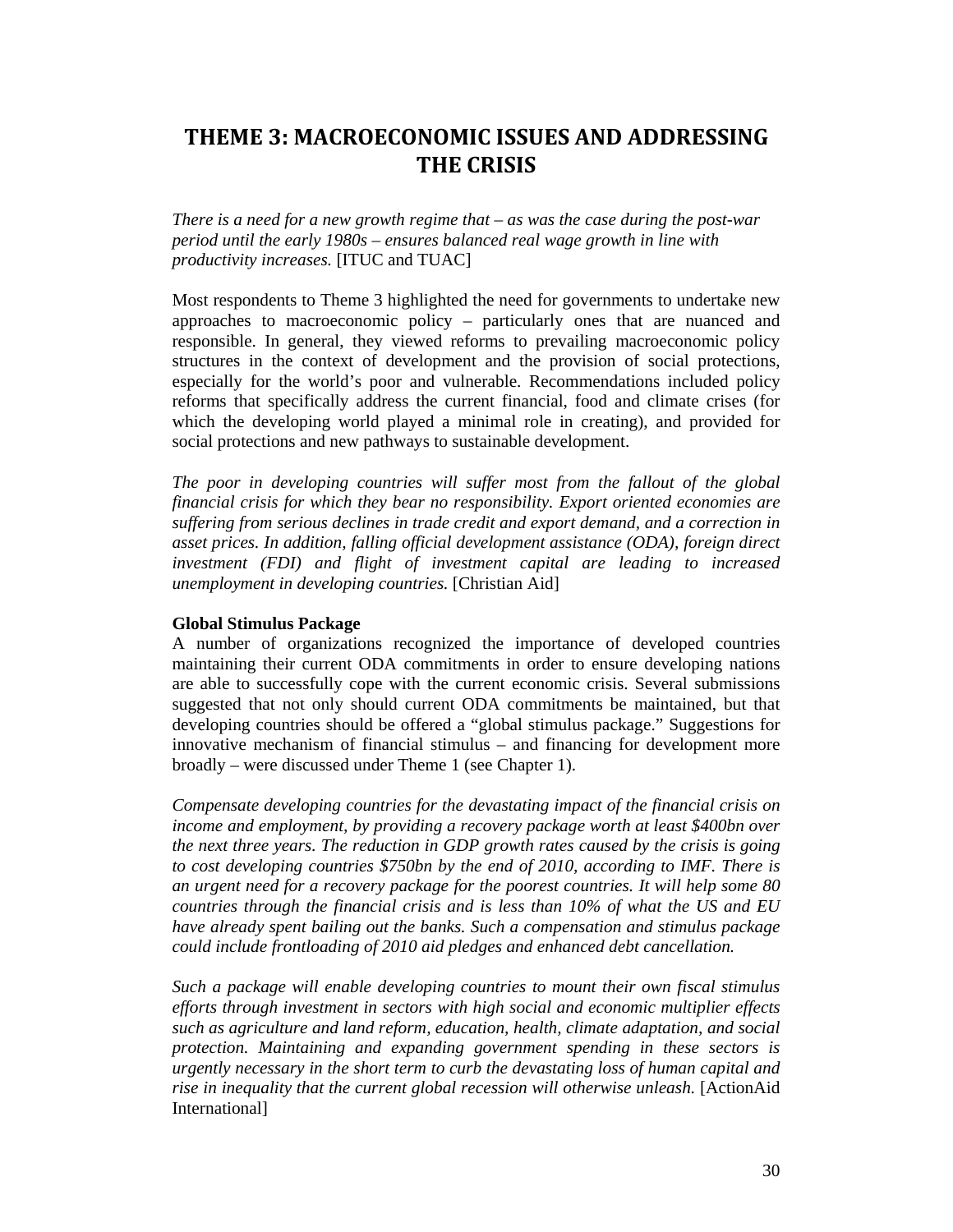## **THEME 3: MACROECONOMIC ISSUES AND ADDRESSING THE CRISIS**

*There is a need for a new growth regime that – as was the case during the post-war period until the early 1980s – ensures balanced real wage growth in line with productivity increases.* [ITUC and TUAC]

Most respondents to Theme 3 highlighted the need for governments to undertake new approaches to macroeconomic policy – particularly ones that are nuanced and responsible. In general, they viewed reforms to prevailing macroeconomic policy structures in the context of development and the provision of social protections, especially for the world's poor and vulnerable. Recommendations included policy reforms that specifically address the current financial, food and climate crises (for which the developing world played a minimal role in creating), and provided for social protections and new pathways to sustainable development.

*The poor in developing countries will suffer most from the fallout of the global financial crisis for which they bear no responsibility. Export oriented economies are suffering from serious declines in trade credit and export demand, and a correction in asset prices. In addition, falling official development assistance (ODA), foreign direct investment (FDI) and flight of investment capital are leading to increased unemployment in developing countries.* [Christian Aid]

#### **Global Stimulus Package**

A number of organizations recognized the importance of developed countries maintaining their current ODA commitments in order to ensure developing nations are able to successfully cope with the current economic crisis. Several submissions suggested that not only should current ODA commitments be maintained, but that developing countries should be offered a "global stimulus package." Suggestions for innovative mechanism of financial stimulus – and financing for development more broadly – were discussed under Theme 1 (see Chapter 1).

*Compensate developing countries for the devastating impact of the financial crisis on income and employment, by providing a recovery package worth at least \$400bn over the next three years. The reduction in GDP growth rates caused by the crisis is going to cost developing countries \$750bn by the end of 2010, according to IMF. There is an urgent need for a recovery package for the poorest countries. It will help some 80 countries through the financial crisis and is less than 10% of what the US and EU have already spent bailing out the banks. Such a compensation and stimulus package could include frontloading of 2010 aid pledges and enhanced debt cancellation.* 

*Such a package will enable developing countries to mount their own fiscal stimulus efforts through investment in sectors with high social and economic multiplier effects such as agriculture and land reform, education, health, climate adaptation, and social protection. Maintaining and expanding government spending in these sectors is urgently necessary in the short term to curb the devastating loss of human capital and rise in inequality that the current global recession will otherwise unleash.* [ActionAid International]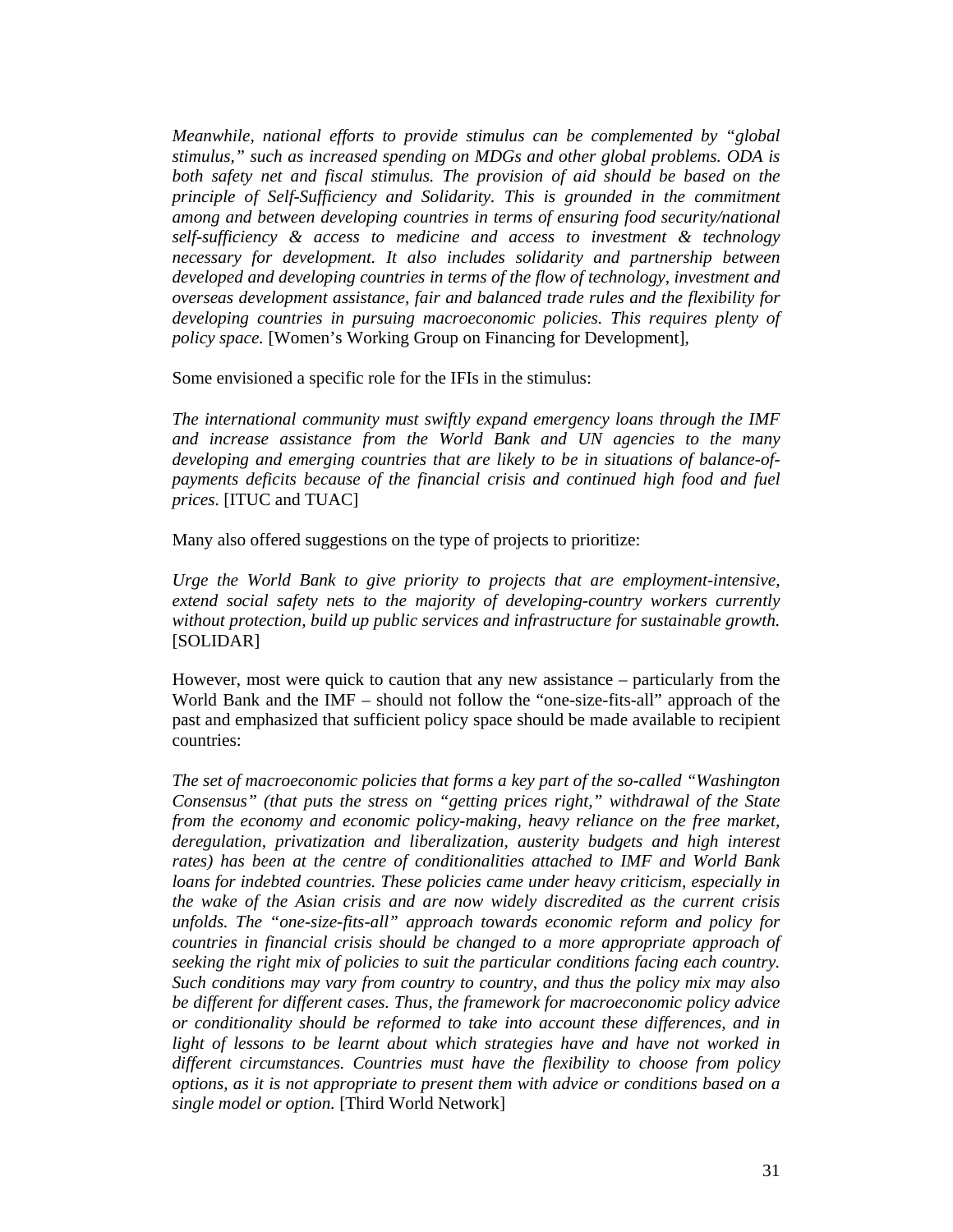*Meanwhile, national efforts to provide stimulus can be complemented by "global stimulus," such as increased spending on MDGs and other global problems. ODA is both safety net and fiscal stimulus. The provision of aid should be based on the principle of Self-Sufficiency and Solidarity. This is grounded in the commitment among and between developing countries in terms of ensuring food security/national self-sufficiency & access to medicine and access to investment & technology necessary for development. It also includes solidarity and partnership between developed and developing countries in terms of the flow of technology, investment and overseas development assistance, fair and balanced trade rules and the flexibility for developing countries in pursuing macroeconomic policies. This requires plenty of policy space.* [Women's Working Group on Financing for Development],

Some envisioned a specific role for the IFIs in the stimulus:

*The international community must swiftly expand emergency loans through the IMF and increase assistance from the World Bank and UN agencies to the many developing and emerging countries that are likely to be in situations of balance-ofpayments deficits because of the financial crisis and continued high food and fuel prices*. [ITUC and TUAC]

Many also offered suggestions on the type of projects to prioritize:

*Urge the World Bank to give priority to projects that are employment-intensive, extend social safety nets to the majority of developing-country workers currently without protection, build up public services and infrastructure for sustainable growth.* [SOLIDAR]

However, most were quick to caution that any new assistance – particularly from the World Bank and the IMF – should not follow the "one-size-fits-all" approach of the past and emphasized that sufficient policy space should be made available to recipient countries:

*The set of macroeconomic policies that forms a key part of the so-called "Washington Consensus" (that puts the stress on "getting prices right," withdrawal of the State from the economy and economic policy-making, heavy reliance on the free market, deregulation, privatization and liberalization, austerity budgets and high interest rates) has been at the centre of conditionalities attached to IMF and World Bank loans for indebted countries. These policies came under heavy criticism, especially in the wake of the Asian crisis and are now widely discredited as the current crisis unfolds. The "one-size-fits-all" approach towards economic reform and policy for countries in financial crisis should be changed to a more appropriate approach of seeking the right mix of policies to suit the particular conditions facing each country. Such conditions may vary from country to country, and thus the policy mix may also be different for different cases. Thus, the framework for macroeconomic policy advice or conditionality should be reformed to take into account these differences, and in*  light of lessons to be learnt about which strategies have and have not worked in *different circumstances. Countries must have the flexibility to choose from policy options, as it is not appropriate to present them with advice or conditions based on a single model or option.* [Third World Network]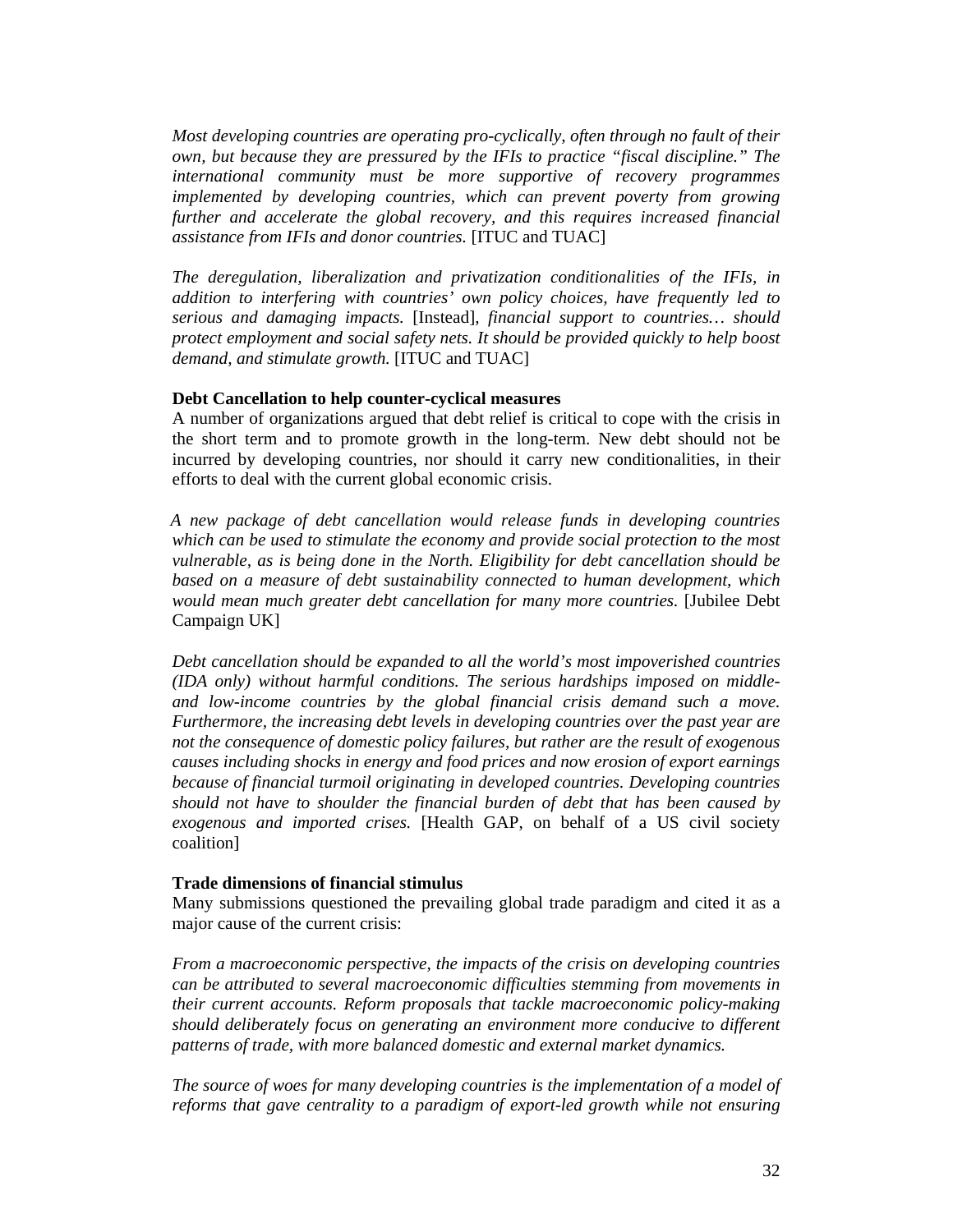*Most developing countries are operating pro-cyclically, often through no fault of their own, but because they are pressured by the IFIs to practice "fiscal discipline." The international community must be more supportive of recovery programmes implemented by developing countries, which can prevent poverty from growing further and accelerate the global recovery, and this requires increased financial assistance from IFIs and donor countries.* [ITUC and TUAC]

*The deregulation, liberalization and privatization conditionalities of the IFIs, in addition to interfering with countries' own policy choices, have frequently led to serious and damaging impacts.* [Instead], *financial support to countries… should protect employment and social safety nets. It should be provided quickly to help boost demand, and stimulate growth.* [ITUC and TUAC]

#### **Debt Cancellation to help counter-cyclical measures**

A number of organizations argued that debt relief is critical to cope with the crisis in the short term and to promote growth in the long-term. New debt should not be incurred by developing countries, nor should it carry new conditionalities, in their efforts to deal with the current global economic crisis.

*A new package of debt cancellation would release funds in developing countries which can be used to stimulate the economy and provide social protection to the most vulnerable, as is being done in the North. Eligibility for debt cancellation should be based on a measure of debt sustainability connected to human development, which would mean much greater debt cancellation for many more countries.* [Jubilee Debt Campaign UK]

*Debt cancellation should be expanded to all the world's most impoverished countries (IDA only) without harmful conditions. The serious hardships imposed on middleand low-income countries by the global financial crisis demand such a move. Furthermore, the increasing debt levels in developing countries over the past year are not the consequence of domestic policy failures, but rather are the result of exogenous causes including shocks in energy and food prices and now erosion of export earnings because of financial turmoil originating in developed countries. Developing countries should not have to shoulder the financial burden of debt that has been caused by exogenous and imported crises.* [Health GAP, on behalf of a US civil society coalition]

#### **Trade dimensions of financial stimulus**

Many submissions questioned the prevailing global trade paradigm and cited it as a major cause of the current crisis:

*From a macroeconomic perspective, the impacts of the crisis on developing countries can be attributed to several macroeconomic difficulties stemming from movements in their current accounts. Reform proposals that tackle macroeconomic policy-making should deliberately focus on generating an environment more conducive to different patterns of trade, with more balanced domestic and external market dynamics.* 

*The source of woes for many developing countries is the implementation of a model of reforms that gave centrality to a paradigm of export-led growth while not ensuring*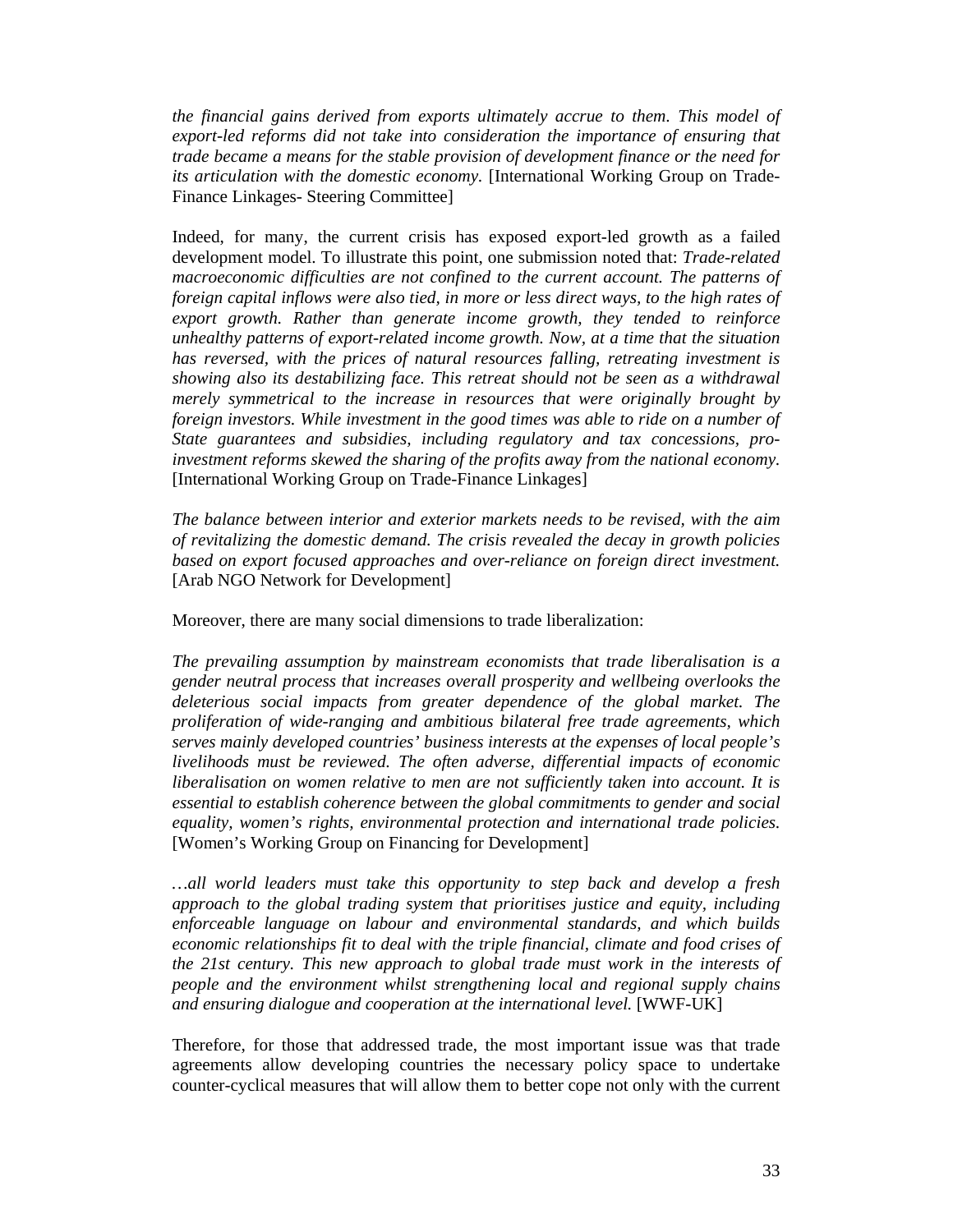*the financial gains derived from exports ultimately accrue to them. This model of export-led reforms did not take into consideration the importance of ensuring that trade became a means for the stable provision of development finance or the need for its articulation with the domestic economy.* [International Working Group on Trade-Finance Linkages- Steering Committee]

Indeed, for many, the current crisis has exposed export-led growth as a failed development model. To illustrate this point, one submission noted that: *Trade-related macroeconomic difficulties are not confined to the current account. The patterns of foreign capital inflows were also tied, in more or less direct ways, to the high rates of export growth. Rather than generate income growth, they tended to reinforce unhealthy patterns of export-related income growth. Now, at a time that the situation has reversed, with the prices of natural resources falling, retreating investment is showing also its destabilizing face. This retreat should not be seen as a withdrawal merely symmetrical to the increase in resources that were originally brought by foreign investors. While investment in the good times was able to ride on a number of State guarantees and subsidies, including regulatory and tax concessions, proinvestment reforms skewed the sharing of the profits away from the national economy.* [International Working Group on Trade-Finance Linkages]

*The balance between interior and exterior markets needs to be revised, with the aim of revitalizing the domestic demand. The crisis revealed the decay in growth policies based on export focused approaches and over-reliance on foreign direct investment.* [Arab NGO Network for Development]

Moreover, there are many social dimensions to trade liberalization:

*The prevailing assumption by mainstream economists that trade liberalisation is a gender neutral process that increases overall prosperity and wellbeing overlooks the deleterious social impacts from greater dependence of the global market. The proliferation of wide-ranging and ambitious bilateral free trade agreements, which serves mainly developed countries' business interests at the expenses of local people's livelihoods must be reviewed. The often adverse, differential impacts of economic liberalisation on women relative to men are not sufficiently taken into account. It is essential to establish coherence between the global commitments to gender and social equality, women's rights, environmental protection and international trade policies.* [Women's Working Group on Financing for Development]

*…all world leaders must take this opportunity to step back and develop a fresh approach to the global trading system that prioritises justice and equity, including enforceable language on labour and environmental standards, and which builds economic relationships fit to deal with the triple financial, climate and food crises of the 21st century. This new approach to global trade must work in the interests of people and the environment whilst strengthening local and regional supply chains and ensuring dialogue and cooperation at the international level.* [WWF-UK]

Therefore, for those that addressed trade, the most important issue was that trade agreements allow developing countries the necessary policy space to undertake counter-cyclical measures that will allow them to better cope not only with the current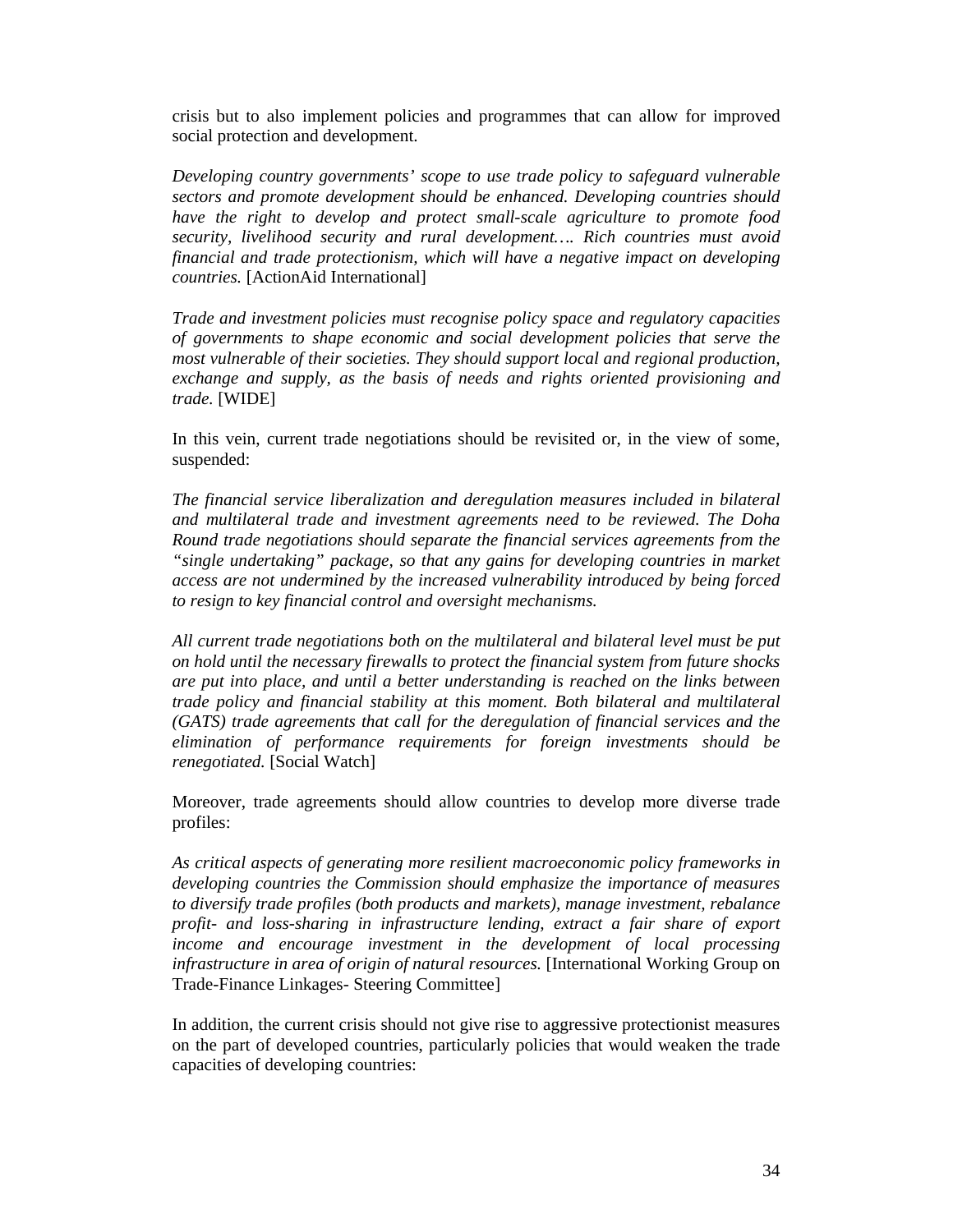crisis but to also implement policies and programmes that can allow for improved social protection and development.

*Developing country governments' scope to use trade policy to safeguard vulnerable sectors and promote development should be enhanced. Developing countries should have the right to develop and protect small-scale agriculture to promote food security, livelihood security and rural development…. Rich countries must avoid financial and trade protectionism, which will have a negative impact on developing countries.* [ActionAid International]

*Trade and investment policies must recognise policy space and regulatory capacities of governments to shape economic and social development policies that serve the most vulnerable of their societies. They should support local and regional production, exchange and supply, as the basis of needs and rights oriented provisioning and trade.* [WIDE]

In this vein, current trade negotiations should be revisited or, in the view of some, suspended:

*The financial service liberalization and deregulation measures included in bilateral and multilateral trade and investment agreements need to be reviewed. The Doha Round trade negotiations should separate the financial services agreements from the "single undertaking" package, so that any gains for developing countries in market access are not undermined by the increased vulnerability introduced by being forced to resign to key financial control and oversight mechanisms.* 

*All current trade negotiations both on the multilateral and bilateral level must be put on hold until the necessary firewalls to protect the financial system from future shocks are put into place, and until a better understanding is reached on the links between trade policy and financial stability at this moment. Both bilateral and multilateral (GATS) trade agreements that call for the deregulation of financial services and the elimination of performance requirements for foreign investments should be renegotiated.* [Social Watch]

Moreover, trade agreements should allow countries to develop more diverse trade profiles:

*As critical aspects of generating more resilient macroeconomic policy frameworks in developing countries the Commission should emphasize the importance of measures to diversify trade profiles (both products and markets), manage investment, rebalance profit- and loss-sharing in infrastructure lending, extract a fair share of export income and encourage investment in the development of local processing infrastructure in area of origin of natural resources.* [International Working Group on Trade-Finance Linkages- Steering Committee]

In addition, the current crisis should not give rise to aggressive protectionist measures on the part of developed countries, particularly policies that would weaken the trade capacities of developing countries: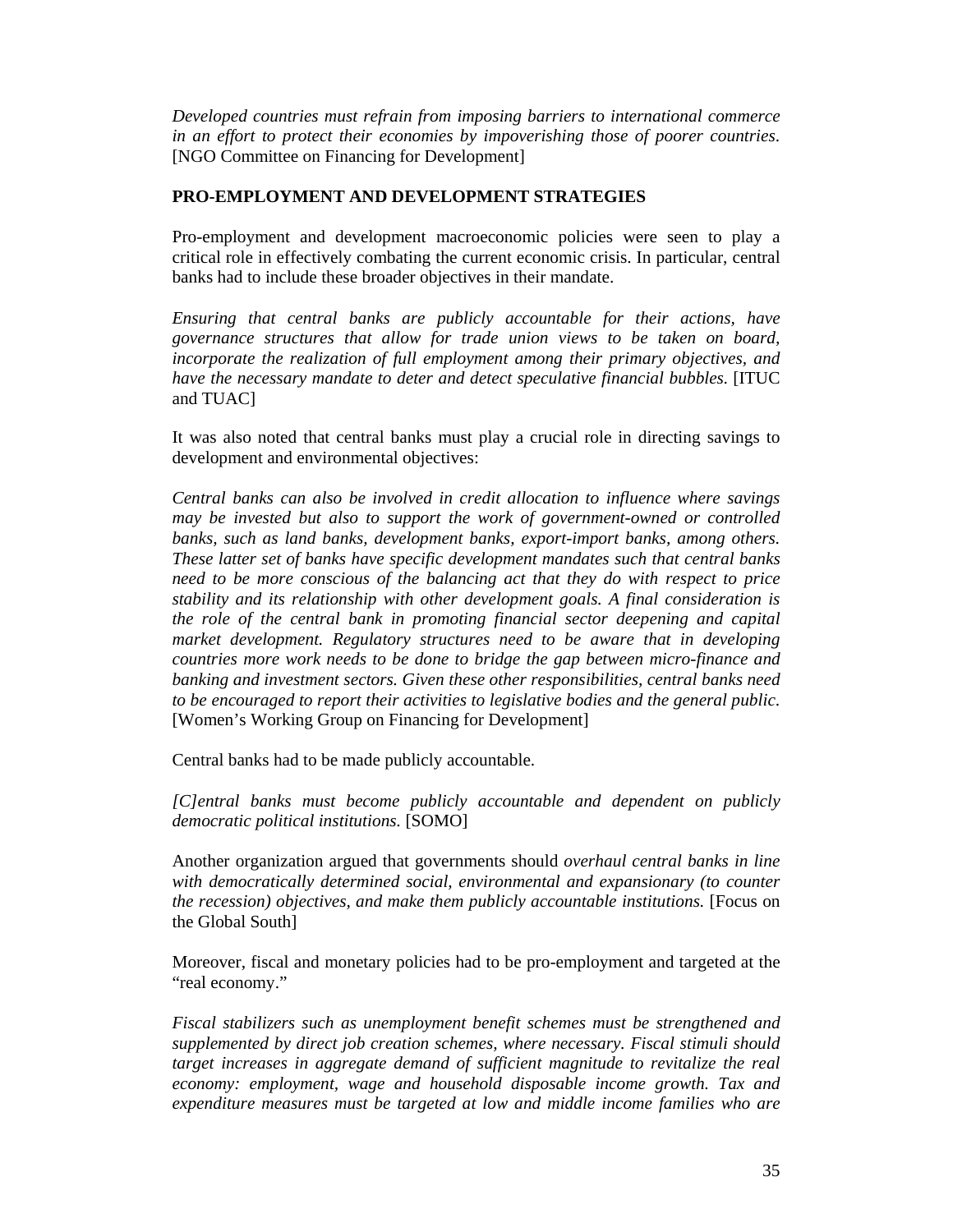*Developed countries must refrain from imposing barriers to international commerce in an effort to protect their economies by impoverishing those of poorer countries.*  [NGO Committee on Financing for Development]

### **PRO-EMPLOYMENT AND DEVELOPMENT STRATEGIES**

Pro-employment and development macroeconomic policies were seen to play a critical role in effectively combating the current economic crisis. In particular, central banks had to include these broader objectives in their mandate.

*Ensuring that central banks are publicly accountable for their actions, have governance structures that allow for trade union views to be taken on board, incorporate the realization of full employment among their primary objectives, and have the necessary mandate to deter and detect speculative financial bubbles.* [ITUC and TUAC]

It was also noted that central banks must play a crucial role in directing savings to development and environmental objectives:

*Central banks can also be involved in credit allocation to influence where savings may be invested but also to support the work of government-owned or controlled banks, such as land banks, development banks, export-import banks, among others. These latter set of banks have specific development mandates such that central banks need to be more conscious of the balancing act that they do with respect to price stability and its relationship with other development goals. A final consideration is the role of the central bank in promoting financial sector deepening and capital market development. Regulatory structures need to be aware that in developing countries more work needs to be done to bridge the gap between micro-finance and banking and investment sectors. Given these other responsibilities, central banks need to be encouraged to report their activities to legislative bodies and the general public.*  [Women's Working Group on Financing for Development]

Central banks had to be made publicly accountable.

*[C]entral banks must become publicly accountable and dependent on publicly democratic political institutions.* [SOMO]

Another organization argued that governments should *overhaul central banks in line with democratically determined social, environmental and expansionary (to counter the recession) objectives, and make them publicly accountable institutions.* [Focus on the Global South]

Moreover, fiscal and monetary policies had to be pro-employment and targeted at the "real economy."

*Fiscal stabilizers such as unemployment benefit schemes must be strengthened and supplemented by direct job creation schemes, where necessary. Fiscal stimuli should target increases in aggregate demand of sufficient magnitude to revitalize the real economy: employment, wage and household disposable income growth. Tax and expenditure measures must be targeted at low and middle income families who are*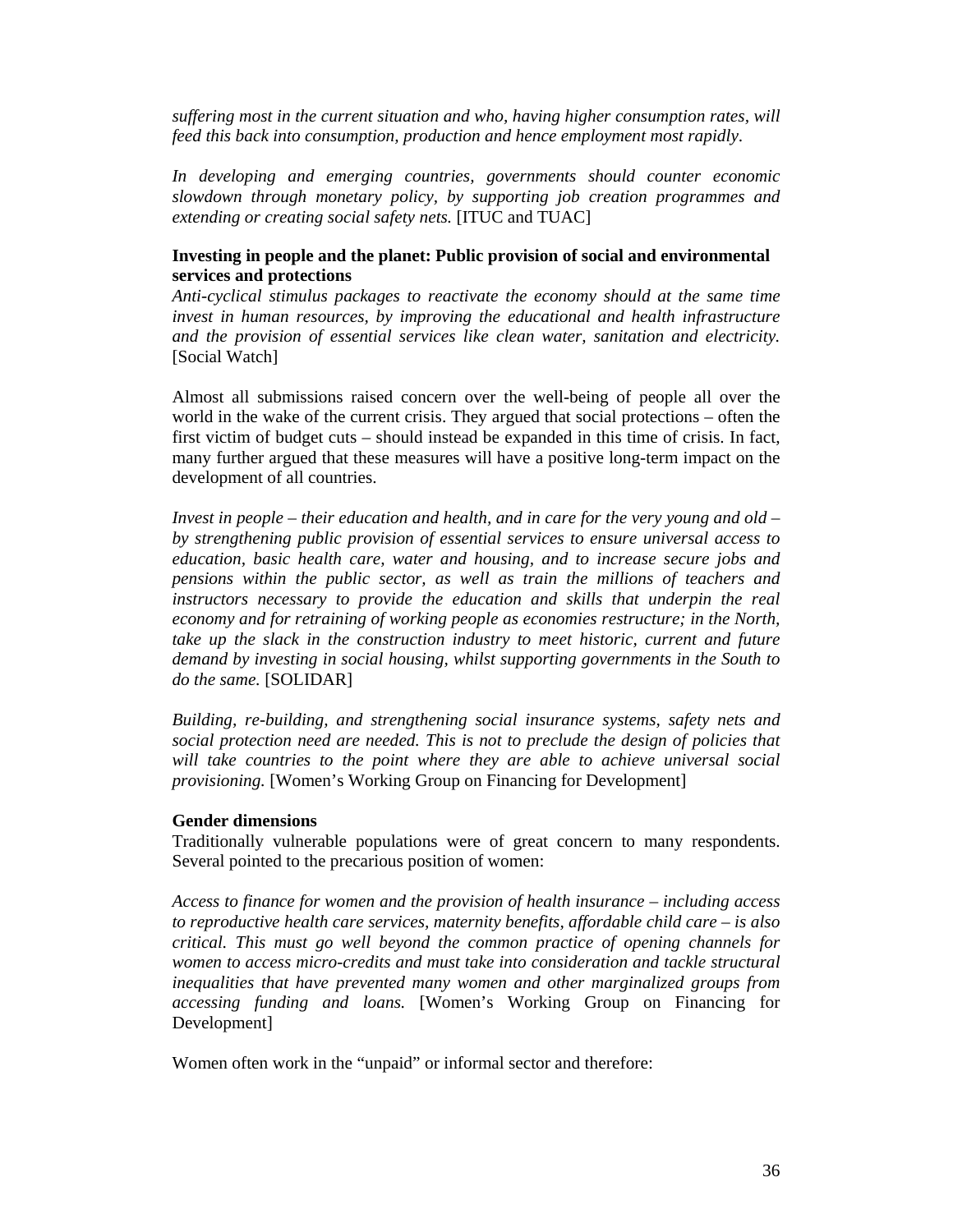*suffering most in the current situation and who, having higher consumption rates, will feed this back into consumption, production and hence employment most rapidly*.

*In developing and emerging countries, governments should counter economic slowdown through monetary policy, by supporting job creation programmes and extending or creating social safety nets.* [ITUC and TUAC]

#### **Investing in people and the planet: Public provision of social and environmental services and protections**

*Anti-cyclical stimulus packages to reactivate the economy should at the same time invest in human resources, by improving the educational and health infrastructure and the provision of essential services like clean water, sanitation and electricity.* [Social Watch]

Almost all submissions raised concern over the well-being of people all over the world in the wake of the current crisis. They argued that social protections – often the first victim of budget cuts – should instead be expanded in this time of crisis. In fact, many further argued that these measures will have a positive long-term impact on the development of all countries.

*Invest in people – their education and health, and in care for the very young and old – by strengthening public provision of essential services to ensure universal access to education, basic health care, water and housing, and to increase secure jobs and pensions within the public sector, as well as train the millions of teachers and*  instructors necessary to provide the education and skills that underpin the real *economy and for retraining of working people as economies restructure; in the North, take up the slack in the construction industry to meet historic, current and future demand by investing in social housing, whilst supporting governments in the South to do the same.* [SOLIDAR]

*Building, re-building, and strengthening social insurance systems, safety nets and social protection need are needed. This is not to preclude the design of policies that will take countries to the point where they are able to achieve universal social provisioning.* [Women's Working Group on Financing for Development]

#### **Gender dimensions**

Traditionally vulnerable populations were of great concern to many respondents. Several pointed to the precarious position of women:

*Access to finance for women and the provision of health insurance – including access to reproductive health care services, maternity benefits, affordable child care – is also critical. This must go well beyond the common practice of opening channels for women to access micro-credits and must take into consideration and tackle structural inequalities that have prevented many women and other marginalized groups from accessing funding and loans.* [Women's Working Group on Financing for Development]

Women often work in the "unpaid" or informal sector and therefore: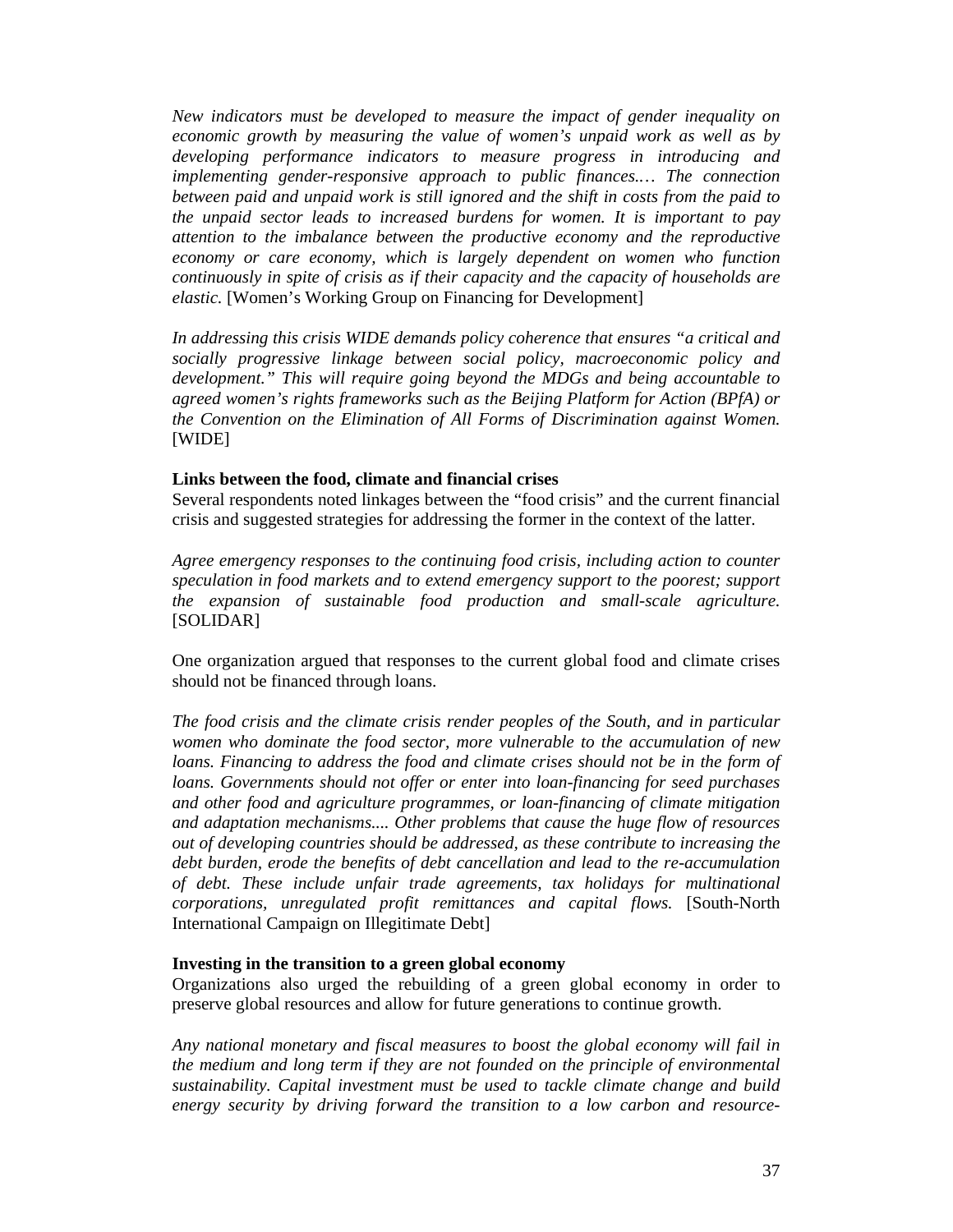*New indicators must be developed to measure the impact of gender inequality on economic growth by measuring the value of women's unpaid work as well as by developing performance indicators to measure progress in introducing and implementing gender-responsive approach to public finances.… The connection between paid and unpaid work is still ignored and the shift in costs from the paid to the unpaid sector leads to increased burdens for women. It is important to pay attention to the imbalance between the productive economy and the reproductive economy or care economy, which is largely dependent on women who function continuously in spite of crisis as if their capacity and the capacity of households are elastic.* [Women's Working Group on Financing for Development]

*In addressing this crisis WIDE demands policy coherence that ensures "a critical and socially progressive linkage between social policy, macroeconomic policy and development." This will require going beyond the MDGs and being accountable to agreed women's rights frameworks such as the Beijing Platform for Action (BPfA) or the Convention on the Elimination of All Forms of Discrimination against Women.*  [WIDE]

#### **Links between the food, climate and financial crises**

Several respondents noted linkages between the "food crisis" and the current financial crisis and suggested strategies for addressing the former in the context of the latter.

*Agree emergency responses to the continuing food crisis, including action to counter speculation in food markets and to extend emergency support to the poorest; support the expansion of sustainable food production and small-scale agriculture.* [SOLIDAR]

One organization argued that responses to the current global food and climate crises should not be financed through loans.

*The food crisis and the climate crisis render peoples of the South, and in particular women who dominate the food sector, more vulnerable to the accumulation of new loans. Financing to address the food and climate crises should not be in the form of loans. Governments should not offer or enter into loan-financing for seed purchases and other food and agriculture programmes, or loan-financing of climate mitigation and adaptation mechanisms.... Other problems that cause the huge flow of resources out of developing countries should be addressed, as these contribute to increasing the debt burden, erode the benefits of debt cancellation and lead to the re-accumulation of debt. These include unfair trade agreements, tax holidays for multinational corporations, unregulated profit remittances and capital flows.* [South-North International Campaign on Illegitimate Debt]

#### **Investing in the transition to a green global economy**

Organizations also urged the rebuilding of a green global economy in order to preserve global resources and allow for future generations to continue growth.

*Any national monetary and fiscal measures to boost the global economy will fail in the medium and long term if they are not founded on the principle of environmental sustainability. Capital investment must be used to tackle climate change and build energy security by driving forward the transition to a low carbon and resource-*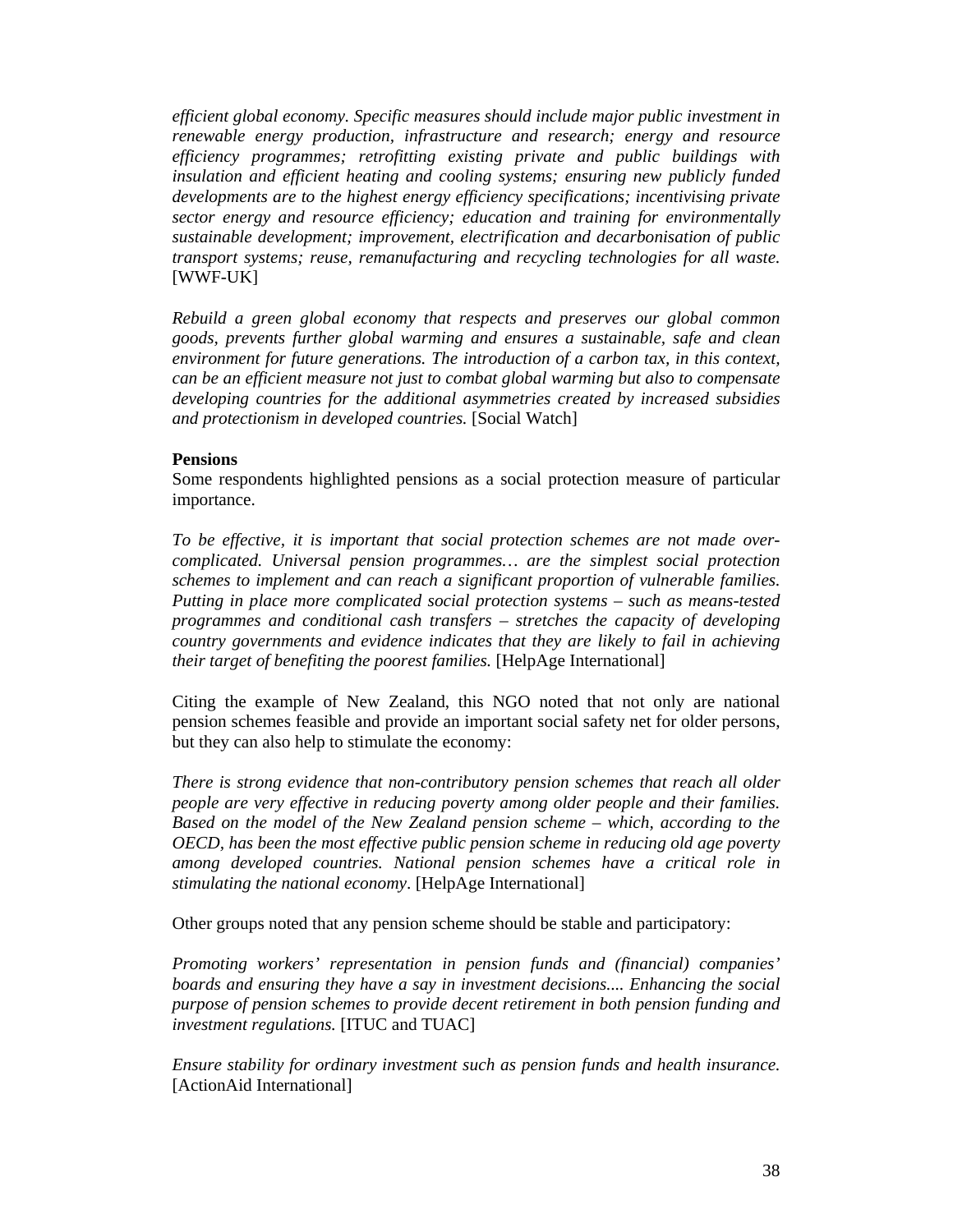*efficient global economy. Specific measures should include major public investment in renewable energy production, infrastructure and research; energy and resource efficiency programmes; retrofitting existing private and public buildings with insulation and efficient heating and cooling systems; ensuring new publicly funded developments are to the highest energy efficiency specifications; incentivising private sector energy and resource efficiency; education and training for environmentally sustainable development; improvement, electrification and decarbonisation of public transport systems; reuse, remanufacturing and recycling technologies for all waste.*  [WWF-UK]

*Rebuild a green global economy that respects and preserves our global common goods, prevents further global warming and ensures a sustainable, safe and clean environment for future generations. The introduction of a carbon tax, in this context, can be an efficient measure not just to combat global warming but also to compensate developing countries for the additional asymmetries created by increased subsidies and protectionism in developed countries.* [Social Watch]

#### **Pensions**

Some respondents highlighted pensions as a social protection measure of particular importance.

*To be effective, it is important that social protection schemes are not made overcomplicated. Universal pension programmes… are the simplest social protection schemes to implement and can reach a significant proportion of vulnerable families. Putting in place more complicated social protection systems – such as means-tested programmes and conditional cash transfers – stretches the capacity of developing country governments and evidence indicates that they are likely to fail in achieving their target of benefiting the poorest families.* [HelpAge International]

Citing the example of New Zealand, this NGO noted that not only are national pension schemes feasible and provide an important social safety net for older persons, but they can also help to stimulate the economy:

*There is strong evidence that non-contributory pension schemes that reach all older people are very effective in reducing poverty among older people and their families. Based on the model of the New Zealand pension scheme – which, according to the OECD, has been the most effective public pension scheme in reducing old age poverty among developed countries. National pension schemes have a critical role in stimulating the national economy*. [HelpAge International]

Other groups noted that any pension scheme should be stable and participatory:

*Promoting workers' representation in pension funds and (financial) companies' boards and ensuring they have a say in investment decisions.... Enhancing the social purpose of pension schemes to provide decent retirement in both pension funding and investment regulations.* [ITUC and TUAC]

*Ensure stability for ordinary investment such as pension funds and health insurance.*  [ActionAid International]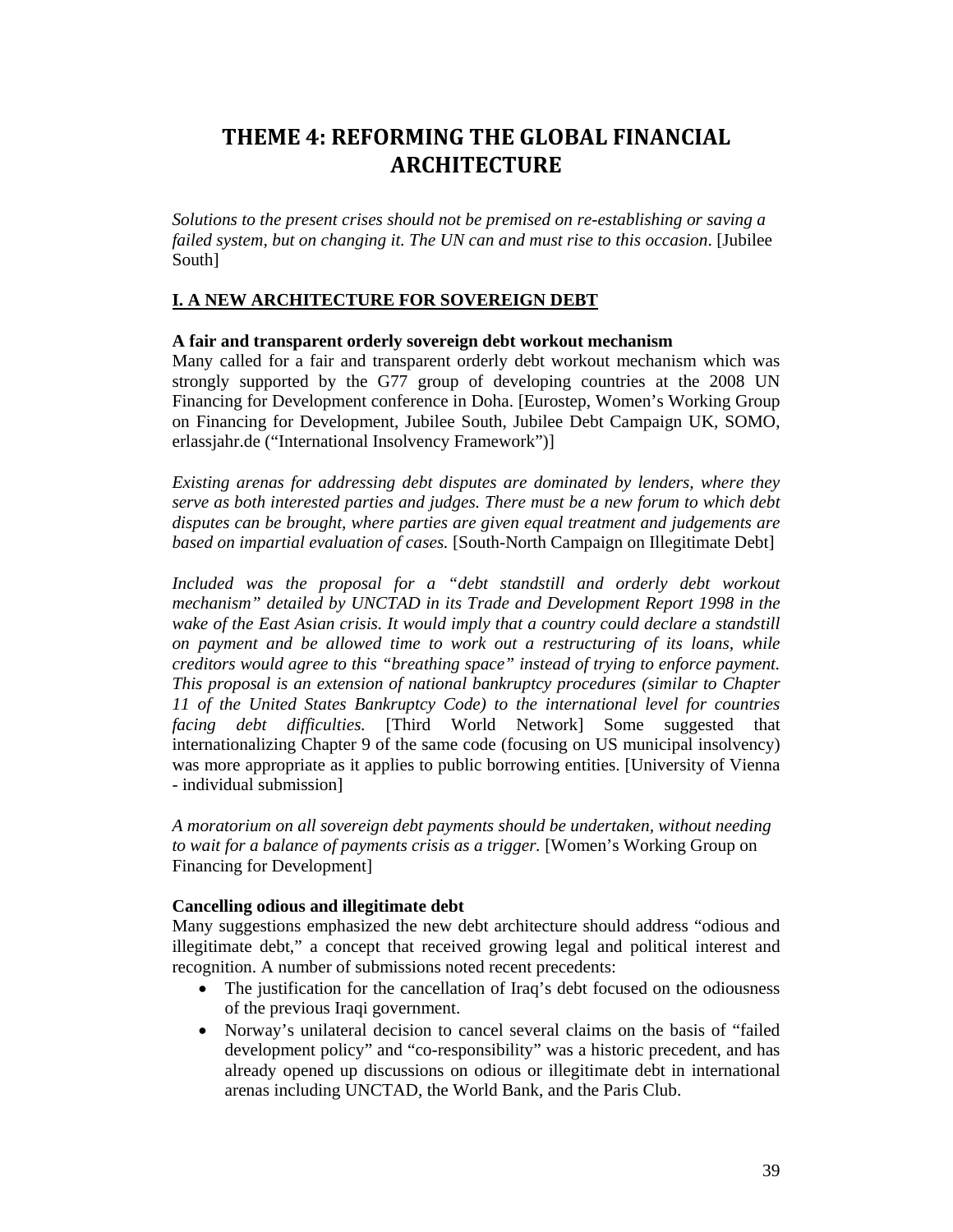## **THEME 4: REFORMING THE GLOBAL FINANCIAL ARCHITECTURE**

*Solutions to the present crises should not be premised on re-establishing or saving a failed system, but on changing it. The UN can and must rise to this occasion*. [Jubilee South]

### **I. A NEW ARCHITECTURE FOR SOVEREIGN DEBT**

#### **A fair and transparent orderly sovereign debt workout mechanism**

Many called for a fair and transparent orderly debt workout mechanism which was strongly supported by the G77 group of developing countries at the 2008 UN Financing for Development conference in Doha. [Eurostep, Women's Working Group on Financing for Development, Jubilee South, Jubilee Debt Campaign UK, SOMO, erlassjahr.de ("International Insolvency Framework")]

*Existing arenas for addressing debt disputes are dominated by lenders, where they serve as both interested parties and judges. There must be a new forum to which debt disputes can be brought, where parties are given equal treatment and judgements are based on impartial evaluation of cases.* [South-North Campaign on Illegitimate Debt]

Included was the proposal for a "debt standstill and orderly debt workout *mechanism" detailed by UNCTAD in its Trade and Development Report 1998 in the wake of the East Asian crisis. It would imply that a country could declare a standstill on payment and be allowed time to work out a restructuring of its loans, while creditors would agree to this "breathing space" instead of trying to enforce payment. This proposal is an extension of national bankruptcy procedures (similar to Chapter 11 of the United States Bankruptcy Code) to the international level for countries facing debt difficulties.* [Third World Network] Some suggested that internationalizing Chapter 9 of the same code (focusing on US municipal insolvency) was more appropriate as it applies to public borrowing entities. [University of Vienna - individual submission]

*A moratorium on all sovereign debt payments should be undertaken, without needing to wait for a balance of payments crisis as a trigger.* [Women's Working Group on Financing for Development]

### **Cancelling odious and illegitimate debt**

Many suggestions emphasized the new debt architecture should address "odious and illegitimate debt," a concept that received growing legal and political interest and recognition. A number of submissions noted recent precedents:

- The justification for the cancellation of Iraq's debt focused on the odiousness of the previous Iraqi government.
- Norway's unilateral decision to cancel several claims on the basis of "failed development policy" and "co-responsibility" was a historic precedent, and has already opened up discussions on odious or illegitimate debt in international arenas including UNCTAD, the World Bank, and the Paris Club.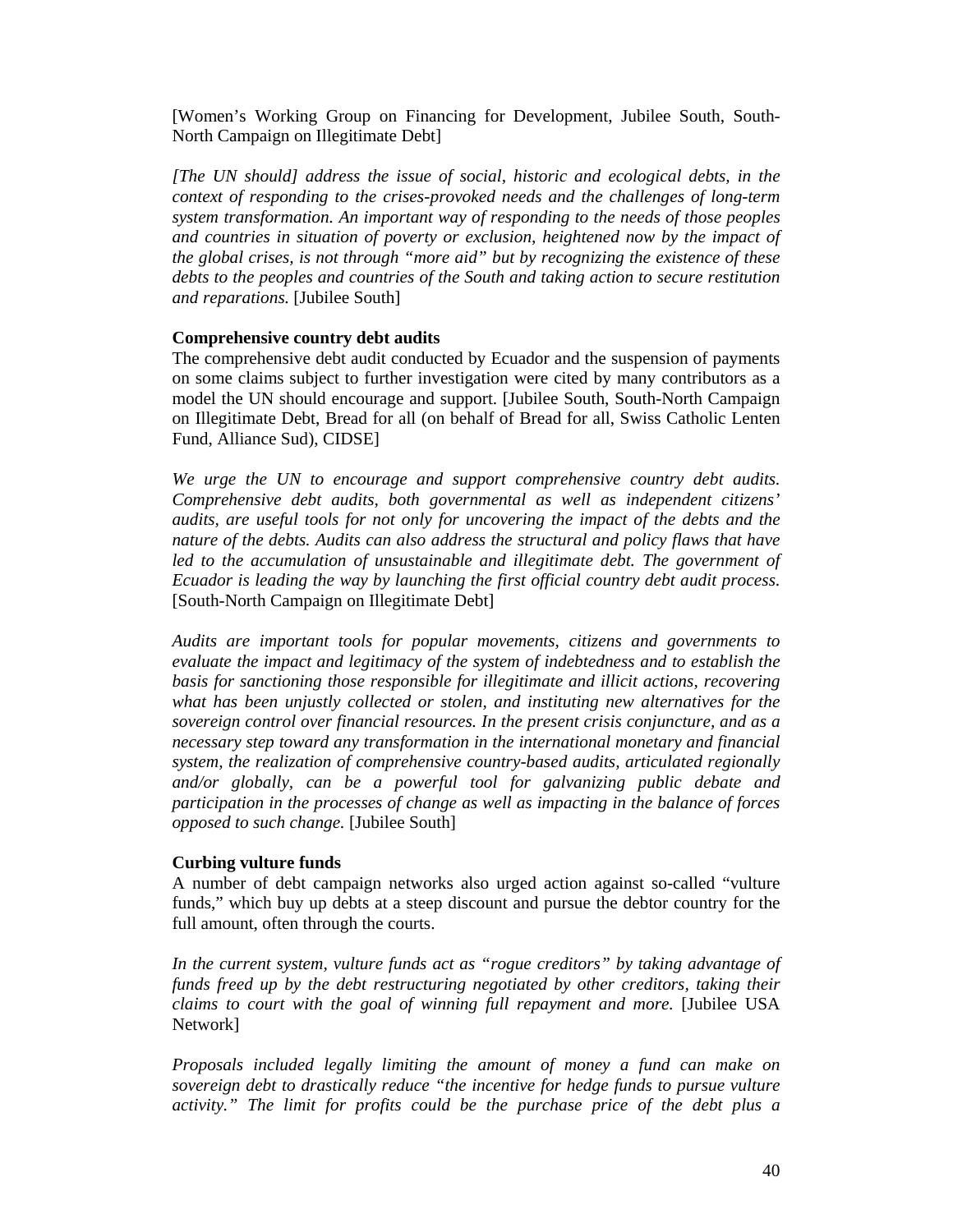[Women's Working Group on Financing for Development, Jubilee South, South-North Campaign on Illegitimate Debt]

*[The UN should] address the issue of social, historic and ecological debts, in the context of responding to the crises-provoked needs and the challenges of long-term system transformation. An important way of responding to the needs of those peoples and countries in situation of poverty or exclusion, heightened now by the impact of the global crises, is not through "more aid" but by recognizing the existence of these debts to the peoples and countries of the South and taking action to secure restitution and reparations.* [Jubilee South]

#### **Comprehensive country debt audits**

The comprehensive debt audit conducted by Ecuador and the suspension of payments on some claims subject to further investigation were cited by many contributors as a model the UN should encourage and support. [Jubilee South, South-North Campaign on Illegitimate Debt, Bread for all (on behalf of Bread for all, Swiss Catholic Lenten Fund, Alliance Sud), CIDSE]

*We urge the UN to encourage and support comprehensive country debt audits. Comprehensive debt audits, both governmental as well as independent citizens' audits, are useful tools for not only for uncovering the impact of the debts and the nature of the debts. Audits can also address the structural and policy flaws that have*  led to the accumulation of unsustainable and illegitimate debt. The government of *Ecuador is leading the way by launching the first official country debt audit process.*  [South-North Campaign on Illegitimate Debt]

*Audits are important tools for popular movements, citizens and governments to evaluate the impact and legitimacy of the system of indebtedness and to establish the basis for sanctioning those responsible for illegitimate and illicit actions, recovering what has been unjustly collected or stolen, and instituting new alternatives for the sovereign control over financial resources. In the present crisis conjuncture, and as a necessary step toward any transformation in the international monetary and financial system, the realization of comprehensive country-based audits, articulated regionally and/or globally, can be a powerful tool for galvanizing public debate and participation in the processes of change as well as impacting in the balance of forces opposed to such change.* [Jubilee South]

#### **Curbing vulture funds**

A number of debt campaign networks also urged action against so-called "vulture funds," which buy up debts at a steep discount and pursue the debtor country for the full amount, often through the courts.

In the current system, vulture funds act as "rogue creditors" by taking advantage of *funds freed up by the debt restructuring negotiated by other creditors, taking their claims to court with the goal of winning full repayment and more.* [Jubilee USA Network]

*Proposals included legally limiting the amount of money a fund can make on sovereign debt to drastically reduce "the incentive for hedge funds to pursue vulture activity." The limit for profits could be the purchase price of the debt plus a*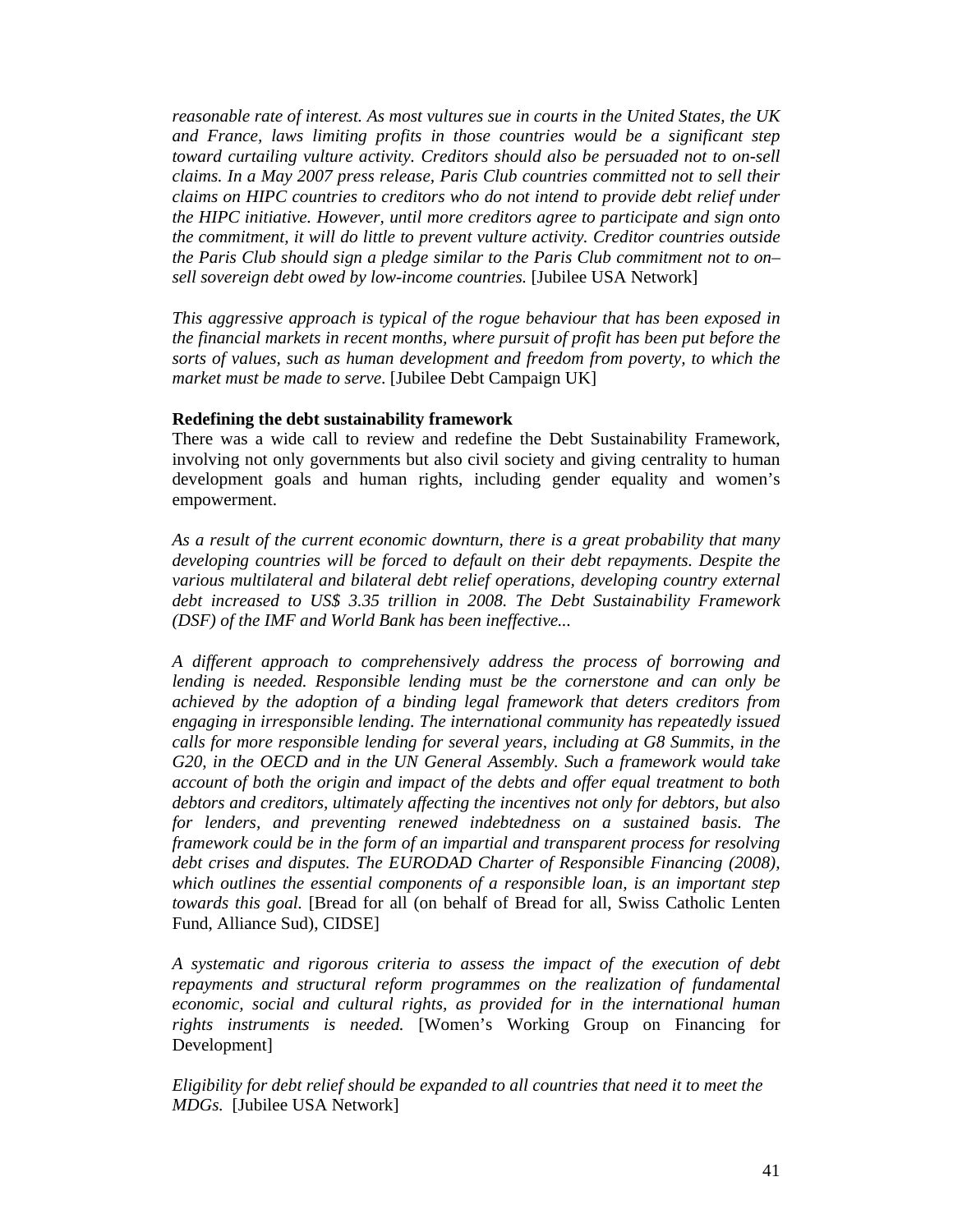*reasonable rate of interest. As most vultures sue in courts in the United States, the UK and France, laws limiting profits in those countries would be a significant step toward curtailing vulture activity. Creditors should also be persuaded not to on-sell claims. In a May 2007 press release, Paris Club countries committed not to sell their claims on HIPC countries to creditors who do not intend to provide debt relief under the HIPC initiative. However, until more creditors agree to participate and sign onto the commitment, it will do little to prevent vulture activity. Creditor countries outside the Paris Club should sign a pledge similar to the Paris Club commitment not to on– sell sovereign debt owed by low-income countries.* [Jubilee USA Network]

*This aggressive approach is typical of the rogue behaviour that has been exposed in the financial markets in recent months, where pursuit of profit has been put before the sorts of values, such as human development and freedom from poverty, to which the market must be made to serve*. [Jubilee Debt Campaign UK]

#### **Redefining the debt sustainability framework**

There was a wide call to review and redefine the Debt Sustainability Framework, involving not only governments but also civil society and giving centrality to human development goals and human rights, including gender equality and women's empowerment.

*As a result of the current economic downturn, there is a great probability that many developing countries will be forced to default on their debt repayments. Despite the various multilateral and bilateral debt relief operations, developing country external debt increased to US\$ 3.35 trillion in 2008. The Debt Sustainability Framework (DSF) of the IMF and World Bank has been ineffective...* 

*A different approach to comprehensively address the process of borrowing and lending is needed. Responsible lending must be the cornerstone and can only be achieved by the adoption of a binding legal framework that deters creditors from engaging in irresponsible lending. The international community has repeatedly issued calls for more responsible lending for several years, including at G8 Summits, in the G20, in the OECD and in the UN General Assembly. Such a framework would take account of both the origin and impact of the debts and offer equal treatment to both debtors and creditors, ultimately affecting the incentives not only for debtors, but also for lenders, and preventing renewed indebtedness on a sustained basis. The framework could be in the form of an impartial and transparent process for resolving debt crises and disputes. The EURODAD Charter of Responsible Financing (2008), which outlines the essential components of a responsible loan, is an important step towards this goal.* [Bread for all (on behalf of Bread for all, Swiss Catholic Lenten Fund, Alliance Sud), CIDSE]

*A systematic and rigorous criteria to assess the impact of the execution of debt repayments and structural reform programmes on the realization of fundamental economic, social and cultural rights, as provided for in the international human rights instruments is needed.* [Women's Working Group on Financing for Development]

*Eligibility for debt relief should be expanded to all countries that need it to meet the MDGs.* [Jubilee USA Network]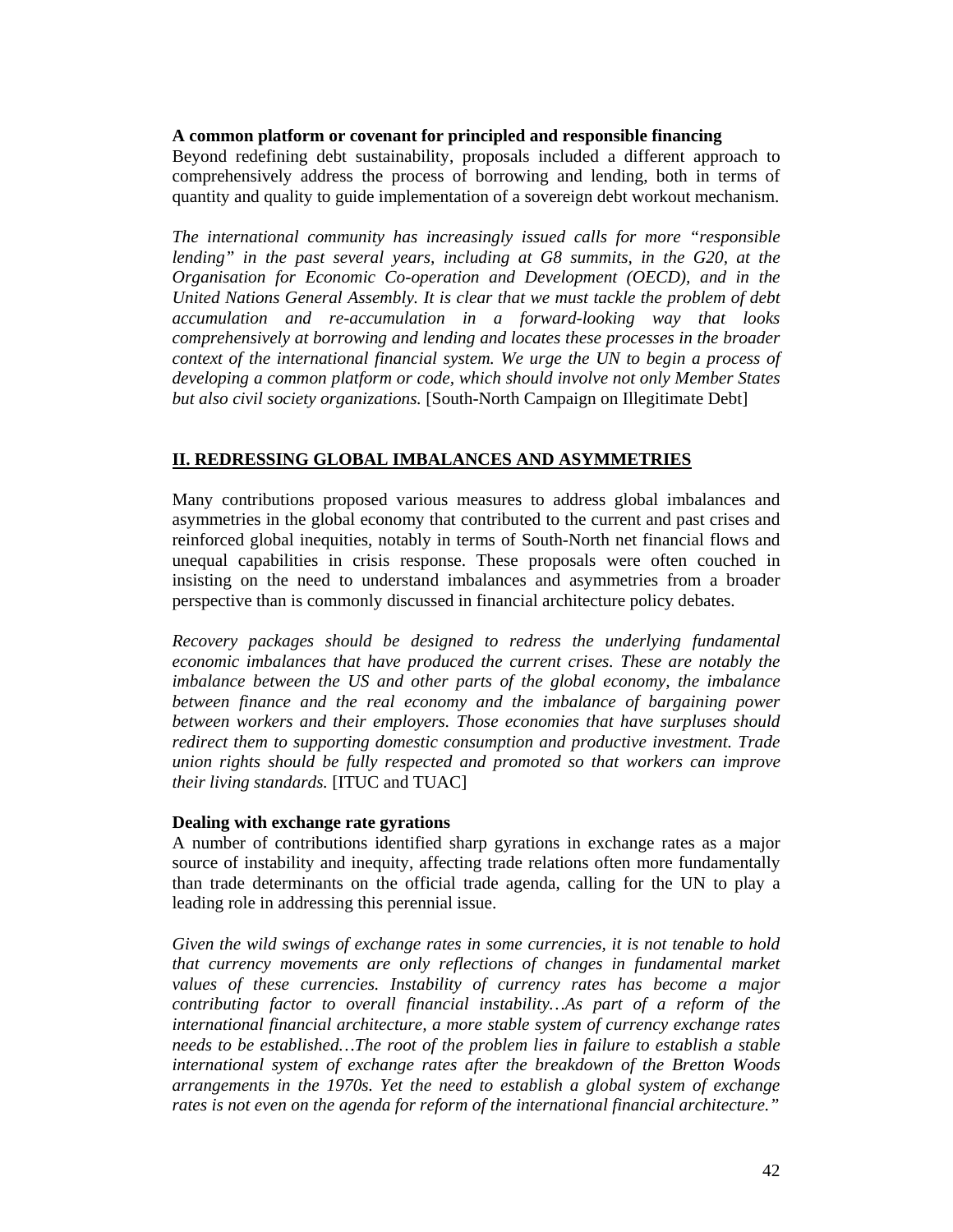### **A common platform or covenant for principled and responsible financing**

Beyond redefining debt sustainability, proposals included a different approach to comprehensively address the process of borrowing and lending, both in terms of quantity and quality to guide implementation of a sovereign debt workout mechanism.

*The international community has increasingly issued calls for more "responsible lending" in the past several years, including at G8 summits, in the G20, at the Organisation for Economic Co-operation and Development (OECD), and in the United Nations General Assembly. It is clear that we must tackle the problem of debt accumulation and re-accumulation in a forward-looking way that looks comprehensively at borrowing and lending and locates these processes in the broader context of the international financial system. We urge the UN to begin a process of developing a common platform or code, which should involve not only Member States but also civil society organizations.* [South-North Campaign on Illegitimate Debt]

#### **II. REDRESSING GLOBAL IMBALANCES AND ASYMMETRIES**

Many contributions proposed various measures to address global imbalances and asymmetries in the global economy that contributed to the current and past crises and reinforced global inequities, notably in terms of South-North net financial flows and unequal capabilities in crisis response. These proposals were often couched in insisting on the need to understand imbalances and asymmetries from a broader perspective than is commonly discussed in financial architecture policy debates.

*Recovery packages should be designed to redress the underlying fundamental economic imbalances that have produced the current crises. These are notably the imbalance between the US and other parts of the global economy, the imbalance between finance and the real economy and the imbalance of bargaining power between workers and their employers. Those economies that have surpluses should redirect them to supporting domestic consumption and productive investment. Trade union rights should be fully respected and promoted so that workers can improve their living standards.* [ITUC and TUAC]

#### **Dealing with exchange rate gyrations**

A number of contributions identified sharp gyrations in exchange rates as a major source of instability and inequity, affecting trade relations often more fundamentally than trade determinants on the official trade agenda, calling for the UN to play a leading role in addressing this perennial issue.

*Given the wild swings of exchange rates in some currencies, it is not tenable to hold that currency movements are only reflections of changes in fundamental market values of these currencies. Instability of currency rates has become a major contributing factor to overall financial instability…As part of a reform of the international financial architecture, a more stable system of currency exchange rates needs to be established…The root of the problem lies in failure to establish a stable international system of exchange rates after the breakdown of the Bretton Woods arrangements in the 1970s. Yet the need to establish a global system of exchange rates is not even on the agenda for reform of the international financial architecture."*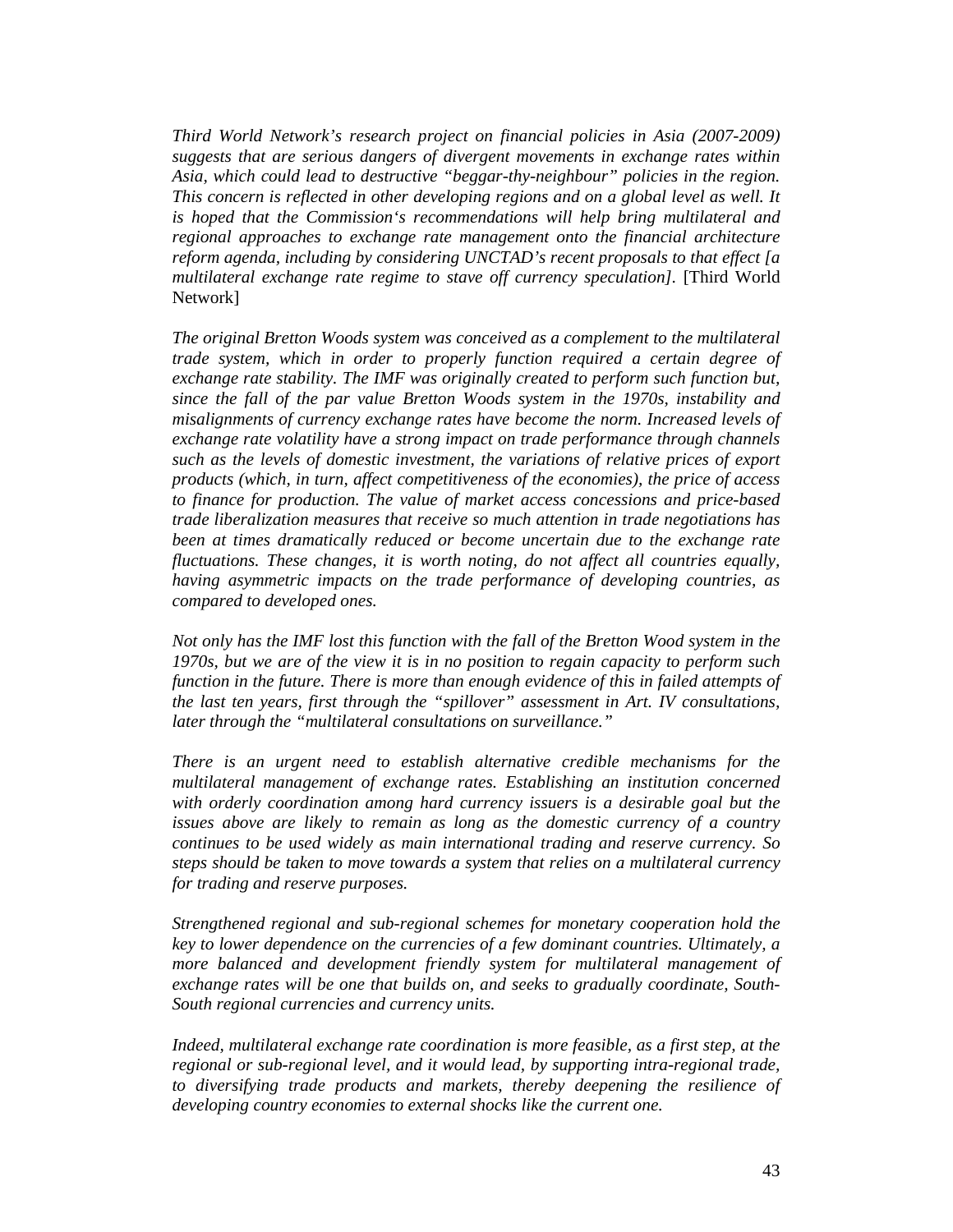*Third World Network's research project on financial policies in Asia (2007-2009) suggests that are serious dangers of divergent movements in exchange rates within Asia, which could lead to destructive "beggar-thy-neighbour" policies in the region. This concern is reflected in other developing regions and on a global level as well. It is hoped that the Commission's recommendations will help bring multilateral and regional approaches to exchange rate management onto the financial architecture reform agenda, including by considering UNCTAD's recent proposals to that effect [a multilateral exchange rate regime to stave off currency speculation].* [Third World Network]

*The original Bretton Woods system was conceived as a complement to the multilateral trade system, which in order to properly function required a certain degree of exchange rate stability. The IMF was originally created to perform such function but, since the fall of the par value Bretton Woods system in the 1970s, instability and misalignments of currency exchange rates have become the norm. Increased levels of exchange rate volatility have a strong impact on trade performance through channels such as the levels of domestic investment, the variations of relative prices of export products (which, in turn, affect competitiveness of the economies), the price of access to finance for production. The value of market access concessions and price-based trade liberalization measures that receive so much attention in trade negotiations has been at times dramatically reduced or become uncertain due to the exchange rate fluctuations. These changes, it is worth noting, do not affect all countries equally, having asymmetric impacts on the trade performance of developing countries, as compared to developed ones.* 

*Not only has the IMF lost this function with the fall of the Bretton Wood system in the 1970s, but we are of the view it is in no position to regain capacity to perform such function in the future. There is more than enough evidence of this in failed attempts of the last ten years, first through the "spillover" assessment in Art. IV consultations, later through the "multilateral consultations on surveillance."* 

*There is an urgent need to establish alternative credible mechanisms for the multilateral management of exchange rates. Establishing an institution concerned with orderly coordination among hard currency issuers is a desirable goal but the issues above are likely to remain as long as the domestic currency of a country continues to be used widely as main international trading and reserve currency. So steps should be taken to move towards a system that relies on a multilateral currency for trading and reserve purposes.* 

*Strengthened regional and sub-regional schemes for monetary cooperation hold the key to lower dependence on the currencies of a few dominant countries. Ultimately, a more balanced and development friendly system for multilateral management of exchange rates will be one that builds on, and seeks to gradually coordinate, South-South regional currencies and currency units.* 

*Indeed, multilateral exchange rate coordination is more feasible, as a first step, at the regional or sub-regional level, and it would lead, by supporting intra-regional trade, to diversifying trade products and markets, thereby deepening the resilience of developing country economies to external shocks like the current one.*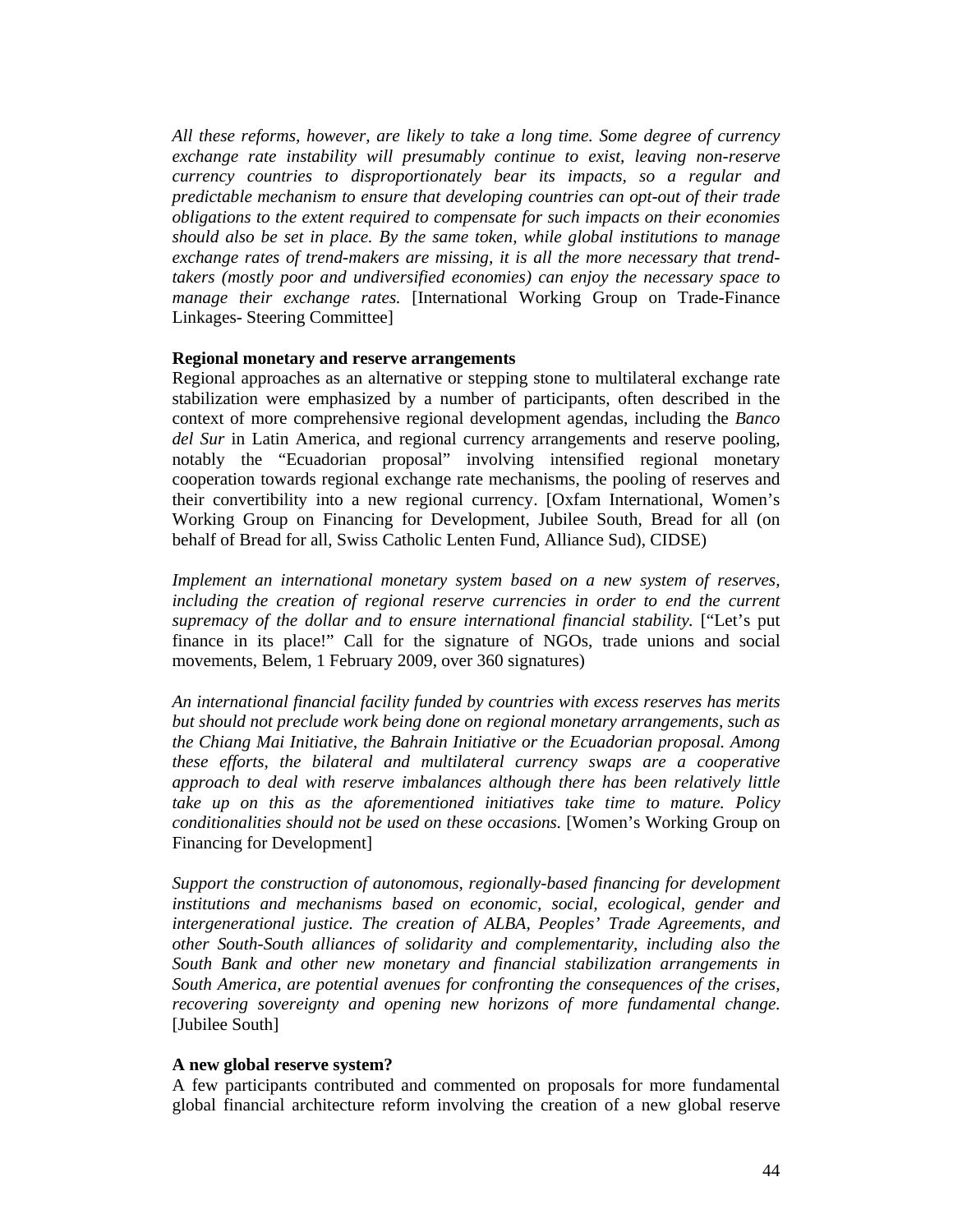*All these reforms, however, are likely to take a long time. Some degree of currency exchange rate instability will presumably continue to exist, leaving non-reserve currency countries to disproportionately bear its impacts, so a regular and predictable mechanism to ensure that developing countries can opt-out of their trade obligations to the extent required to compensate for such impacts on their economies should also be set in place. By the same token, while global institutions to manage exchange rates of trend-makers are missing, it is all the more necessary that trendtakers (mostly poor and undiversified economies) can enjoy the necessary space to manage their exchange rates.* [International Working Group on Trade-Finance Linkages- Steering Committee]

#### **Regional monetary and reserve arrangements**

Regional approaches as an alternative or stepping stone to multilateral exchange rate stabilization were emphasized by a number of participants, often described in the context of more comprehensive regional development agendas, including the *Banco del Sur* in Latin America, and regional currency arrangements and reserve pooling, notably the "Ecuadorian proposal" involving intensified regional monetary cooperation towards regional exchange rate mechanisms, the pooling of reserves and their convertibility into a new regional currency. [Oxfam International, Women's Working Group on Financing for Development, Jubilee South, Bread for all (on behalf of Bread for all, Swiss Catholic Lenten Fund, Alliance Sud), CIDSE)

*Implement an international monetary system based on a new system of reserves, including the creation of regional reserve currencies in order to end the current supremacy of the dollar and to ensure international financial stability.* ["Let's put finance in its place!" Call for the signature of NGOs, trade unions and social movements, Belem, 1 February 2009, over 360 signatures)

*An international financial facility funded by countries with excess reserves has merits but should not preclude work being done on regional monetary arrangements, such as the Chiang Mai Initiative, the Bahrain Initiative or the Ecuadorian proposal. Among these efforts, the bilateral and multilateral currency swaps are a cooperative approach to deal with reserve imbalances although there has been relatively little take up on this as the aforementioned initiatives take time to mature. Policy conditionalities should not be used on these occasions.* [Women's Working Group on Financing for Development]

*Support the construction of autonomous, regionally-based financing for development institutions and mechanisms based on economic, social, ecological, gender and intergenerational justice. The creation of ALBA, Peoples' Trade Agreements, and other South-South alliances of solidarity and complementarity, including also the South Bank and other new monetary and financial stabilization arrangements in South America, are potential avenues for confronting the consequences of the crises, recovering sovereignty and opening new horizons of more fundamental change.*  [Jubilee South]

#### **A new global reserve system?**

A few participants contributed and commented on proposals for more fundamental global financial architecture reform involving the creation of a new global reserve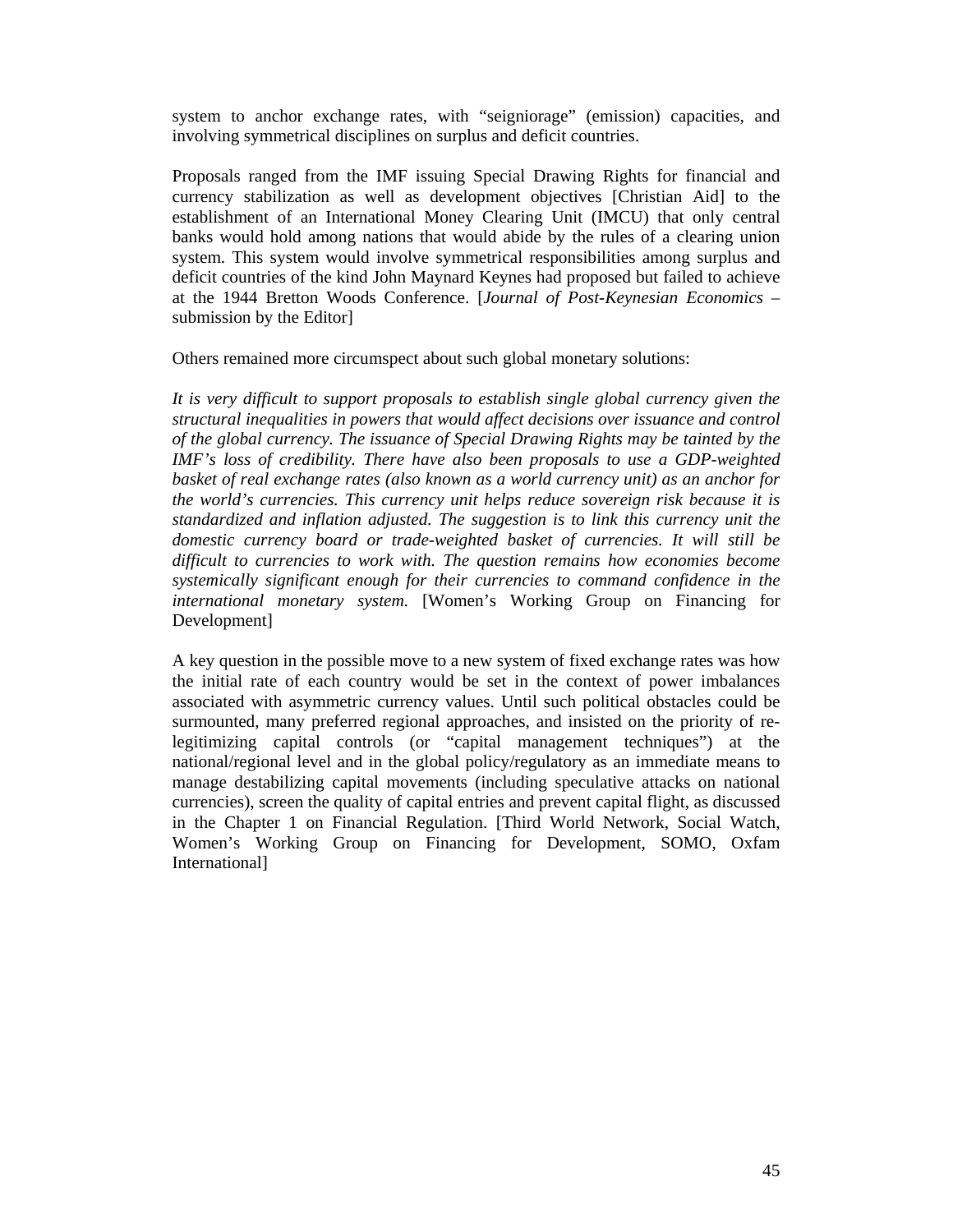system to anchor exchange rates, with "seigniorage" (emission) capacities, and involving symmetrical disciplines on surplus and deficit countries.

Proposals ranged from the IMF issuing Special Drawing Rights for financial and currency stabilization as well as development objectives [Christian Aid] to the establishment of an International Money Clearing Unit (IMCU) that only central banks would hold among nations that would abide by the rules of a clearing union system. This system would involve symmetrical responsibilities among surplus and deficit countries of the kind John Maynard Keynes had proposed but failed to achieve at the 1944 Bretton Woods Conference. [*Journal of Post-Keynesian Economics* – submission by the Editor]

Others remained more circumspect about such global monetary solutions:

*It is very difficult to support proposals to establish single global currency given the structural inequalities in powers that would affect decisions over issuance and control of the global currency. The issuance of Special Drawing Rights may be tainted by the IMF's loss of credibility. There have also been proposals to use a GDP-weighted basket of real exchange rates (also known as a world currency unit) as an anchor for the world's currencies. This currency unit helps reduce sovereign risk because it is standardized and inflation adjusted. The suggestion is to link this currency unit the domestic currency board or trade-weighted basket of currencies. It will still be difficult to currencies to work with. The question remains how economies become systemically significant enough for their currencies to command confidence in the international monetary system.* [Women's Working Group on Financing for Development]

A key question in the possible move to a new system of fixed exchange rates was how the initial rate of each country would be set in the context of power imbalances associated with asymmetric currency values. Until such political obstacles could be surmounted, many preferred regional approaches, and insisted on the priority of relegitimizing capital controls (or "capital management techniques") at the national/regional level and in the global policy/regulatory as an immediate means to manage destabilizing capital movements (including speculative attacks on national currencies), screen the quality of capital entries and prevent capital flight, as discussed in the Chapter 1 on Financial Regulation. [Third World Network, Social Watch, Women's Working Group on Financing for Development, SOMO, Oxfam International]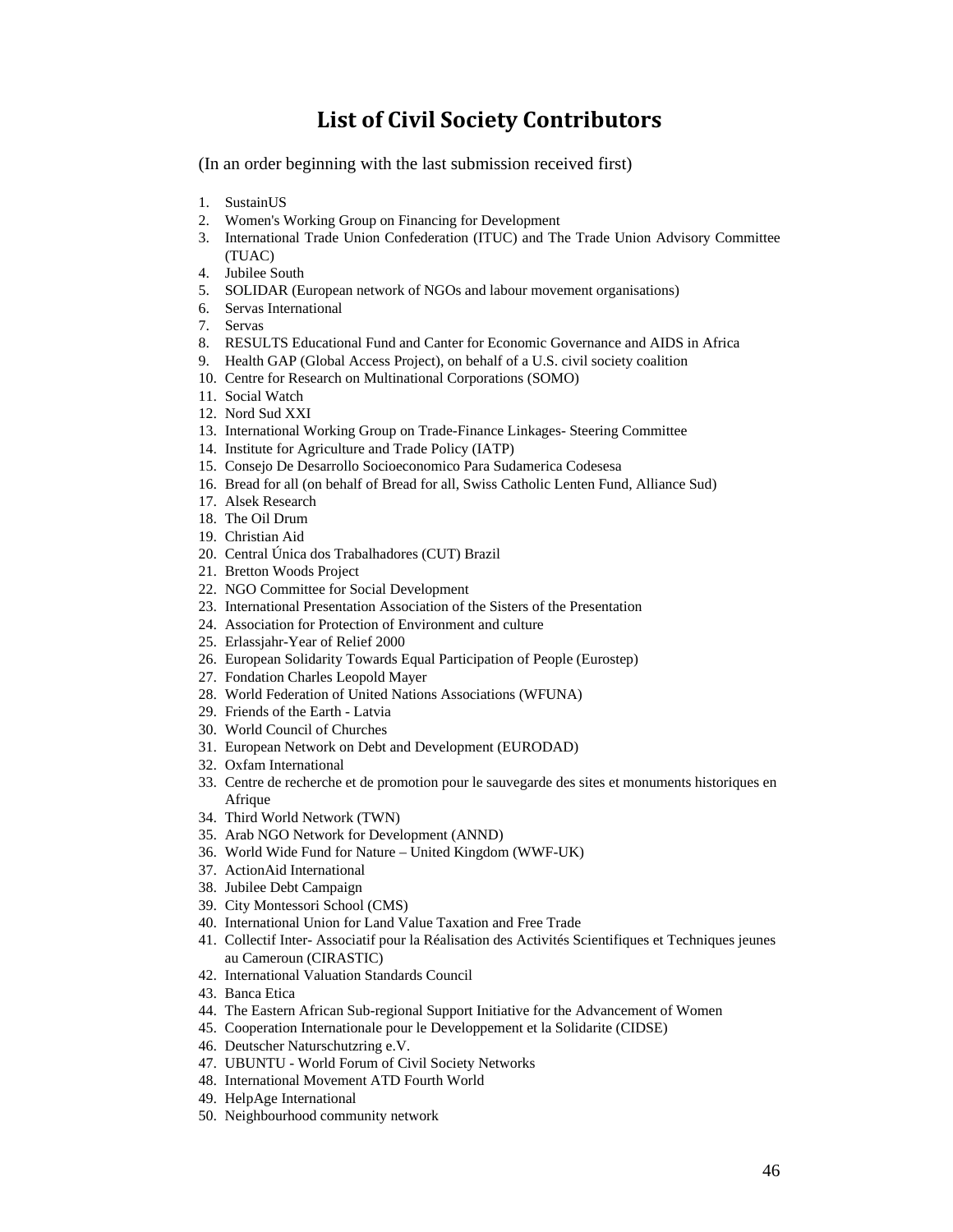## **List of Civil Society Contributors**

(In an order beginning with the last submission received first)

- 1. SustainUS
- 2. Women's Working Group on Financing for Development
- 3. International Trade Union Confederation (ITUC) and The Trade Union Advisory Committee (TUAC)
- 4. Jubilee South
- 5. SOLIDAR (European network of NGOs and labour movement organisations)
- 6. Servas International
- 7. Servas
- 8. RESULTS Educational Fund and Canter for Economic Governance and AIDS in Africa
- 9. Health GAP (Global Access Project), on behalf of a U.S. civil society coalition
- 10. Centre for Research on Multinational Corporations (SOMO)
- 11. Social Watch
- 12. Nord Sud XXI
- 13. International Working Group on Trade-Finance Linkages- Steering Committee
- 14. Institute for Agriculture and Trade Policy (IATP)
- 15. Consejo De Desarrollo Socioeconomico Para Sudamerica Codesesa
- 16. Bread for all (on behalf of Bread for all, Swiss Catholic Lenten Fund, Alliance Sud)
- 17. Alsek Research
- 18. The Oil Drum
- 19. Christian Aid
- 20. Central Única dos Trabalhadores (CUT) Brazil
- 21. Bretton Woods Project
- 22. NGO Committee for Social Development
- 23. International Presentation Association of the Sisters of the Presentation
- 24. Association for Protection of Environment and culture
- 25. Erlassjahr-Year of Relief 2000
- 26. European Solidarity Towards Equal Participation of People (Eurostep)
- 27. Fondation Charles Leopold Mayer
- 28. World Federation of United Nations Associations (WFUNA)
- 29. Friends of the Earth Latvia
- 30. World Council of Churches
- 31. European Network on Debt and Development (EURODAD)
- 32. Oxfam International
- 33. Centre de recherche et de promotion pour le sauvegarde des sites et monuments historiques en **Afrique**
- 34. Third World Network (TWN)
- 35. Arab NGO Network for Development (ANND)
- 36. World Wide Fund for Nature United Kingdom (WWF-UK)
- 37. ActionAid International
- 38. Jubilee Debt Campaign
- 39. City Montessori School (CMS)
- 40. International Union for Land Value Taxation and Free Trade
- 41. Collectif Inter- Associatif pour la Réalisation des Activités Scientifiques et Techniques jeunes au Cameroun (CIRASTIC)
- 42. International Valuation Standards Council
- 43. Banca Etica
- 44. The Eastern African Sub-regional Support Initiative for the Advancement of Women
- 45. Cooperation Internationale pour le Developpement et la Solidarite (CIDSE)
- 46. Deutscher Naturschutzring e.V.
- 47. UBUNTU World Forum of Civil Society Networks
- 48. International Movement ATD Fourth World
- 49. HelpAge International
- 50. Neighbourhood community network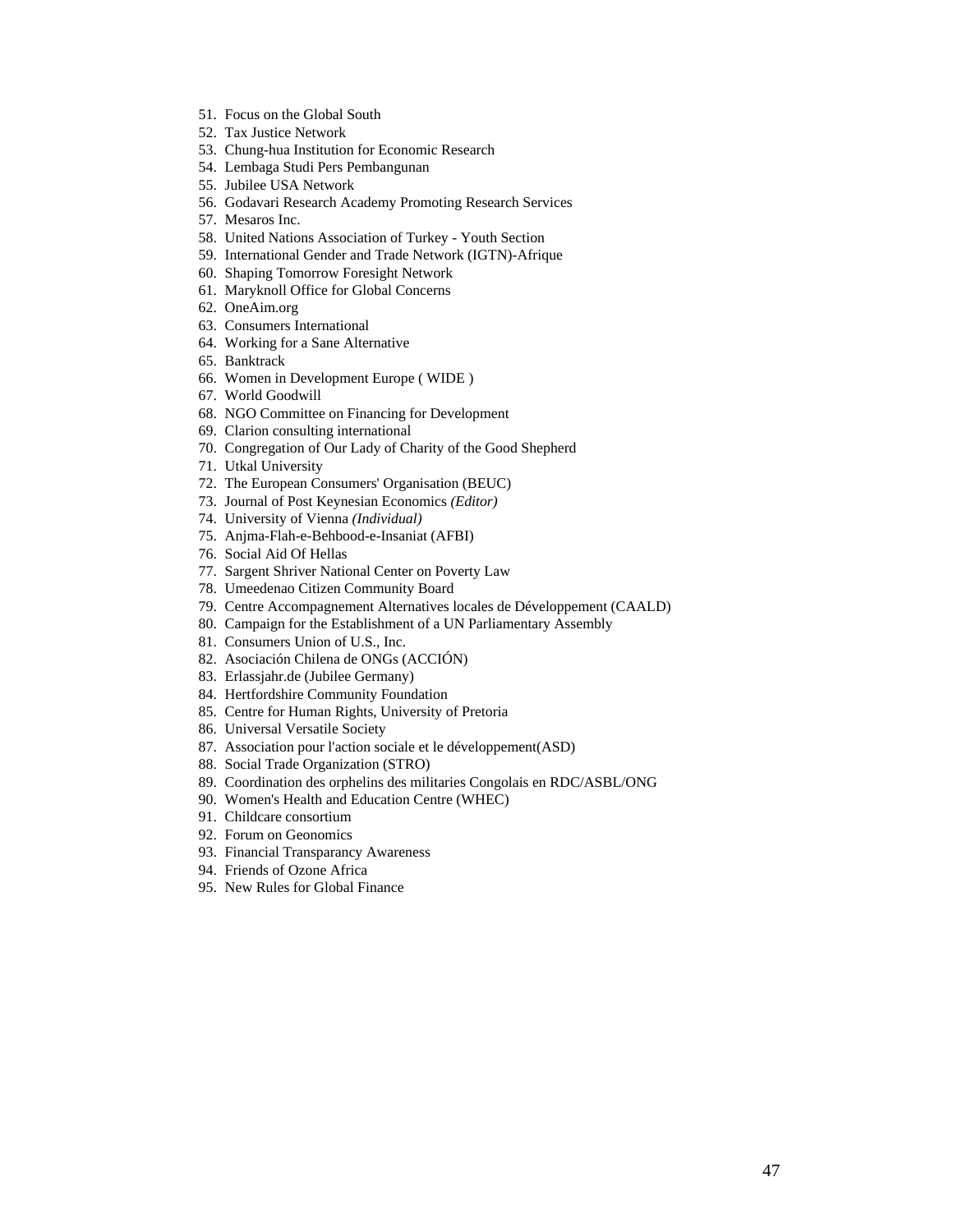- 51. Focus on the Global South
- 52. Tax Justice Network
- 53. Chung-hua Institution for Economic Research
- 54. Lembaga Studi Pers Pembangunan
- 55. Jubilee USA Network
- 56. Godavari Research Academy Promoting Research Services
- 57. Mesaros Inc.
- 58. United Nations Association of Turkey Youth Section
- 59. International Gender and Trade Network (IGTN)-Afrique
- 60. Shaping Tomorrow Foresight Network
- 61. Maryknoll Office for Global Concerns
- 62. OneAim.org
- 63. Consumers International
- 64. Working for a Sane Alternative
- 65. Banktrack
- 66. Women in Development Europe ( WIDE )
- 67. World Goodwill
- 68. NGO Committee on Financing for Development
- 69. Clarion consulting international
- 70. Congregation of Our Lady of Charity of the Good Shepherd
- 71. Utkal University
- 72. The European Consumers' Organisation (BEUC)
- 73. Journal of Post Keynesian Economics *(Editor)*
- 74. University of Vienna *(Individual)*
- 75. Anjma-Flah-e-Behbood-e-Insaniat (AFBI)
- 76. Social Aid Of Hellas
- 77. Sargent Shriver National Center on Poverty Law
- 78. Umeedenao Citizen Community Board
- 79. Centre Accompagnement Alternatives locales de Développement (CAALD)
- 80. Campaign for the Establishment of a UN Parliamentary Assembly
- 81. Consumers Union of U.S., Inc.
- 82. Asociación Chilena de ONGs (ACCIÓN)
- 83. Erlassjahr.de (Jubilee Germany)
- 84. Hertfordshire Community Foundation
- 85. Centre for Human Rights, University of Pretoria
- 86. Universal Versatile Society
- 87. Association pour l'action sociale et le développement(ASD)
- 88. Social Trade Organization (STRO)
- 89. Coordination des orphelins des militaries Congolais en RDC/ASBL/ONG
- 90. Women's Health and Education Centre (WHEC)
- 91. Childcare consortium
- 92. Forum on Geonomics
- 93. Financial Transparancy Awareness
- 94. Friends of Ozone Africa
- 95. New Rules for Global Finance